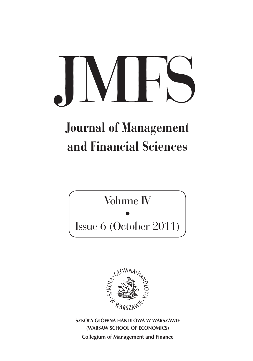# $|V|$

# Journal of Management and Financial Sciences

Volume IV

• Issue 6 (October 2011)



**SZKOŁA GŁÓWNA HANDLOWA W WARSZAWIE (WARSAW SCHOOL OF ECONOMICS) Collegium of Management and Finance**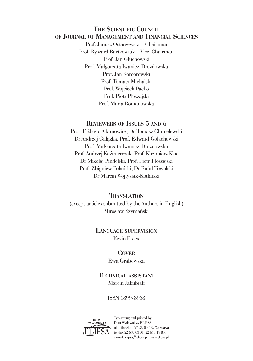#### **THE SCIENTIFIC COUNCIL OF JOURNAL OF MANAGEMENT AND FINANCIAL SCIENCES**

Prof. Janusz Ostaszewski – Chairman Prof. Ryszard Bartkowiak – Vice-Chairman Prof. Jan Głuchowski Prof. Małgorzata Iwanicz-Drozdowska Prof. Jan Komorowski Prof. Tomasz Michalski Prof. Wojciech Pacho Prof. Piotr Płoszajski Prof. Maria Romanowska

#### **REVIEWERS OF ISSUES 5 AND 6**

Prof. Elżbieta Adamowicz, Dr Tomasz Chmielewski Dr Andrzej Gałązka, Prof. Edward Golachowski Prof. Małgorzata Iwanicz-Drozdowska Prof. Andrzej Kaźmierczak, Prof. Kazimierz Kloc Dr Mikołaj Pindelski, Prof. Piotr Płoszajski Prof. Zbigniew Polański, Dr Rafał Towalski Dr Marcin Wojtysiak-Kotlarski

#### **TRANSLATION**

(except articles submitted by the Authors in English) Mirosław Szymański

#### **LANGUAGE SUPERVISION**

Kevin Essex

#### **COVER**

Ewa Grabowska

#### **TECHNICAL ASSISTANT** Marcin Jakubiak

ISSN 1899-8968



Typesetting and printed by: Dom Wydawniczy ELIPSA, ul. Inflancka 15/198, 00-189 Warszawa tel./fax 22 635 03 01, 22 635 17 85, e-mail: elipsa@elipsa.pl, www.elipsa.pl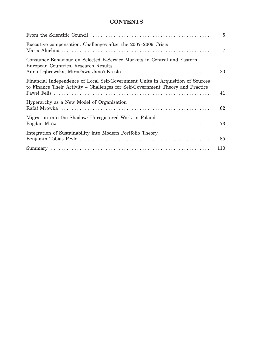# **CONTENTS**

|                                                                                                                                                                   | $\overline{5}$ |
|-------------------------------------------------------------------------------------------------------------------------------------------------------------------|----------------|
| Executive compensation. Challenges after the 2007–2009 Crisis                                                                                                     | 7              |
| Consumer Behaviour on Selected E-Service Markets in Central and Eastern<br>European Countries. Research Results                                                   | 20             |
| Financial Independence of Local Self-Government Units in Acquisition of Sources<br>to Finance Their Activity - Challenges for Self-Government Theory and Practice | 41             |
| Hyperarchy as a New Model of Organisation                                                                                                                         | 62             |
| Migration into the Shadow: Unregistered Work in Poland                                                                                                            | 73             |
| Integration of Sustainability into Modern Portfolio Theory                                                                                                        | 85             |
|                                                                                                                                                                   |                |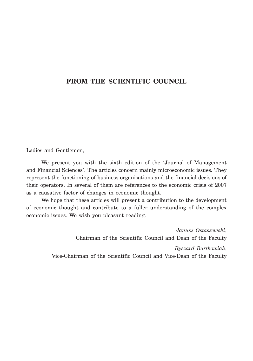# **FROM THE SCIENTIFIC COUNCIL**

Ladies and Gentlemen,

We present you with the sixth edition of the 'Journal of Management and Financial Sciences'. The articles concern mainly microeconomic issues. They represent the functioning of business organisations and the financial decisions of their operators. In several of them are references to the economic crisis of 2007 as a causative factor of changes in economic thought.

We hope that these articles will present a contribution to the development of economic thought and contribute to a fuller understanding of the complex economic issues. We wish you pleasant reading.

> *Janusz Ostaszewski*, Chairman of the Scientific Council and Dean of the Faculty

*Ryszard Bartkowiak*, Vice-Chairman of the Scientific Council and Vice-Dean of the Faculty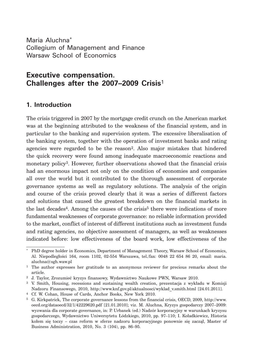Maria Aluchna\* Collegium of Management and Finance Warsaw School of Economics

# **Executive compensation. Challenges after the 2007–2009 Crisis**<sup>1</sup>

# **1. Introduction**

The crisis triggered in 2007 by the mortgage credit crunch on the American market was at the beginning attributed to the weakness of the financial system, and in particular to the banking and supervision system. The excessive liberalisation of the banking system, together with the operation of investment banks and rating agencies were regarded to be the reason2. Also major mistakes that hindered the quick recovery were found among inadequate macroeconomic reactions and monetary policy3. However, further observations showed that the financial crisis had an enormous impact not only on the condition of economies and companies all over the world but it contributed to the thorough assessment of corporate governance systems as well as regulatory solutions. The analysis of the origin and course of the crisis proved clearly that it was a series of different factors and solutions that caused the greatest breakdown on the financial markets in the last decades<sup>4</sup>. Among the causes of the crisis<sup>5</sup> there were indications of more fundamental weaknesses of corporate governance: no reliable information provided to the market, conflict of interest of different institutions such as investment funds and rating agencies, no objective assessment of managers, as well as weaknesses indicated before: low effectiveness of the board work, low effectiveness of the

<sup>\*</sup> PhD degree holder in Economics, Department of Management Theory, Warsaw School of Economics, Al. Niepodległości 164, room 1102, 02-554 Warszawa, tel./fax: 0048 22 654 86 20, email: maria. aluchna@sgh.waw.pl

<sup>&</sup>lt;sup>1</sup> The author expresses her gratitude to an anonymous reviewer for precious remarks about the article.

<sup>2</sup> J. Taylor, Zrozumieć kryzys finansowy, Wydawnictwo Naukowe PWN, Warsaw 2010.

<sup>3</sup> V. Smith, Housing, recessions and sustaining wealth creation, prezentacja z wykładu w Komisji Nadzoru Finansowego, 2010, http://www.knf.gov.pl/aktualnosci/wyklad\_v.smith.html [24.01.2011].

<sup>4</sup> Cf. W. Cohan, House of Cards, Anchor Books, New York 2010.

<sup>5</sup> G. Kirkpatrick, The corporate governance lessons from the financial crisis, OECD, 2009, http://www. oecd.org/dataoecd/32/1/42229620.pdf [21.01.2010]; viz. M. Aluchna, Kryzys gospodarczy 2007–2009: wyzwania dla corporate governance, in: P. Urbanek (ed.) Nadzór korporacyjny w warunkach kryzysu gospodarczego, Wydawnictwo Uniwersytetu Łódzkiego, 2010, pp. 97–110; I. Koładkiewicz, Historia kołem się toczy – czas reform w sferze nadzoru korporacyjnego ponownie się zaczął, Master of Business Administration, 2010, No. 3 (104), pp. 86–95.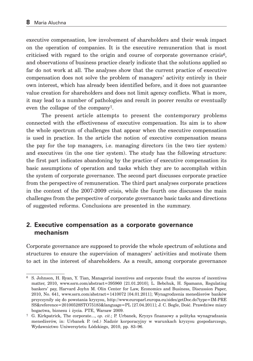executive compensation, low involvement of shareholders and their weak impact on the operation of companies. It is the executive remuneration that is most criticised with regard to the origin and course of corporate governance crisis6, and observations of business practice clearly indicate that the solutions applied so far do not work at all. The analyses show that the current practice of executive compensation does not solve the problem of managers' activity entirely in their own interest, which has already been identified before, and it does not guarantee value creation for shareholders and does not limit agency conflicts. What is more, it may lead to a number of pathologies and result in poorer results or eventually even the collapse of the company7.

The present article attempts to present the contemporary problems connected with the effectiveness of executive compensation. Its aim is to show the whole spectrum of challenges that appear when the executive compensation is used in practice. In the article the notion of executive compensation means the pay for the top managers, i.e. managing directors (in the two tier system) and executives (in the one tier system). The study has the following structure: the first part indicates abandoning by the practice of executive compensation its basic assumptions of operation and tasks which they are to accomplish within the system of corporate governance. The second part discusses corporate practice from the perspective of remuneration. The third part analyses corporate practices in the context of the 2007-2009 crisis, while the fourth one discusses the main challenges from the perspective of corporate governance basic tasks and directions of suggested reforms. Conclusions are presented in the summary.

## **2. Executive compensation as a corporate governance mechanism**

Corporate governance are supposed to provide the whole spectrum of solutions and structures to ensure the supervision of managers' activities and motivate them to act in the interest of shareholders. As a result, among corporate governance

<sup>6</sup> S. Johnson, H. Ryan, Y. Tian, Managerial incentives and corporate fraud: the sources of incentives matter, 2010, www.ssrn.com/abstract=395960 [21.01.2010]; L. Bebchuk, H. Spamann, Regulating bankers' pay, Harvard Joyhn M. Olin Center for Law, Economics and Business, Discussion Paper, 2010, No. 641, www.ssrn.com/abstract=1410072 [04.01.2011]; Wynagrodzenia menedżerów banków przyczyniły się do powstania kryzysu, http://www.europarl.europa.eu/sides/getDoc.do?type=IM-PRE SS&reference=20100528STO75183&language=PL [27.04.2011]; J. C. Bogle, Dość. Prawdziwe miary bogactwa, biznesu i życia. PTE, Warsaw 2009.

<sup>7</sup> G. Kirkpatrick, The corporate..., *op. cit.*; P. Urbanek, Kryzys finansowy a polityka wynagradzania menedżerów, in: Urbanek P. (ed.) Nadzór korporacyjny w warunkach kryzysu gospodarczego, Wydawnictwo Uniwersytetu Łódzkiego, 2010, pp. 83–96.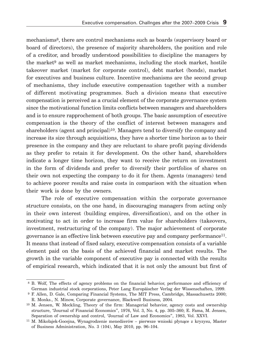mechanisms8, there are control mechanisms such as boards (supervisory board or board of directors), the presence of majority shareholders, the position and role of a creditor, and broadly understood possibilities to discipline the managers by the market<sup>9</sup> as well as market mechanisms, including the stock market, hostile takeover market (market for corporate control), debt market (bonds), market for executives and business culture. Incentive mechanisms are the second group of mechanisms, they include executive compensation together with a number of different motivating programmes. Such a division means that executive compensation is perceived as a crucial element of the corporate governance system since the motivational function limits conflicts between managers and shareholders and is to ensure rapprochement of both groups. The basic assumption of executive compensation is the theory of the conflict of interest between managers and shareholders (agent and principal)<sup>10</sup>. Managers tend to diversify the company and increase its size through acquisitions, they have a shorter time horizon as to their presence in the company and they are reluctant to share profit paying dividends as they prefer to retain it for development. On the other hand, shareholders indicate a longer time horizon, they want to receive the return on investment in the form of dividends and prefer to diversify their portfolios of shares on their own not expecting the company to do it for them. Agents (managers) tend to achieve poorer results and raise costs in comparison with the situation when their work is done by the owners.

The role of executive compensation within the corporate governance structure consists, on the one hand, in discouraging managers from acting only in their own interest (building empires, diversification), and on the other in motivating to act in order to increase firm value for shareholders (takeovers, investment, restructuring of the company). The major achievement of corporate governance is an effective link between executive pay and company performance11. It means that instead of fixed salary, executive compensation consists of a variable element paid on the basis of the achieved financial and market results. The growth in the variable component of executive pay is connected with the results of empirical research, which indicated that it is not only the amount but first of

 <sup>8</sup> B. Wolf, The effects of agency problems on the financial behavior, performance and efficiency of German industrial stock corporations, Peter Lang Europäischer Verlag der Wissenschaften, 1999.

 <sup>9</sup> F. Allen, D. Gale, Comparing Financial Systems, The MIT Press, Cambridge, Massachusetts 2000; R. Monks., N. Minow, Corporate governance, Blackwell Business, 2004.

<sup>10</sup> M. Jensen, W. Meckling, Theory of the firm: Managerial behavior, agency costs and ownership structure, "Journal of Financial Economics", 1976, Vol. 3, No. 4, pp. 305–360; E. Fama, M. Jensen, Separation of ownership and control, "Journal of Law and Economics", 1983, Vol. XXVI.

<sup>11</sup> M. Mikołajek-Gocejna, Wynagrodzenie menedżerów – pierwsze wnioski płynące z kryzysu, Master of Business Administration, No. 3 (104), May 2010, pp. 96–104.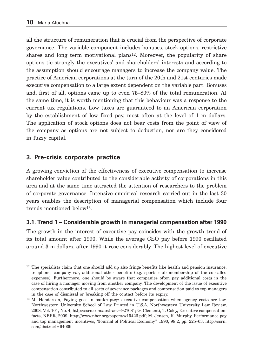all the structure of remuneration that is crucial from the perspective of corporate governance. The variable component includes bonuses, stock options, restrictive shares and long term motivational plans<sup>12</sup>. Moreover, the popularity of share options tie strongly the executives' and shareholders' interests and according to the assumption should encourage managers to increase the company value. The practice of American corporations at the turn of the 20th and 21st centuries made executive compensation to a large extent dependent on the variable part. Bonuses and, first of all, options came up to even 75–80% of the total remuneration. At the same time, it is worth mentioning that this behaviour was a response to the current tax regulations. Low taxes are guaranteed to an American corporation by the establishment of low fixed pay, most often at the level of 1 m dollars. The application of stock options does not bear costs from the point of view of the company as options are not subject to deduction, nor are they considered in fuzzy capital.

# **3. Pre-crisis corporate practice**

A growing conviction of the effectiveness of executive compensation to increase shareholder value contributed to the considerable activity of corporations in this area and at the same time attracted the attention of researchers to the problem of corporate governance. Intensive empirical research carried out in the last 30 years enables the description of managerial compensation which include four trends mentioned below13.

# **3.1. Trend 1 – Considerable growth in managerial compensation after 1990**

The growth in the interest of executive pay coincides with the growth trend of its total amount after 1990. While the average CEO pay before 1990 oscillated around 3 m dollars, after 1990 it rose considerably. The highest level of executive

<sup>&</sup>lt;sup>12</sup> The specialists claim that one should add up also fringe benefits like health and pension insurance, telephone, company car, additional other benefits (e.g. sports club membership of the so called expenses). Furthermore, one should be aware that companies often pay additional costs in the case of hiring a manager moving from another company. The development of the issue of executive compensation contributed to all sorts of severance packages and compensation paid to top managers in the case of dismissal or breaking off the contact before its expiry.

<sup>13</sup> M. Henderson, Paying goes in bankruptcy: executive compensation when agency costs are low, Northwestern University School of Law Printed in U.S.A. Northwestern University Law Review, 2008, Vol. 101, No. 4, http://ssrn.com/abstract=927081; G. Clementi, T. Coley, Executive compensation: facts, NBER, 2009, http://www.nber.org/papers/w15426.pdf; M. Jensen, K. Murphy, Performance pay and top management incentives, "Journal of Political Economy" 1990, 98:2, pp. 225–63, http://ssrn. com/abstract=94009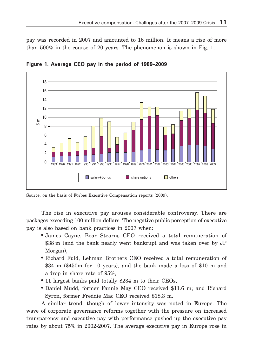pay was recorded in 2007 and amounted to 16 million. It means a rise of more than 500% in the course of 20 years. The phenomenon is shown in Fig. 1.



**Figure 1. Average CEO pay in the period of 1989–2009**

The rise in executive pay arouses considerable controversy. There are packages exceeding 100 million dollars. The negative public perception of executive pay is also based on bank practices in 2007 when:

- James Cayne, Bear Stearns CEO received a total remuneration of \$38 m (and the bank nearly went bankrupt and was taken over by JP Morgan),
- Richard Fuld, Lehman Brothers CEO received a total remuneration of \$34 m (\$450m for 10 years), and the bank made a loss of \$10 m and a drop in share rate of 95%,
- 11 largest banks paid totally \$234 m to their CEOs,
- Daniel Mudd, former Fannie May CEO received \$11.6 m; and Richard Syron, former Freddie Mac CEO received \$18.3 m.

A similar trend, though of lower intensity was noted in Europe. The wave of corporate governance reforms together with the pressure on increased transparency and executive pay with performance pushed up the executive pay rates by about 75% in 2002-2007. The average executive pay in Europe rose in

Source: on the basis of Forbes Executive Compensation reports (2009).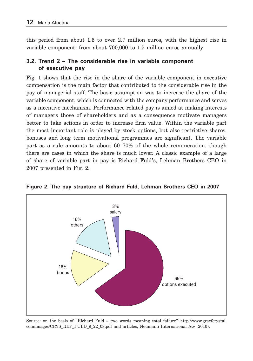this period from about 1.5 to over 2.7 million euros, with the highest rise in variable component: from about 700,000 to 1.5 million euros annually.

# **3.2. Trend 2 – The considerable rise in variable component of executive pay**

Fig. 1 shows that the rise in the share of the variable component in executive compensation is the main factor that contributed to the considerable rise in the pay of managerial staff. The basic assumption was to increase the share of the variable component, which is connected with the company performance and serves as a incentive mechanism. Performance related pay is aimed at making interests of managers those of shareholders and as a consequence motivate managers better to take actions in order to increase firm value. Within the variable part the most important role is played by stock options, but also restrictive shares, bonuses and long term motivational programmes are significant. The variable part as a rule amounts to about 60–70% of the whole remuneration, though there are cases in which the share is much lower. A classic example of a large of share of variable part in pay is Richard Fuld's, Lehman Brothers CEO in 2007 presented in Fig. 2.



**Figure 2. The pay structure of Richard Fuld, Lehman Brothers CEO in 2007**

Source: on the basis of "Richard Fuld – two words meaning total failure" http://www.graefcrystal. com/images/CRYS\_REP\_FULD\_9\_22\_08.pdf and articles, Neumann International AG (2010).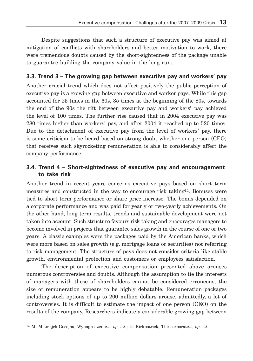Despite suggestions that such a structure of executive pay was aimed at mitigation of conflicts with shareholders and better motivation to work, there were tremendous doubts caused by the short-sightedness of the package unable to guarantee building the company value in the long run.

# **3.3. Trend 3 – The growing gap between executive pay and workers' pay**

Another crucial trend which does not affect positively the public perception of executive pay is a growing gap between executive and worker pays. While this gap accounted for 25 times in the 60s, 35 times at the beginning of the 80s, towards the end of the 90s the rift between executive pay and workers' pay achieved the level of 100 times. The further rise caused that in 2004 executive pay was 280 times higher than workers' pay, and after 2004 it reached up to 520 times. Due to the detachment of executive pay from the level of workers' pay, there is some criticism to be heard based on strong doubt whether one person (CEO) that receives such skyrocketing remuneration is able to considerably affect the company performance.

#### **3.4. Trend 4 – Short-sightedness of executive pay and encouragement to take risk**

Another trend in recent years concerns executive pays based on short term measures and constructed in the way to encourage risk taking14. Bonuses were tied to short term performance or share price increase. The bonus depended on a corporate performance and was paid for yearly or two-yearly achievements. On the other hand, long term results, trends and sustainable development were not taken into account. Such structure favours risk taking and encourages managers to become involved in projects that guarantee sales growth in the course of one or two years. A classic examples were the packages paid by the American banks, which were more based on sales growth (e.g. mortgage loans or securities) not referring to risk management. The structure of pays does not consider criteria like stable growth, environmental protection and customers or employees satisfaction.

The description of executive compensation presented above arouses numerous controversies and doubts. Although the assumption to tie the interests of managers with those of shareholders cannot be considered erroneous, the size of remuneration appears to be highly debatable. Remuneration packages including stock options of up to 200 million dollars arouse, admittedly, a lot of controversies. It is difficult to estimate the impact of one person (CEO) on the results of the company. Researchers indicate a considerable growing gap between

<sup>14</sup> M. Mikołajek-Gocejna, Wynagrodzenie..., *op. cit.*; G. Kirkpatrick, The corporate..., *op. cit*.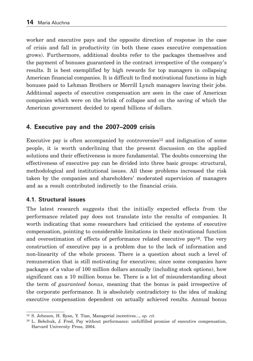worker and executive pays and the opposite direction of response in the case of crisis and fall in productivity (in both these cases executive compensation grows). Furthermore, additional doubts refer to the packages themselves and the payment of bonuses guaranteed in the contract irrespective of the company's results. It is best exemplified by high rewards for top managers in collapsing American financial companies. It is difficult to find motivational functions in high bonuses paid to Lehman Brothers or Merrill Lynch managers leaving their jobs. Additional aspects of executive compensation are seen in the case of American companies which were on the brink of collapse and on the saving of which the American government decided to spend billions of dollars.

# **4. Executive pay and the 2007–2009 crisis**

Executive pay is often accompanied by controversies<sup>15</sup> and indignation of some people, it is worth underlining that the present discussion on the applied solutions and their effectiveness is more fundamental. The doubts concerning the effectiveness of executive pay can be divided into three basic groups: structural, methodological and institutional issues. All these problems increased the risk taken by the companies and shareholders' moderated supervision of managers and as a result contributed indirectly to the financial crisis.

#### **4.1. Structural issues**

The latest research suggests that the initially expected effects from the performance related pay does not translate into the results of companies. It worth indicating that some researchers had criticised the systems of executive compensation, pointing to considerable limitations in their motivational function and overestimation of effects of performance related executive pay<sup>16</sup>. The very construction of executive pay is a problem due to the lack of information and non-linearity of the whole process. There is a question about such a level of remuneration that is still motivating for executives; since some companies have packages of a value of 100 million dollars annually (including stock options), how significant can a 10 million bonus be. There is a lot of misunderstanding about the term of *guaranteed bonus*, meaning that the bonus is paid irrespective of the corporate performance. It is absolutely contradictory to the idea of making executive compensation dependent on actually achieved results. Annual bonus

<sup>15</sup> S. Johnson, H. Ryan, Y. Tian, Managerial incentives..., *op. cit*.

<sup>16</sup> L. Bebchuk, J. Fred, Pay without performance: unfulfilled promise of executive compensation, Harvard University Press, 2004.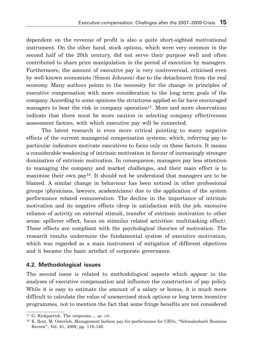dependent on the revenue of profit is also a quite short-sighted motivational instrument. On the other hand, stock options, which were very common in the second half of the 20th century, did not serve their purpose well and often contributed to share price manipulation in the period of execution by managers. Furthermore, the amount of executive pay is very controversial, criticised even by well-known economists (Simon Johnson) due to the detachment from the real economy. Many authors points to the necessity for the change in principles of executive compensation with more consideration to the long term goals of the company. According to some opinions the structures applied so far have encouraged managers to bear the risk in company operation<sup>17</sup>. More and more observations indicate that there must be more caution in selecting company effectiveness assessment factors, with which executive pay will be connected.

The latest research is even more critical pointing to many negative effects of the current managerial compensation systems, which, referring pay to particular indicators motivate executives to focus only on these factors. It means a considerable weakening of intrinsic motivation in favour of increasingly stronger domination of extrinsic motivation. In consequence, managers pay less attention to managing the company and market challenges, and their main effort is to maximise their own pay18. It should not be understood that managers are to be blamed. A similar change in behaviour has been noticed in other professional groups (physicians, lawyers, academicians) due to the application of the system performance related remuneration. The decline in the importance of intrinsic motivation and its negative effects (drop in satisfaction with the job, excessive reliance of activity on external stimuli, transfer of extrinsic motivation to other areas: spillover effect, focus on stimulus related activities: multitasking effect). These effects are compliant with the psychological theories of motivation. The research results undermine the fundamental system of executive motivation, which was regarded as a main instrument of mitigation of different objectives and it became the basic artefact of corporate governance.

#### **4.2. Methodological issues**

The second issue is related to methodological aspects which appear in the analyses of executive compensation and influence the construction of pay policy. While it is easy to estimate the amount of a salary or bonus, it is much more difficult to calculate the value of unexercised stock options or long term incentive programmes, not to mention the fact that some fringe benefits are not considered

<sup>17</sup> G. Kirkpatrick. The corporate..., *op. cit*.

<sup>18</sup> K. Rost, M. Osterloh, Management fashion pay-for-performance for CEOs, "Schmalenbach Business Review", Vol. 61, 2009, pp. 119–149.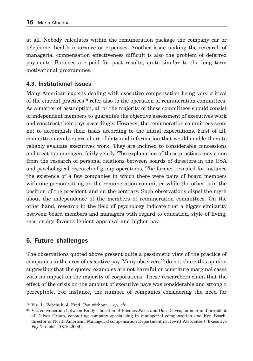at all. Nobody calculates within the remuneration package the company car or telephone, health insurance or expenses. Another issue making the research of managerial compensation effectiveness difficult is also the problem of deferred payments. Bonuses are paid for past results, quite similar to the long term motivational programmes.

## **4.3. Institutional issues**

Many American experts dealing with executive compensation being very critical of the current practices19 refer also to the operation of remuneration committees. As a matter of assumption, all or the majority of these committees should consist of independent members to guarantee the objective assessment of executives work and construct their pays accordingly. However, the remuneration committees seem not to accomplish their tasks according to the initial expectations. First of all, committee members are short of data and information that would enable them to reliably evaluate executives work. They are inclined to considerable concessions and treat top managers fairly gently. The explanation of these practices may come from the research of personal relations between boards of directors in the USA and psychological research of group operations. The former revealed for instance the existence of a few companies in which there were pairs of board members with one person sitting on the remuneration committee while the other is in the position of the president and on the contrary. Such observations dispel the myth about the independence of the members of remuneration committees. On the other hand, research in the field of psychology indicate that a bigger similarity between board members and managers with regard to education, style of living, race or age favours lenient appraisal and higher pay.

# **5. Future challenges**

The observations quoted above present quite a pessimistic view of the practice of companies in the area of executive pay. Many observers<sup>20</sup> do not share this opinion suggesting that the quoted examples are not harmful or constitute marginal cases with no impact on the majority of corporations. These researchers claim that the effect of the crisis on the amount of executive pays was considerable and strongly perceptible. For instance, the number of companies considering the need for

<sup>19</sup> Viz. L. Bebchuk, J. Fred, Pay without..., *op. cit*.

<sup>20</sup> Viz. conversation between Emily Thornton of BusinessWeek and Don Delves, founder and president of Delves Group, consulting company specialising in managerial compensation and Ken Bosch, director of North American, Managerial compensation Department in Hewitt Associates ("Executive Pay Trends", 13.10.2009).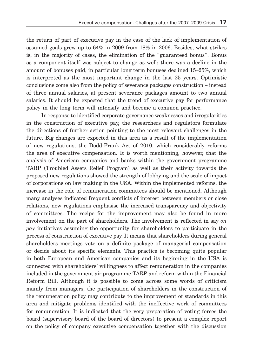the return of part of executive pay in the case of the lack of implementation of assumed goals grew up to 64% in 2009 from 18% in 2006. Besides, what strikes is, in the majority of cases, the elimination of the "guaranteed bonus". Bonus as a component itself was subject to change as well: there was a decline in the amount of bonuses paid, in particular long term bonuses declined 15–25%, which is interpreted as the most important change in the last 25 years. Optimistic conclusions come also from the policy of severance packages construction – instead of three annual salaries, at present severance packages amount to two annual salaries. It should be expected that the trend of executive pay for performance policy in the long term will intensify and become a common practice.

In response to identified corporate governance weaknesses and irregularities in the construction of executive pay, the researchers and regulators formulate the directions of further action pointing to the most relevant challenges in the future. Big changes are expected in this area as a result of the implementation of new regulations, the Dodd-Frank Act of 2010, which considerably reforms the area of executive compensation. It is worth mentioning, however, that the analysis of American companies and banks within the government programme TARP (Troubled Assets Relief Program) as well as their activity towards the proposed new regulations showed the strength of lobbying and the scale of impact of corporations on law making in the USA. Within the implemented reforms, the increase in the role of remuneration committees should be mentioned. Although many analyses indicated frequent conflicts of interest between members or close relations, new regulations emphasise the increased transparency and objectivity of committees. The recipe for the improvement may also be found in more involvement on the part of shareholders. The involvement is reflected in say *on pay* initiatives assuming the opportunity for shareholders to participate in the process of construction of executive pay. It means that shareholders during general shareholders meetings vote on a definite package of managerial compensation or decide about its specific elements. This practice is becoming quite popular in both European and American companies and its beginning in the USA is connected with shareholders' willingness to affect remuneration in the companies included in the government air programme TARP and reform within the Financial Reform Bill. Although it is possible to come across some words of criticism mainly from managers, the participation of shareholders in the construction of the remuneration policy may contribute to the improvement of standards in this area and mitigate problems identified with the ineffective work of committees for remuneration. It is indicated that the very preparation of voting forces the board (supervisory board of the board of directors) to present a complex report on the policy of company executive compensation together with the discussion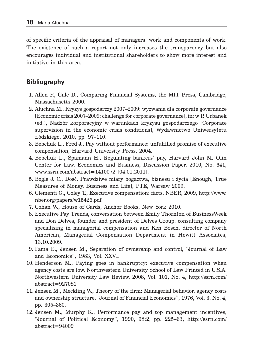of specific criteria of the appraisal of managers' work and components of work. The existence of such a report not only increases the transparency but also encourages individual and institutional shareholders to show more interest and initiative in this area.

# **Bibliography**

- 1. Allen F., Gale D., Comparing Financial Systems, the MIT Press, Cambridge, Massachusetts 2000.
- 2. Aluchna M., Kryzys gospodarczy 2007–2009: wyzwania dla corporate governance [Economic crisis 2007–2009: challenge for corporate governance], in: w P. Urbanek (ed.), Nadzór korporacyjny w warunkach kryzysu gospodarczego [Corporate supervision in the economic crisis conditions], Wydawnictwo Uniwersytetu Łódzkiego, 2010, pp. 97–110.
- 3. Bebchuk L., Fred J., Pay without performance: unfulfilled promise of executive compensation, Harvard University Press, 2004.
- 4. Bebchuk L., Spamann H., Regulating bankers' pay, Harvard John M. Olin Center for Law, Economics and Business, Discussion Paper, 2010, No. 641, www.ssrn.com/abstract=1410072 [04.01.2011].
- 5. Bogle J. C., Dość. Prawdziwe miary bogactwa, biznesu i życia [Enough, True Measures of Money, Business and Life], PTE, Warsaw 2009.
- 6. Clementi G., Coley T., Executive compensation: facts. NBER, 2009, http://www. nber.org/papers/w15426.pdf
- 7. Cohan W., House of Cards, Anchor Books, New York 2010.
- 8. Executive Pay Trends, conversation between Emily Thornton of BusinessWeek and Don Delves, founder and president of Delves Group, consulting company specialising in managerial compensation and Ken Bosch, director of North American, Managerial Compensation Department in Hewitt Associates, 13.10.2009.
- 9. Fama E., Jensen M., Separation of ownership and control, "Journal of Law and Economics", 1983, Vol. XXVI.
- 10. Henderson M., Paying goes in bankruptcy: executive compensation when agency costs are low. Northwestern University School of Law Printed in U.S.A. Northwestern University Law Review, 2008, Vol. 101, No. 4, http://ssrn.com/ abstract=927081
- 11. Jensen M., Meckling W., Theory of the firm: Managerial behavior, agency costs and ownership structure, "Journal of Financial Economics", 1976, Vol. 3, No. 4, pp. 305–360.
- 12. Jensen M., Murphy K., Performance pay and top management incentives, "Journal of Political Economy", 1990, 98:2, pp. 225–63, http://ssrn.com/ abstract=94009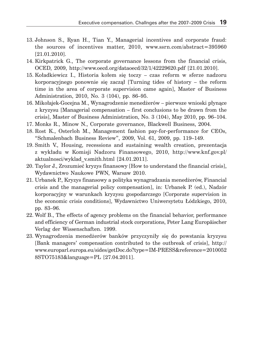- 13. Johnson S., Ryan H., Tian Y., Managerial incentives and corporate fraud: the sources of incentives matter, 2010, www.ssrn.com/abstract=395960 [21.01.2010].
- 14. Kirkpatrick G., The corporate governance lessons from the financial crisis, OCED, 2009, http://www.oecd.org/dataoecd/32/1/42229620.pdf [21.01.2010].
- 15. Koładkiewicz I., Historia kołem się toczy czas reform w sferze nadzoru korporacyjnego ponownie się zaczął [Turning tides of history – the reform time in the area of corporate supervision came again], Master of Business Administration, 2010, No. 3 (104), pp. 86–95.
- 16. Mikołajek-Gocejna M., Wynagrodzenie menedżerów pierwsze wnioski płynące z kryzysu [Managerial compensation – first conclusions to be drawn from the crisis], Master of Business Administration, No. 3 (104), May 2010, pp. 96–104.
- 17. Monks R., Minow N., Corporate governance, Blackwell Business, 2004.
- 18. Rost K., Osterloh M., Management fashion pay-for-performance for CEOs, "Schmalenbach Business Review", 2009, Vol. 61, 2009, pp. 119–149.
- 19. Smith V., Housing, recessions and sustaining wealth creation, prezentacja z wykładu w Komisji Nadzoru Finansowego, 2010, http://www.knf.gov.pl/ aktualnosci/wyklad\_v.smith.html [24.01.2011].
- 20. Taylor J., Zrozumieć kryzys finansowy [How to understand the financial crisis], Wydawnictwo Naukowe PWN, Warsaw 2010.
- 21. Urbanek P., Kryzys finansowy a polityka wynagradzania menedżerów, Financial crisis and the managerial policy compensation], in: Urbanek P. (ed.), Nadzór korporacyjny w warunkach kryzysu gospodarczego [Corporate supervision in the economic crisis conditions], Wydawnictwo Uniwersytetu Łódzkiego, 2010, pp. 83–96.
- 22. Wolf B., The effects of agency problems on the financial behavior, performance and efficiency of German industrial stock corporations, Peter Lang Europäischer Verlag der Wissenschaften. 1999.
- 23. Wynagrodzenia menedżerów banków przyczyniły się do powstania kryzysu [Bank managers' compensation contributed to the outbreak of crisis], http:// www.europarl.europa.eu/sides/getDoc.do?type=IM-PRESS&reference=2010052 8STO75183&language=PL [27.04.2011].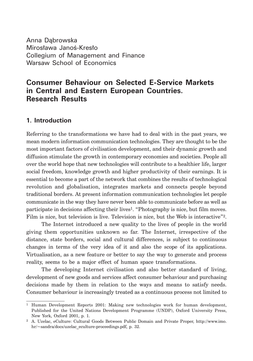Anna Dąbrowska Mirosława Janoś-Kresło Collegium of Management and Finance Warsaw School of Economics

# **Consumer Behaviour on Selected E-Service Markets in Central and Eastern European Countries. Research Results**

# **1. Introduction**

Referring to the transformations we have had to deal with in the past years, we mean modern information communication technologies. They are thought to be the most important factors of civilisation development, and their dynamic growth and diffusion stimulate the growth in contemporary economies and societies. People all over the world hope that new technologies will contribute to a healthier life, larger social freedom, knowledge growth and higher productivity of their earnings. It is essential to become a part of the network that combines the results of technological revolution and globalisation, integrates markets and connects people beyond traditional borders. At present information communication technologies let people communicate in the way they have never been able to communicate before as well as participate in decisions affecting their lives1. "Photography is nice, but film moves. Film is nice, but television is live. Television is nice, but the Web is interactive"2.

The Internet introduced a new quality to the lives of people in the world giving them opportunities unknown so far. The Internet, irrespective of the distance, state borders, social and cultural differences, is subject to continuous changes in terms of the very idea of it and also the scope of its applications. Virtualisation, as a new feature or better to say the way to generate and process reality, seems to be a major effect of human space transformations.

The developing Internet civilisation and also better standard of living, development of new goods and services affect consumer behaviour and purchasing decisions made by them in relation to the ways and means to satisfy needs. Consumer behaviour is increasingly treated as a continuous process not limited to

<sup>1</sup> Human Development Reports 2001: Making new technologies work for human development, Published for the United Nations Development Programme (UNDP), Oxford University Press, New York, Oxford 2001, p. 1.

<sup>2</sup> A. Uzelac, eCulture: Cultural Goods Between Public Domain and Private Proper, http://www.imo. hr/~sandra/docs/uzelac\_eculture-proceedings.pdf, p. 32.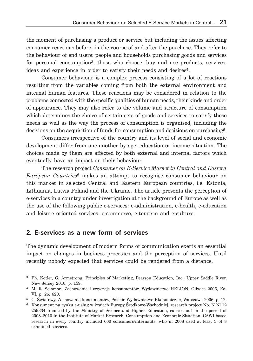the moment of purchasing a product or service but including the issues affecting consumer reactions before, in the course of and after the purchase. They refer to the behaviour of end users: people and households purchasing goods and services for personal consumption<sup>3</sup>; those who choose, buy and use products, services, ideas and experience in order to satisfy their needs and desires<sup>4</sup>.

Consumer behaviour is a complex process consisting of a lot of reactions resulting from the variables coming from both the external environment and internal human features. These reactions may be considered in relation to the problems connected with the specific qualities of human needs, their kinds and order of appearance. They may also refer to the volume and structure of consumption which determines the choice of certain sets of goods and services to satisfy these needs as well as the way the process of consumption is organised, including the decisions on the acquisition of funds for consumption and decisions on purchasing5.

Consumers irrespective of the country and its level of social and economic development differ from one another by age, education or income situation. The choices made by them are affected by both external and internal factors which eventually have an impact on their behaviour.

The research project *Consumer on E-Service Market in Central and Eastern European Countries*6 makes an attempt to recognise consumer behaviour on this market in selected Central and Eastern European countries, i.e. Estonia, Lithuania, Latvia Poland and the Ukraine. The article presents the perception of e-services in a country under investigation at the background of Europe as well as the use of the following public e-services: e-administration, e-health, e-education and leisure oriented services: e-commerce, e-tourism and e-culture.

#### **2. E-services as a new form of services**

The dynamic development of modern forms of communication exerts an essential impact on changes in business processes and the perception of services. Until recently nobody expected that services could be rendered from a distance.

<sup>3</sup> Ph. Kotler, G. Armstrong, Principles of Marketing, Pearson Education, Inc., Upper Saddle River, New Jersey 2010, p. 159.

<sup>4</sup> M. R. Solomon, Zachowanie i zwyczaje konsumentów, Wydawnictwo HELION, Gliwice 2006, Ed. VI, p. 26, 620.

<sup>5</sup> G. Światowy, Zachowania konsumentów, Polskie Wydawnictwo Ekonomiczne, Warszawa 2006, p. 12.

<sup>6</sup> Konsument na rynku e-usług w krajach Europy Środkowo-Wschodniej, research project No. N N112 259334 financed by the Ministry of Science and Higher Education, carried out in the period of 2008–2010 in the Institute of Market Research, Consumption and Economic Situation. CAWI based research in every country included 600 consumers/internauts, who in 2008 used at least 3 of 8 examined services.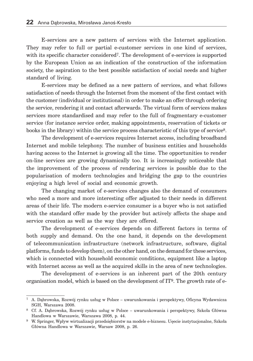E-services are a new pattern of services with the Internet application. They may refer to full or partial e-customer services in one kind of services, with its specific character considered<sup>7</sup>. The development of e-services is supported by the European Union as an indication of the construction of the information society, the aspiration to the best possible satisfaction of social needs and higher standard of living.

E-services may be defined as a new pattern of services, and what follows satisfaction of needs through the Internet from the moment of the first contact with the customer (individual or institutional) in order to make an offer through ordering the service, rendering it and contact afterwards. The virtual form of services makes services more standardised and may refer to the full of fragmentary e-customer service (for instance service order, making appointments, reservation of tickets or books in the library) within the service process characteristic of this type of service8.

The development of e-services requires Internet access, including broadband Internet and mobile telephony. The number of business entities and households having access to the Internet is growing all the time. The opportunities to render on-line services are growing dynamically too. It is increasingly noticeable that the improvement of the process of rendering services is possible due to the popularisation of modern technologies and bridging the gap to the countries enjoying a high level of social and economic growth.

The changing market of e-services changes also the demand of consumers who need a more and more interesting offer adjusted to their needs in different areas of their life. The modern e-service consumer is a buyer who is not satisfied with the standard offer made by the provider but actively affects the shape and service creation as well as the way they are offered.

The development of e-services depends on different factors in terms of both supply and demand. On the one hand, it depends on the development of telecommunication infrastructure (network infrastructure, software, digital platforms, funds to develop them), on the other hand, on the demand for these services, which is connected with household economic conditions, equipment like a laptop with Internet access as well as the acquired skills in the area of new technologies.

The development of e-services is an inherent part of the 20th century organisation model, which is based on the development of  $IT<sup>9</sup>$ . The growth rate of e-

<sup>7</sup> A. Dąbrowska, Rozwój rynku usług w Polsce – uwarunkowania i perspektywy, Oficyna Wydawnicza SGH, Warszawa 2008.

<sup>8</sup> Cf. A. Dąbrowska, Rozwój rynku usług w Polsce – uwarunkowania i perspektywy, Szkoła Główna Handlowa w Warszawie, Warszawa 2008, p. 44.

<sup>9</sup> W. Springer, Wpływ wirtualizacji przedsiębiorstw na modele e-biznesu. Uęecie instytucjonalne, Szkoła Główna Handlowa w Warszawie, Warsaw 2008, p. 26.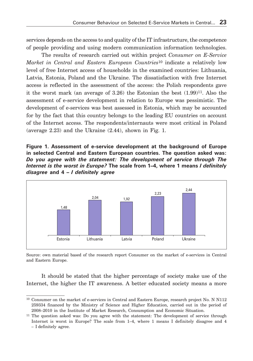services depends on the access to and quality of the IT infrastructure, the competence of people providing and using modern communication information technologies.

The results of research carried out within project *Consumer on E-Service Market in Central and Eastern European Countries*10 indicate a relatively low level of free Internet access of households in the examined countries: Lithuania, Latvia, Estonia, Poland and the Ukraine. The dissatisfaction with free Internet access is reflected in the assessment of the access: the Polish respondents gave it the worst mark (an average of  $3.26$ ) the Estonian the best  $(1.99)^{11}$ . Also the assessment of e-service development in relation to Europe was pessimistic. The development of e-services was best assessed in Estonia, which may be accounted for by the fact that this country belongs to the leading EU countries on account of the Internet access. The respondents/internauts were most critical in Poland (average 2.23) and the Ukraine (2.44), shown in Fig. 1.

**Figure 1. Assessment of e-service development at the background of Europe in selected Central and Eastern European countries. The question asked was:**  *Do you agree with the statement: The development of service through The Internet is the worst in Europe?* **The scale from 1–4, where 1 means** *I definitely disagree* **and 4 –** *I definitely agree*



Source: own material based of the research report Consumer on the market of e-services in Central and Eastern Europe.

It should be stated that the higher percentage of society make use of the Internet, the higher the IT awareness. A better educated society means a more

<sup>10</sup> Consumer on the market of e-services in Central and Eastern Europe, research project No. N N112 259334 financed by the Ministry of Science and Higher Education, carried out in the period of 2008–2010 in the Institute of Market Research, Consumption and Economic Situation.

<sup>&</sup>lt;sup>11</sup> The question asked was: Do you agree with the statement: The development of service through Internet is worst in Europe? The scale from 1–4, where 1 means I definitely disagree and 4 – I definitely agree.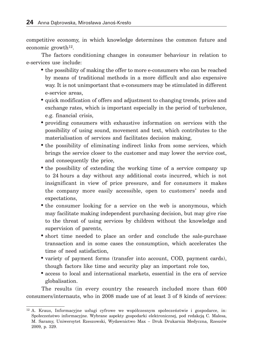competitive economy, in which knowledge determines the common future and economic growth12.

The factors conditioning changes in consumer behaviour in relation to e-services use include:

- the possibility of making the offer to more e-consumers who can be reached by means of traditional methods in a more difficult and also expensive way. It is not unimportant that e-consumers may be stimulated in different e-service areas,
- quick modification of offers and adjustment to changing trends, prices and exchange rates, which is important especially in the period of turbulence, e.g. financial crisis,
- providing consumers with exhaustive information on services with the possibility of using sound, movement and text, which contributes to the materialisation of services and facilitates decision making,
- the possibility of eliminating indirect links from some services, which brings the service closer to the customer and may lower the service cost, and consequently the price,
- the possibility of extending the working time of a service company up to 24 hours a day without any additional costs incurred, which is not insignificant in view of price pressure, and for consumers it makes the company more easily accessible, open to customers' needs and expectations,
- the consumer looking for a service on the web is anonymous, which may facilitate making independent purchasing decision, but may give rise to the threat of using services by children without the knowledge and supervision of parents,
- short time needed to place an order and conclude the sale-purchase transaction and in some cases the consumption, which accelerates the time of need satisfaction,
- variety of payment forms (transfer into account, COD, payment cards), though factors like time and security play an important role too,
- access to local and international markets, essential in the era of service globalisation.

The results (in every country the research included more than 600 consumers/internauts, who in 2008 made use of at least 3 of 8 kinds of services:

<sup>12</sup> A. Kraus, Informacyjne usługi cyfrowe we współczesnym społeczeństwie i gospodarce, in: Społeczeństwo informacyjne. Wybrane aspekty gospodarki elektronicznej, pod redakcją C. Malesa, M. Saramy, Uniwersytet Rzeszowski, Wydawnictwo Max – Druk Drukarnia Medyczna, Rzeszów 2009, p. 329.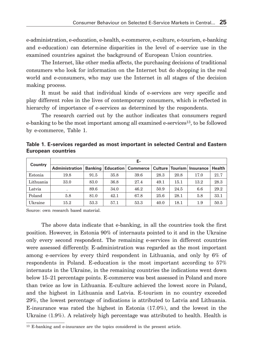e-administration, e-education, e-health, e-commerce, e-culture, e-tourism, e-banking and e-education) can determine disparities in the level of e-service use in the examined countries against the background of European Union countries.

The Internet, like other media affects, the purchasing decisions of traditional consumers who look for information on the Internet but do shopping in the real world and e-consumers, who may use the Internet in all stages of the decision making process.

It must be said that individual kinds of e-services are very specific and play different roles in the lives of contemporary consumers, which is reflected in hierarchy of importance of e-services as determined by the respondents.

The research carried out by the author indicates that consumers regard e-banking to be the most important among all examined e-services<sup>13</sup>, to be followed by e-commerce, Table 1.

| Table 1. E-services regarded as most important in selected Central and Eastern |  |  |  |
|--------------------------------------------------------------------------------|--|--|--|
| <b>European countries</b>                                                      |  |  |  |

| Country   | Е-                              |      |      |                           |      |      |                               |        |
|-----------|---------------------------------|------|------|---------------------------|------|------|-------------------------------|--------|
|           | <b>Administration   Banking</b> |      |      | <b>Education Commerce</b> |      |      | Culture   Tourism   Insurance | Health |
| Estonia   | 19.8                            | 91.5 | 35.8 | 39.6                      | 28.3 | 20.8 | 17.0                          | 21.7   |
| Lithuania | 33.0                            | 83.0 | 36.8 | 27.4                      | 49.1 | 15.1 | 13.2                          | 28.3   |
| Latvia    |                                 | 89.6 | 34.0 | 46.2                      | 50.9 | 24.5 | 6.6                           | 29.2   |
| Poland    | 5.8                             | 81.0 | 42.1 | 67.8                      | 25.6 | 28.1 | 5.8                           | 33.1   |
| Ukraine   | 15.2                            | 53.3 | 57.1 | 53.3                      | 40.0 | 18.1 | 1.9                           | 50.5   |

Source: own research based material.

The above data indicate that e-banking, in all the countries took the first position. However, in Estonia 90% of internauts pointed to it and in the Ukraine only every second respondent. The remaining e-services in different countries were assessed differently. E-administration was regarded as the most important among e-services by every third respondent in Lithuania, and only by 6% of respondents in Poland. E-education is the most important according to 57% internauts in the Ukraine, in the remaining countries the indications went down below 15–21 percentage points. E-commerce was best assessed in Poland and more than twice as low in Lithuania. E-culture achieved the lowest score in Poland, and the highest in Lithuania and Latvia. E-tourism in no country exceeded 29%, the lowest percentage of indications is attributed to Latvia and Lithuania. E-insurance was rated the highest in Estonia (17.0%), and the lowest in the Ukraine (1.9%). A relatively high percentage was attributed to health. Health is

<sup>13</sup> E-banking and e-insurance are the topics considered in the present article.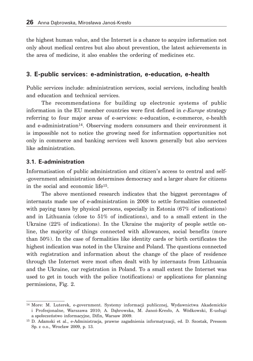the highest human value, and the Internet is a chance to acquire information not only about medical centres but also about prevention, the latest achievements in the area of medicine, it also enables the ordering of medicines etc.

#### **3. E-public services: e-administration, e-education, e-health**

Public services include: administration services, social services, including health and education and technical services.

The recommendations for building up electronic systems of public information in the EU member countries were first defined in *e-Europe* strategy referring to four major areas of e-services: e-education, e-commerce, e-health and e-administration14. Observing modern consumers and their environment it is impossible not to notice the growing need for information opportunities not only in commerce and banking services well known generally but also services like administration.

#### **3.1. E-administration**

Informatisation of public administration and citizen's access to central and self- -government administration determines democracy and a larger share for citizens in the social and economic life15.

The above mentioned research indicates that the biggest percentages of internauts made use of e-administration in 2008 to settle formalities connected with paying taxes by physical persons, especially in Estonia (67% of indications) and in Lithuania (close to 51% of indications), and to a small extent in the Ukraine (22% of indications). In the Ukraine the majority of people settle online, the majority of things connected with allowances, social benefits (more than 50%). In the case of formalities like identity cards or birth certificates the highest indication was noted in the Ukraine and Poland. The questions connected with registration and information about the change of the place of residence through the Internet were most often dealt with by internauts from Lithuania and the Ukraine, car registration in Poland. To a small extent the Internet was used to get in touch with the police (notifications) or applications for planning permissions, Fig. 2.

<sup>14</sup> More: M. Luterek, e-government. Systemy informacji publicznej, Wydawnictwa Akademickie i Profesjonalne, Warszawa 2010; A. Dąbrowska, M. Janoś-Kresło, A. Wódkowski, E-usługi a społeczeństwo informacyjne, Difin, Warsaw 2009.

<sup>15</sup> D. Adamski et al., e-Administracja, prawne zagadnienia informatyzacji, ed. D. Szostak, Pressom Sp. z o.o., Wrocław 2009, p. 13.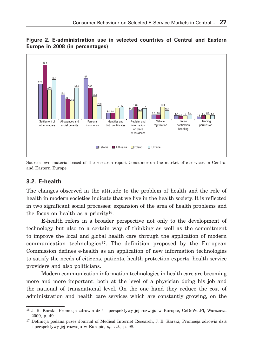

**Figure 2. E-administration use in selected countries of Central and Eastern Europe in 2008 (in percentages)**

Source: own material based of the research report Consumer on the market of e-services in Central and Eastern Europe.

#### **3.2. E-health**

The changes observed in the attitude to the problem of health and the role of health in modern societies indicate that we live in the health society. It is reflected in two significant social processes: expansion of the area of health problems and the focus on health as a priority16.

E-health refers in a broader perspective not only to the development of technology but also to a certain way of thinking as well as the commitment to improve the local and global health care through the application of modern communication technologies<sup>17</sup>. The definition proposed by the European Commission defines e-health as an application of new information technologies to satisfy the needs of citizens, patients, health protection experts, health service providers and also politicians.

Modern communication information technologies in health care are becoming more and more important, both at the level of a physician doing his job and the national of transnational level. On the one hand they reduce the cost of administration and health care services which are constantly growing, on the

<sup>16</sup> J. B. Karski, Promocja zdrowia dziś i perspektywy jej rozwoju w Europie, CeDeWu.Pl, Warszawa 2009, p. 49.

<sup>17</sup> Definicja podana przez Journal of Medical Internet Research, J. B. Karski, Promocja zdrowia dziś i perspektywy jej rozwoju w Europie, *op. cit.*, p. 98.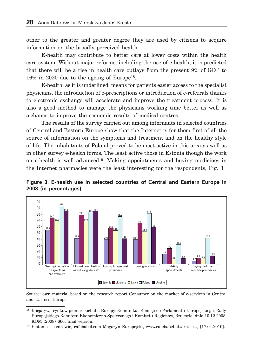other to the greater and greater degree they are used by citizens to acquire information on the broadly perceived health.

E-health may contribute to better care at lower costs within the health care system. Without major reforms, including the use of e-health, it is predicted that there will be a rise in health care outlays from the present 9% of GDP to 16% in 2020 due to the ageing of Europe18.

E-health, as it is underlined, means for patients easier access to the specialist physicians, the introduction of e-prescriptions or introduction of e-referrals thanks to electronic exchange will accelerate and improve the treatment process. It is also a good method to manage the physicians working time better as well as a chance to improve the economic results of medical centres.

The results of the survey carried out among internauts in selected countries of Central and Eastern Europe show that the Internet is for them first of all the source of information on the symptoms and treatment and on the healthy style of life. The inhabitants of Poland proved to be most active in this area as well as in other survey e-health forms. The least active those in Estonia though the work on e-health is well advanced19. Making appointments and buying medicines in the Internet pharmacies were the least interesting for the respondents, Fig. 3.





Source: own material based on the research report Consumer on the market of e-services in Central and Eastern Europe.

<sup>18</sup> Inicjatywa rynków pionierskich dla Europy, Komunikat Komisji do Parlamentu Europejskiego, Rady, Europejskiego Komitetu Ekonomiczno-Społecznego i Komitetu Regionów, Bruksela, dnia 10.12.2008, KOM (2008) 666, final version.

<sup>19</sup> E-stonia i e-zdrowie, cafebabel.com Magazyn Europejski, www.cafebabel.pl./article..., [17.04.2010].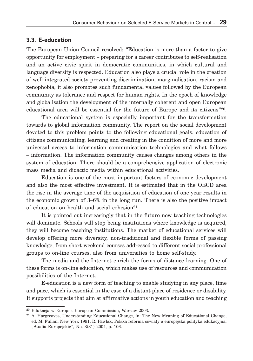#### **3.3. E-education**

The European Union Council resolved: "Education is more than a factor to give opportunity for employment – preparing for a career contributes to self-realisation and an active civic spirit in democratic communities, in which cultural and language diversity is respected. Education also plays a crucial role in the creation of well integrated society preventing discrimination, marginalisation, racism and xenophobia, it also promotes such fundamental values followed by the European community as tolerance and respect for human rights. In the epoch of knowledge and globalisation the development of the internally coherent and open European educational area will be essential for the future of Europe and its citizens"20.

The educational system is especially important for the transformation towards to global information community. The report on the social development devoted to this problem points to the following educational goals: education of citizens communicating, learning and creating in the condition of more and more universal access to information communication technologies and what follows – information. The information community causes changes among others in the system of education. There should be a comprehensive application of electronic mass media and didactic media within educational activities.

Education is one of the most important factors of economic development and also the most effective investment. It is estimated that in the OECD area the rise in the average time of the acquisition of education of one year results in the economic growth of 3–6% in the long run. There is also the positive impact of education on health and social cohesion<sup>21</sup>.

It is pointed out increasingly that in the future new teaching technologies will dominate. Schools will stop being institutions where knowledge is acquired, they will become teaching institutions. The market of educational services will develop offering more diversity, non-traditional and flexible forms of passing knowledge, from short weekend courses addressed to different social professional groups to on-line courses, also from universities to home self-study.

The media and the Internet enrich the forms of distance learning. One of these forms is on-line education, which makes use of resources and communication possibilities of the Internet.

E-education is a new form of teaching to enable studying in any place, time and pace, which is essential in the case of a distant place of residence or disability. It supports projects that aim at affirmative actions in youth education and teaching

<sup>20</sup> Edukacja w Europie, European Commission, Warsaw 2003.

<sup>21</sup> A. Hargreaves, Understanding Educational Change, in: The New Meaning of Educational Change, ed. M. Fullan, New York 1991; R. Pawlak, Polska reforma oświaty a europejska polityka edukacyjna, "Studia Europejskie", No. 3(31) 2004, p. 106.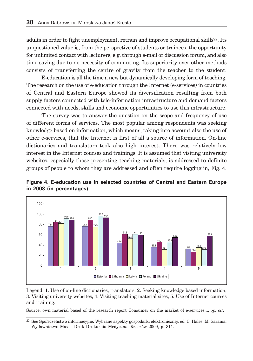adults in order to fight unemployment, retrain and improve occupational skills<sup>22</sup>. Its unquestioned value is, from the perspective of students or trainees, the opportunity for unlimited contact with lecturers, e.g. through e-mail or discussion forum, and also time saving due to no necessity of commuting. Its superiority over other methods consists of transferring the centre of gravity from the teacher to the student.

E-education is all the time a new but dynamically developing form of teaching. The research on the use of e-education through the Internet (e-services) in countries of Central and Eastern Europe showed its diversification resulting from both supply factors connected with tele-information infrastructure and demand factors connected with needs, skills and economic opportunities to use this infrastructure.

The survey was to answer the question on the scope and frequency of use of different forms of services. The most popular among respondents was seeking knowledge based on information, which means, taking into account also the use of other e-services, that the Internet is first of all a source of information. On-line dictionaries and translators took also high interest. There was relatively low interest in the Internet courses and trainings. It is assumed that visiting university websites, especially those presenting teaching materials, is addressed to definite groups of people to whom they are addressed and often require logging in, Fig. 4.





Legend: 1. Use of on-line dictionaries, translators, 2. Seeking knowledge based information, 3. Visiting university websites, 4. Visiting teaching material sites, 5. Use of Internet courses and training.

Source: own material based of the research report Consumer on the market of e-services..., *op. cit*.

<sup>22</sup> See Społeczeństwo informacyjne. Wybrane aspekty gospodarki elektronicznej, ed. C. Hales, M. Sarama, Wydawnictwo Max – Druk Drukarnia Medyczna, Rzeszów 2009, p. 311.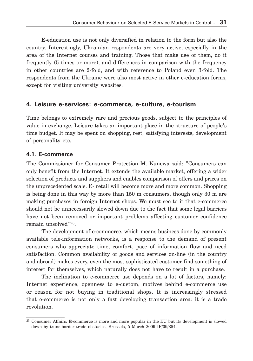E-education use is not only diversified in relation to the form but also the country. Interestingly, Ukrainian respondents are very active, especially in the area of the Internet courses and training. Those that make use of them, do it frequently (5 times or more), and differences in comparison with the frequency in other countries are 2-fold, and with reference to Poland even 3-fold. The respondents from the Ukraine were also most active in other e-education forms, except for visiting university websites.

#### **4. Leisure e-services: e-commerce, e-culture, e-tourism**

Time belongs to extremely rare and precious goods, subject to the principles of value in exchange. Leisure takes an important place in the structure of people's time budget. It may be spent on shopping, rest, satisfying interests, development of personality etc.

#### **4.1. E-commerce**

The Commissioner for Consumer Protection M. Kunewa said: "Consumers can only benefit from the Internet. It extends the available market, offering a wider selection of products and suppliers and enables comparison of offers and prices on the unprecedented scale. E- retail will become more and more common. Shopping is being done in this way by more than 150 m consumers, though only 30 m are making purchases in foreign Internet shops. We must see to it that e-commerce should not be unnecessarily slowed down due to the fact that some legal barriers have not been removed or important problems affecting customer confidence remain unsolved"23.

The development of e-commerce, which means business done by commonly available tele-information networks, is a response to the demand of present consumers who appreciate time, comfort, pace of information flow and need satisfaction. Common availability of goods and services on-line (in the country and abroad) makes every, even the most sophisticated customer find something of interest for themselves, which naturally does not have to result in a purchase.

The inclination to e-commerce use depends on a lot of factors, namely: Internet experience, openness to e-custom, motives behind e-commerce use or reason for not buying in traditional shops. It is increasingly stressed that e-commerce is not only a fast developing transaction area: it is a trade revolution.

<sup>23</sup> Consumer Affairs: E-commerce is more and more popular in the EU but its development is slowed down by trans-border trade obstacles, Brussels, 5 March 2009 IP/09/354.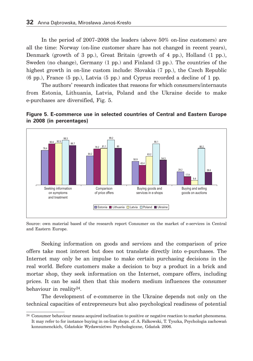In the period of 2007–2008 the leaders (above 50% on-line customers) are all the time: Norway (on-line customer share has not changed in recent years), Denmark (growth of 3 pp.), Great Britain (growth of 4 pp.), Holland (1 pp.), Sweden (no change), Germany (1 pp.) and Finland (3 pp.). The countries of the highest growth in on-line custom include: Slovakia (7 pp.), the Czech Republic (6 pp.), France (5 pp.), Latvia (5 pp.) and Cyprus recorded a decline of 1 pp.

The authors' research indicates that reasons for which consumers/internauts from Estonia, Lithuania, Latvia, Poland and the Ukraine decide to make e-purchases are diversified, Fig. 5.





Source: own material based of the research report Consumer on the market of e-services in Central and Eastern Europe.

Seeking information on goods and services and the comparison of price offers take most interest but does not translate directly into e-purchases. The Internet may only be an impulse to make certain purchasing decisions in the real world. Before customers make a decision to buy a product in a brick and mortar shop, they seek information on the Internet, compare offers, including prices. It can be said then that this modern medium influences the consumer behaviour in reality24.

The development of e-commerce in the Ukraine depends not only on the technical capacities of entrepreneurs but also psychological readiness of potential

 $^{24}$  Consumer behaviour means acquired inclination to positive or negative reaction to market phenomena. It may refer to for instance buying in on-line shops. cf. A. Falkowski, T. Tyszka, Psychologia zachowań konsumenckich, Gdańskie Wydawnictwo Psychologiczne, Gdańsk 2006.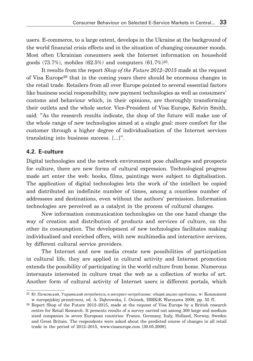users. E-commerce, to a large extent, develops in the Ukraine at the background of the world financial crisis effects and in the situation of changing consumer moods. Most often Ukrainian consumers seek the Internet information on household goods  $(73.7\%)$ , mobiles  $(62.5\%)$  and computers  $(61.7\%)^{25}$ .

It results from the report *Shop of the Future 2012–2015* made at the request of Visa Europe26 that in the coming years there should be enormous changes in the retail trade. Retailers from all over Europe pointed to several essential factors like business social responsibility, new payment technologies as well as consumers' customs and behaviour which, in their opinions, are thoroughly transforming their outlets and the whole sector. Vice-President of Visa Europe, Kelvin Smith, said: "As the research results indicate, the shop of the future will make use of the whole range of new technologies aimed at a single goal: more comfort for the customer through a higher degree of individualisation of the Internet services translating into business success. [...]".

#### **4.2. E-culture**

Digital technologies and the network environment pose challenges and prospects for culture, there are new forms of cultural expression. Technological progress made art enter the web: books, films, paintings were subject to digitalisation. The application of digital technologies lets the work of the intellect be copied and distributed an indefinite number of times, among a countless number of addressees and destinations, even without the authors' permission. Information technologies are perceived as a catalyst in the process of cultural changes.

New information communication technologies on the one hand change the way of creation and distribution of products and services of culture, on the other its consumption. The development of new technologies facilitates making individualised and enriched offers, with new multimedia and interactive services, by different cultural service providers.

The Internet and new media create new possibilities of participation in cultural life, they are applied in cultural activity and Internet promotion extends the possibility of participating in the world culture from home. Numerous internauts interested in culture treat the web as a collection of works of art. Another form of cultural activity of Internet users is different portals, which

<sup>25</sup> Ю. Пачковский, Украинский потребитель и интернет-потребление: общий анализ проблемы, w: Konsument w europejskiej przestrzeni, ed. A. Dąbrowska, I. Ozimek, IBRKiK Warszawa 2009, pp. 55 ff..

<sup>26</sup> Report Shop of the Future 2012–2015, made at the request of Visa Europe by a British research centre for Retail Research. It presents results of a survey carried out among 300 large and medium sized companies in seven European countries: France, Germany, Italy, Holland, Norway, Sweden and Great Britain. The respondents were asked about the predicted course of changes in all retail trade in the period of 2012–2015, www.visaeurope.com [30.05.2009].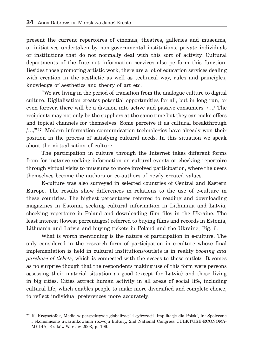present the current repertoires of cinemas, theatres, galleries and museums, or initiatives undertaken by non-governmental institutions, private individuals or institutions that do not normally deal with this sort of activity. Cultural departments of the Internet information services also perform this function. Besides those promoting artistic work, there are a lot of education services dealing with creation in the aesthetic as well as technical way, rules and principles, knowledge of aesthetics and theory of art etc.

"We are living in the period of transition from the analogue culture to digital culture. Digitalisation creates potential opportunities for all, but in long run, or even forever, there will be a division into active and passive consumers. /…/ The recipients may not only be the suppliers at the same time but they can make offers and topical channels for themselves. Some perceive it as cultural breakthrough  $/$ .../ $"^{27}$ . Modern information communication technologies have already won their position in the process of satisfying cultural needs. In this situation we speak about the virtualisation of culture.

The participation in culture through the Internet takes different forms from for instance seeking information on cultural events or checking repertoire through virtual visits to museums to more involved participation, where the users themselves become the authors or co-authors of newly created values.

E-culture was also surveyed in selected countries of Central and Eastern Europe. The results show differences in relations to the use of e-culture in these countries. The highest percentages referred to reading and downloading magazines in Estonia, seeking cultural information in Lithuania and Latvia, checking repertoire in Poland and downloading film files in the Ukraine. The least interest (lowest percentages) referred to buying films and records in Estonia, Lithuania and Latvia and buying tickets in Poland and the Ukraine, Fig. 6.

What is worth mentioning is the nature of participation in e-culture. The only considered in the research form of participation in e-culture whose final implementation is held in cultural institutions/outlets is in reality *booking and purchase of tickets*, which is connected with the access to these outlets. It comes as no surprise though that the respondents making use of this form were persons assessing their material situation as good (except for Latvia) and those living in big cities. Cities attract human activity in all areas of social life, including cultural life, which enables people to make more diversified and complete choice, to reflect individual preferences more accurately.

<sup>27</sup> K. Krzysztofek, Media w perspektywie globalizacji i cyfryzacji. Implikacje dla Polski, in: Społeczne i ekonomiczne uwarunkowania rozwoju kultury, 2nd National Congress CULKTURE-ECONOMY-MEDIA, Kraków-Warsaw 2003, p. 199.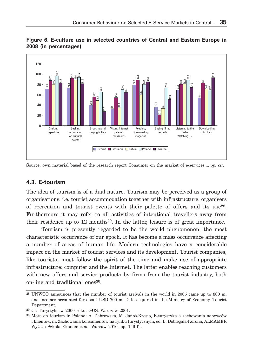



Source: own material based of the research report Consumer on the market of e-services..., *op. cit*.

#### **4.3. E-tourism**

The idea of tourism is of a dual nature. Tourism may be perceived as a group of organisations, i.e. tourist accommodation together with infrastructure, organisers of recreation and tourist events with their palette of offers and its use28. Furthermore it may refer to all activities of intentional travellers away from their residence up to  $12 \text{ months}^{29}$ . In the latter, leisure is of great importance.

Tourism is presently regarded to be the world phenomenon, the most characteristic occurrence of our epoch. It has become a mass occurrence affecting a number of areas of human life. Modern technologies have a considerable impact on the market of tourist services and its development. Tourist companies, like tourists, must follow the spirit of the time and make use of appropriate infrastructure: computer and the Internet. The latter enables reaching customers with new offers and service products by firms from the tourist industry, both on-line and traditional ones<sup>30</sup>.

<sup>28</sup> UNWTO announces that the number of tourist arrivals in the world in 2005 came up to 800 m, and incomes accounted for about USD 700 m. Data acquired in the Ministry of Economy, Tourist Department.

<sup>29</sup> Cf. Turystyka w 2000 roku. GUS, Warszaw 2001.

<sup>30</sup> More on tourism in Poland: A. Dąbrowska, M. Janoś-Kresło, E-turystyka a zachowania nabywców i klientów, in: Zachowania konsumentów na rynku turystycznym, ed. B. Dobiegała-Korona, ALMAMER Wyższa Szkoła Ekonomiczna, Warsaw 2010, pp. 149 ff..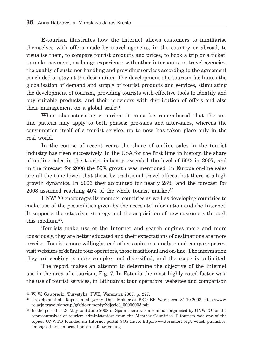E-tourism illustrates how the Internet allows customers to familiarise themselves with offers made by travel agencies, in the country or abroad, to visualise them, to compare tourist products and prices, to book a trip or a ticket, to make payment, exchange experience with other internauts on travel agencies, the quality of customer handling and providing services according to the agreement concluded or stay at the destination. The development of e-tourism facilitates the globalisation of demand and supply of tourist products and services, stimulating the development of tourism, providing tourists with effective tools to identify and buy suitable products, and their providers with distribution of offers and also their management on a global scale31.

When characterising e-tourism it must be remembered that the online pattern may apply to both phases: pre-sales and after-sales, whereas the consumption itself of a tourist service, up to now, has taken place only in the real world.

In the course of recent years the share of on-line sales in the tourist industry has risen successively. In the USA for the first time in history, the share of on-line sales in the tourist industry exceeded the level of 50% in 2007, and in the forecast for 2008 the 59% growth was mentioned. In Europe on-line sales are all the time lower that those by traditional travel offices, but there is a high growth dynamics. In 2006 they accounted for nearly 28%, and the forecast for 2008 assumed reaching  $40\%$  of the whole tourist market  $32$ .

UNWTO encourages its member countries as well as developing countries to make use of the possibilities given by the access to information and the Internet. It supports the e-tourism strategy and the acquisition of new customers through this medium33.

Tourists make use of the Internet and search engines more and more consciously, they are better educated and their expectations of destinations are more precise. Tourists more willingly read others opinions, analyse and compare prices, visit websites of definite tour operators, those traditional and on-line. The information they are seeking is more complex and diversified, and the scope is unlimited.

The report makes an attempt to determine the objective of the Internet use in the area of e-tourism, Fig. 7. In Estonia the most highly rated factor was: the use of tourist services, in Lithuania: tour operators' websites and comparison

<sup>31</sup> W. W. Gaworecki, Turystyka, PWE, Warszawa 2007, p. 277.

<sup>32</sup> Travelplanet.pl., Raport analityczny, Dom Maklerski PKO BP, Warszawa, 31.10.2008, http://www. relacje.travelplanet.pl/gfx/dokumenty/Zdjecie3\_00000003.pdf

<sup>33</sup> In the period of 24 May to 6 June 2008 in Spain there was a seminar organised by UNWTO for the representatives of tourism administrators from the Member Countries. E-tourism was one of the topics. UNWTO founded an Internet portal SOS.travel http://www.ternalert.org/, which publishes, among others, information on safe travelling.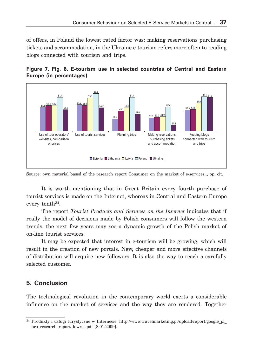of offers, in Poland the lowest rated factor was: making reservations purchasing tickets and accommodation, in the Ukraine e-tourism refers more often to reading blogs connected with tourism and trips.





Source: own material based of the research report Consumer on the market of e-services.., op. cit.

It is worth mentioning that in Great Britain every fourth purchase of tourist services is made on the Internet, whereas in Central and Eastern Europe every tenth<sup>34</sup>.

The report *Tourist Products and Services on the Internet* indicates that if really the model of decisions made by Polish consumers will follow the western trends, the next few years may see a dynamic growth of the Polish market of on-line tourist services.

It may be expected that interest in e-tourism will be growing, which will result in the creation of new portals. New, cheaper and more effective channels of distribution will acquire new followers. It is also the way to reach a carefully selected customer.

## **5. Conclusion**

The technological revolution in the contemporary world exerts a considerable influence on the market of services and the way they are rendered. Together

<sup>34</sup> Produkty i usługi turystyczne w Internecie, http://www.travelmarketing.pl/upload/raport/google\_pl\_ bro research report lowres.pdf [8.01.2009].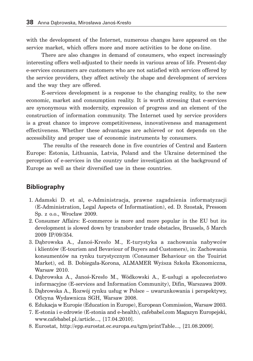with the development of the Internet, numerous changes have appeared on the service market, which offers more and more activities to be done on-line.

There are also changes in demand of consumers, who expect increasingly interesting offers well-adjusted to their needs in various areas of life. Present-day e-services consumers are customers who are not satisfied with services offered by the service providers, they affect actively the shape and development of services and the way they are offered.

E-services development is a response to the changing reality, to the new economic, market and consumption reality. It is worth stressing that e-services are synonymous with modernity, expression of progress and an element of the construction of information community. The Internet used by service providers is a great chance to improve competitiveness, innovativeness and management effectiveness. Whether these advantages are achieved or not depends on the accessibility and proper use of economic instruments by consumers.

 The results of the research done in five countries of Central and Eastern Europe: Estonia, Lithuania, Latvia, Poland and the Ukraine determined the perception of e-services in the country under investigation at the background of Europe as well as their diversified use in these countries.

# **Bibliography**

- 1. Adamski D. et al, e-Administracja, prawne zagadnienia informatyzacji (E-Administration, Legal Aspects of Informatisation), ed. D. Szostak, Pressom Sp. z o.o., Wrocław 2009.
- 2. Consumer Affairs: E-commerce is more and more popular in the EU but its development is slowed down by transborder trade obstacles, Brussels, 5 March 2009 IP/09/354.
- 3. Dąbrowska A., Janoś-Kresło M., E-turystyka a zachowania nabywców i klientów (E-tourism and Bevaviour of Buyers and Customers), in: Zachowania konsumentów na rynku turystycznym (Consumer Behaviour on the Touirist Market), ed. B. Dobiegała-Korona, ALMAMER Wyższa Szkoła Ekonomiczna, Warsaw 2010.
- 4. Dąbrowska A., Janoś-Kresło M., Wódkowski A., E-usługi a społeczeństwo informacyjne (E-services and Information Community), Difin, Warszawa 2009.
- 5. Dąbrowska A., Rozwój rynku usług w Polsce uwarunkowania i perspektywy, Oficyna Wydawnicza SGH, Warsaw 2008.
- 6. Edukacja w Europie (Education in Europe), European Commission, Warsaw 2003.
- 7. E-stonia i e-zdrowie (E-stonia and e-health), cafebabel.com Magazyn Europejski, www.cafebabel.pl./article..., [17.04.2010].
- 8. Eurostat, http://epp.eurostat.ec.europa.eu/tgm/printTable..., [21.08.2009].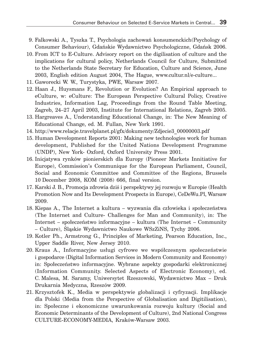- 9. Falkowski A., Tyszka T., Psychologia zachowań konsumenckich(Psychology of Consumer Behaviour), Gdańskie Wydawnictwo Psychologiczne, Gdańsk 2006.
- 10. From ICT to E-Culture. Advisory report on the digilisation of culture and the implications for cultural policy, Netherlands Council for Culture, Submitted to the Netherlands State Secretary for Education, Culture and Science, June 2003, English edition August 2004, The Hague, www.cultur.nl/e-culture...
- 11. Gaworecki W. W., Turystyka, PWE, Warsaw 2007.
- 12. Haan J., Huysmans F., Revolution or Evolution? An Empirical approach to eCulture, w: eCulture: The European Perspective Cultural Policy, Creative Industries, Information Lag, Proceedings from the Round Table Meeting, Zagreb, 24–27 April 2003, Institute for International Relations, Zagreb 2005.
- 13. Hargreaves A., Understanding Educational Change, in: The New Meaning of Educational Change, ed. M. Fullan, New York 1991.
- 14. http://www.relacje.travelplanet.pl/gfx/dokumenty/Zdjecie3\_00000003.pdf
- 15. Human Development Reports 2001: Making new technologies work for human development, Published for the United Nations Development Programme (UNDP), New York- Oxford, Oxford University Press 2001.
- 16. Inicjatywa rynków pionierskich dla Europy (Pioneer Markets Innitiative for Europe), Commission's Communique for the European Parliament, Council, Social and Economic Committee and Committee of the Regions, Brussels 10 December 2008, KOM (2008) 666, final version.
- 17. Karski J. B., Promocja zdrowia dziś i perspektywy jej rozwoju w Europie (Health Promotion Now and Its Development Prospects in Europe), CeDeWu.Pl, Warsaw 2009.
- 18. Kiepas A., The Internet a kultura wyzwania dla człowieka i społeczeństwa (The Internet and Culture- Challenges for Man and Community), in: The Internet – społeczeństwo informacyjne – kultura (The Internet – Community – Culture), Śląskie Wydawnictwo Naukowe WSzZiNS, Tychy 2006.
- 19. Kotler Ph., Armstrong G., Principles of Marketing, Pearson Education, Inc., Upper Saddle River, New Jersey 2010.
- 20. Kraus A., Informacyjne usługi cyfrowe we współczesnym społeczeństwie i gospodarce (Digital Information Services in Modern Community and Economy) in: Społeczeństwo informacyjne. Wybrane aspekty gospodarki elektronicznej (Information Community. Selected Aspects of Electronic Economy), ed. C. Malesa, M. Saramy, Uniwersytet Rzeszowski, Wydawnictwo Max – Druk Drukarnia Medyczna, Rzeszów 2009.
- 21. Krzysztofek K., Media w perspektywie globalizacji i cyfryzacji. Implikacje dla Polski (Media from the Perspective of Globalisation and Digitilisation), in: Społeczne i ekonomiczne uwarunkowania rozwoju kultury (Social and Economic Determinants of the Development of Culture), 2nd National Congress CULTURE-ECONOMY-MEDIA, Kraków-Warsaw 2003.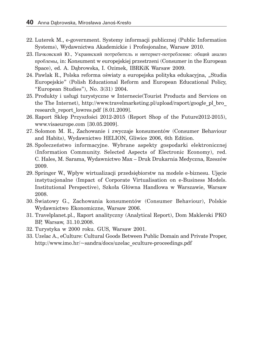- 22. Luterek M., e-government. Systemy informacji publicznej (Public Information Systems), Wydawnictwa Akademickie i Profesjonalne, Warsaw 2010.
- 23. Пачковский Ю., Украинский потребитель и интернет-потребление: общий анализ проблемы, in: Konsument w europejskiej przestrzeni (Consumer in the European Space), ed. A. Dąbrowska, I. Ozimek, IBRKiK Warsaw 2009.
- 24. Pawlak R., Polska reforma oświaty a europejska polityka edukacyjna, "Studia Europejskie" (Polish Educational Reform and European Educational Policy, "European Studies"), No. 3(31) 2004.
- 25. Produkty i usługi turystyczne w Internecie(Tourist Products and Services on the The Internet), http://www.travelmarketing.pl/upload/raport/google\_pl\_bro\_ research\_report\_lowres.pdf [8.01.2009].
- 26. Raport Sklep Przyszłości 2012-2015 (Report Shop of the Future2012-2015), www.visaeurope.com [30.05.2009].
- 27. Solomon M. R., Zachowanie i zwyczaje konsumentów (Consumer Behaviour and Habits), Wydawnictwo HELION, Gliwice 2006, 6th Edition.
- 28. Społeczeństwo informacyjne. Wybrane aspekty gospodarki elektronicznej (Information Community. Selected Aspects of Electronic Economy), red. C. Hales, M. Sarama, Wydawnictwo Max – Druk Drukarnia Medyczna, Rzeszów 2009.
- 29. Springer W., Wpływ wirtualizacji przedsiębiorstw na modele e-biznesu. Ujęcie instytucjonalne (Impact of Corporate Virtualisation on e-Business Models. Institutional Perspective), Szkoła Główna Handlowa w Warszawie, Warsaw 2008.
- 30. Światowy G., Zachowania konsumentów (Consumer Behaviour), Polskie Wydawnictwo Ekonomiczne, Warsaw 2006.
- 31. Travelplanet.pl., Raport analityczny (Analytical Report), Dom Maklerski PKO BP, Warsaw, 31.10.2008.
- 32. Turystyka w 2000 roku. GUS, Warsaw 2001.
- 33. Uzelac A., eCulture: Cultural Goods Between Public Domain and Private Proper, http://www.imo.hr/~sandra/docs/uzelac\_eculture-proceedings.pdf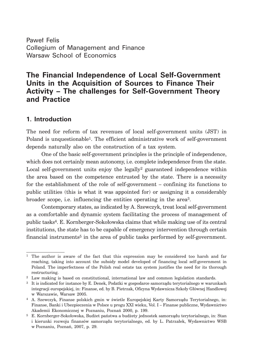Paweł Felis Collegium of Management and Finance Warsaw School of Economics

# **The Financial Independence of Local Self-Government Units in the Acquisition of Sources to Finance Their Activity – The challenges for Self-Government Theory and Practice**

## **1. Introduction**

The need for reform of tax revenues of local self-government units (JST) in Poland is unquestionable1. The efficient administrative work of self-government depends naturally also on the construction of a tax system.

One of the basic self-government principles is the principle of independence, which does not certainly mean autonomy, *i.e.* complete independence from the state. Local self-government units enjoy the legally<sup>2</sup> guaranteed independence within the area based on the competence entrusted by the state. There is a necessity for the establishment of the role of self-government – confining its functions to public utilities (this is what it was appointed for) or assigning it a considerably broader scope, i.e. influencing the entities operating in the area<sup>3</sup>.

Contemporary states, as indicated by A. Szewczyk, treat local self-government as a comfortable and dynamic system facilitating the process of management of public tasks4. E. Kornberger-Sokołowska claims that while making use of its central institutions, the state has to be capable of emergency intervention through certain financial instruments5 in the area of public tasks performed by self-government.

<sup>1</sup> The author is aware of the fact that this expression may be considered too harsh and far reaching, taking into account the subsidy model developed of financing local self-government in Poland. The imperfectness of the Polish real estate tax system justifies the need for its thorough restructuring.

<sup>2</sup> Law making is based on constitutional, international law and common legislation standards.

<sup>3</sup> It is indicated for instance by E. Denek, Podatki w gospodarce samorządu terytorialnego w warunkach integracji europejskiej, in: Finanse, ed. by B. Pietrzak, Oficyna Wydawnicza Szkoły Głównej Handlowej w Warszawie, Warsaw 2005.

<sup>4</sup> A. Szewczyk, Finanse polskich gmin w świetle Europejskiej Karty Samorządu Terytorialnego, in: Finanse, Banki i Ubezpieczenia w Polsce u progu XXI wieku, Vol. I – Finanse publiczne, Wydawnictwo Akademii Ekonomicznej w Poznaniu, Poznań 2000, p. 199.

<sup>5</sup> E. Kornberger-Sokołowska, Budżet państwa a budżety jednostek samorządu terytorialnego, in: Stan i kierunki rozwoju finansów samorządu terytorialnego, ed. by L. Patrzałek, Wydawnictwo WSB w Poznaniu, Poznań, 2007, p. 29.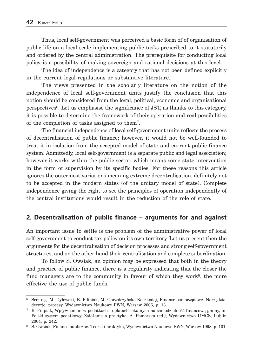Thus, local self-government was perceived a basic form of of organisation of public life on a local scale implementing public tasks prescribed to it statutorily and ordered by the central administration. The prerequisite for conducting local policy is a possibility of making sovereign and rational decisions at this level.

The idea of independence is a category that has not been defined explicitly in the current legal regulations or substantive literature.

The views presented in the scholarly literature on the notion of the independence of local self-government units justify the conclusion that this notion should be considered from the legal, political, economic and organisational perspectives6. Let us emphasise the significance of JST, as thanks to this category, it is possible to determine the framework of their operation and real possibilities of the completion of tasks assigned to them7.

The financial independence of local self-government units reflects the process of decentralisation of public finance; however, it would not be well-founded to treat it in isolation from the accepted model of state and current public finance system. Admittedly, local self-government is a separate public and legal association; however it works within the public sector, which means some state intervention in the form of supervision by its specific bodies. For these reasons this article ignores the outermost variations meaning extreme decentralisation, definitely not to be accepted in the modern states (of the unitary model of state). Complete independence giving the right to set the principles of operation independently of the central institutions would result in the reduction of the role of state.

#### **2. Decentralisation of public finance – arguments for and against**

An important issue to settle is the problem of the administrative power of local self-government to conduct tax policy on its own territory. Let us present then the arguments for the decentralisation of decision processes and strong self-government structures, and on the other hand their centralisation and complete subordination.

To follow S. Owsiak, an opinion may be expressed that both in the theory and practice of public finance, there is a regularity indicating that the closer the fund managers are to the community in favour of which they work<sup>8</sup>, the more effective the use of public funds.

<sup>6</sup> See: e.g. M. Dylewski, B. Filipiak, M. Gorzałczyńska-Koczkodaj, Finanse samorządowe. Narzędzia, decyzje, procesy, Wydawnictwo Naukowe PWN, Warsaw 2006, p. 13.

<sup>7</sup> B. Filipiak, Wpływ zmian w podatkach i opłatach lokalnych na samodzielność finansową gminy, in: Polski system podatkowy. Założenia a praktyka, A. Pomorska (ed.), Wydawnictwo UMCS, Lublin 2004, p. 242.

<sup>8</sup> S. Owsiak, Finanse publiczne. Teoria i praktyka, Wydawnictwo Naukowe PWN, Warsaw 1998, p. 101.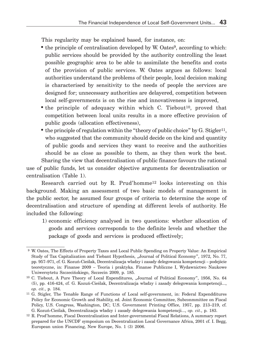This regularity may be explained based, for instance, on:

- the principle of centralisation developed by W. Oates<sup>9</sup>, according to which: public services should be provided by the authority controlling the least possible geographic area to be able to assimilate the benefits and costs of the provision of public services. W. Oates argues as follows: local authorities understand the problems of their people, local decision making is characterised by sensitivity to the needs of people the services are designed for; unnecessary authorities are delayered, competition between local self-governments is on the rise and innovativeness is improved,
- the principle of adequacy within which C. Tiebout<sup>10</sup>, proved that competition between local units results in a more effective provision of public goods (allocation effectiveness),
- the principle of regulation within the "theory of public choice" by  $G$ . Stigler<sup>11</sup>, who suggested that the community should decide on the kind and quantity of public goods and services they want to receive and the authorities should be as close as possible to them, as they then work the best. Sharing the view that decentralisation of public finance favours the rational

use of public funds, let us consider objective arguments for decentralisation or centralisation (Table 1).

Research carried out by R. Prud'homme12 looks interesting on this background. Making an assessment of two basic models of management in the public sector, he assumed four groups of criteria to determine the scope of decentralisation and structure of spending at different levels of authority. He included the following:

 1) economic efficiency analysed in two questions: whether allocation of goods and services corresponds to the definite levels and whether the package of goods and services is produced effectively;

 <sup>9</sup> W. Oates, The Effects of Property Taxes and Local Public Spending on Property Value: An Empirical Study of Tax Capitalization and Tiebant Hypothesis, "Journal of Political Economy", 1972, No. 77, pp. 957–971, cf. G. Kozuń-Cieślak, Decentralizacja władzy i zasady delegowania kompetencji – podejście teoretyczne, in: Finanse 2009 – Teoria i praktyka. Finanse Publiczne I, Wydawnictwo Naukowe Uniwersytetu Szczecińskiego, Szczecin 2009, p. 185.

<sup>&</sup>lt;sup>10</sup> C. Tiebout, A Pure Theory of Local Expenditures, "Journal of Political Economy", 1956, No. 64 (5), pp. 416-424, cf. G. Kozuń-Cieślak, Decentralizacja władzy i zasady delegowania kompetencji..., *op. cit.*, p. 184.

<sup>11</sup> G. Stigler, The Tenable Range of Functions of Local self-government, in: Federal Expendditures Policy for Economic Growth and Stability, ed. Joint Economic Committee, Subconmmittee on Fiscal Policy, U.S. Congress, Washington, DC; U.S. Government Printing Office, 1957, pp. 213–219, cf. G. Kozuń-Cieślak, Decentralizacja władzy i zasady delegowania kompetencji..., *op. cit.*, p. 183.

<sup>12</sup> R. Prod'homme, Fiscal Decentralization and Inter-governmental Fiscal Relations, A summary report prepared for the UNCDF symposium on Decentralization Local Governance Africa, 2001 cf. I. Begg, European union Financing, New Europe, No. 1 (3) 2006.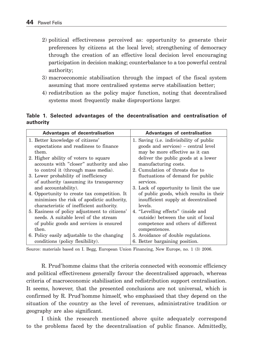- 2) political effectiveness perceived as: opportunity to generate their preferences by citizens at the local level; strengthening of democracy through the creation of an effective local decision level encouraging participation in decision making; counterbalance to a too powerful central authority;
- 3) macroeconomic stabilisation through the impact of the fiscal system assuming that more centralised systems serve stabilisation better;
- 4) redistribution as the policy major function, noting that decentralised systems most frequently make disproportions larger.

#### **Table 1. Selected advantages of the decentralisation and centralisation of authority**

| Advantages of decentralisation                | Advantages of centralisation                     |
|-----------------------------------------------|--------------------------------------------------|
| 1. Better knowledge of citizens'              | 1. Saving ( <i>i.e.</i> indivisibility of public |
| expectations and readiness to finance         | goods and services) – central level              |
| them.                                         | may be more effective as it can                  |
| 2. Higher ability of voters to square         | deliver the public goods at a lower              |
| accounts with "closer" authority and also     | manufacturing costs.                             |
| to control it (through mass media).           | 2. Cumulation of threats due to                  |
| 3. Lower probability of inefficiency          | fluctuations of demand for public                |
| of authority (assuming its transparency       | services.                                        |
| and accountability).                          | 3. Lack of opportunity to limit the use          |
| 4. Opportunity to create tax competition. It  | of public goods, which results in their          |
| minimises the risk of apodictic authority,    | insufficient supply at decentralised             |
| characteristic of inefficient authority.      | levels.                                          |
| 5. Easiness of policy adjustment to citizens' | 4. "Levelling effects" (inside and               |
| needs. A suitable level of the stream         | outside) between the unit of local               |
| of public goods and services is ensured       | competence and others of different               |
| then.                                         | compentences.                                    |
| 6. Policy easily adjustable to the changing   | 5. Avoidance of double regulations.              |
| conditions (policy flexibility).              | 6. Better bargaining position.                   |

Source: materials based on I. Begg, European Union Financing, New Europe, no. 1 (3) 2006.

R. Prud'homme claims that the criteria connected with economic efficiency and political effectiveness generally favour the decentralised approach, whereas criteria of macroeconomic stabilisation and redistribution support centralisation. It seems, however, that the presented conclusions are not universal, which is confirmed by R. Prud'homme himself, who emphasised that they depend on the situation of the country as the level of revenues, administrative tradition or geography are also significant.

I think the research mentioned above quite adequately correspond to the problems faced by the decentralisation of public finance. Admittedly,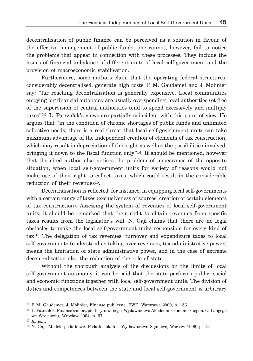decentralisation of public finance can be perceived as a solution in favour of the effective management of public funds; one cannot, however, fail to notice the problems that appear in connection with these processes. They include the issues of financial imbalance of different units of local self-government and the provision of macroeconomic stabilisation.

Furthermore, some authors claim that the operating federal structures, considerably decentralised, generate high costs. P. M. Gaudemet and J. Molinier say: "far reaching decentralisation is generally expensive. Local communities enjoying big financial autonomy are usually overspending, local authorities set free of the supervision of central authorities tend to spend excessively and multiply taxes"13. L. Patrzałek's views are partially coincident with this point of view. He argues that "in the condition of chronic shortages of public funds and unlimited collective needs, there is a real threat that local self-government units can take maximum advantage of the independent creation of elements of tax construction, which may result in depreciation of this right as well as the possibilities involved, bringing it down to the fiscal function only  $14$ . It should be mentioned, however that the cited author also notices the problem of appearance of the opposite situation, when local self-government units for variety of reasons would not make use of their right to collect taxes, which could result in the considerable reduction of their revenues<sup>15</sup>.

Decentralisation is reflected, for instance, in equipping local self-governments with a certain range of taxes (exclusiveness of sources, creation of certain elements of tax construction). Assessing the system of revenues of local self-government units, it should be remarked that their right to obtain revenues from specific taxes results from the legislator's will. N. Gajl claims that there are no legal obstacles to make the local self-government units responsible for every kind of tax16. The delegation of tax revenues, turnover and expenditure taxes to local self-governments (understood as taking over revenues, tax administrative power) means the limitation of state administrative power, and in the case of extreme decentralisation also the reduction of the role of state.

Without the thorough analysis of the discussions on the limits of local self-government autonomy, it can be said that the state performs public, social and economic functions together with local self-government units. The division of duties and competences between the state and local self-government is arbitrary

<sup>13</sup> P. M. Gaudemet, J. Molinier, Finanse publiczne, PWE, Warszawa 2000, p. 156.

<sup>14</sup> L. Patrzałek, Finanse samorządu terytorialnego, Wydawnictwo Akademii Ekonomicznej im. O. Langego we Wrocławiu, Wrocław 2004, p. 67.

<sup>15</sup> *Ibidem*.

<sup>16</sup> N. Gajl, Modele podatkowe. Podatki lokalne, Wydawnictwo Sejmowe, Warsaw 1996, p. 24.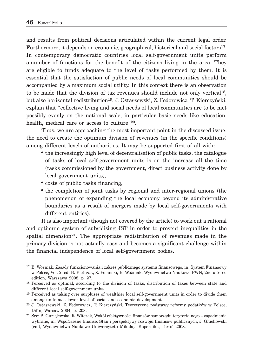and results from political decisions articulated within the current legal order. Furthermore, it depends on economic, geographical, historical and social factors17. In contemporary democratic countries local self-government units perform a number of functions for the benefit of the citizens living in the area. They are eligible to funds adequate to the level of tasks performed by them. It is essential that the satisfaction of public needs of local communities should be accompanied by a maximum social utility. In this context there is an observation to be made that the division of tax revenues should include not only vertical18, but also horizontal redistribution19. J. Ostaszewski, Z. Fedorowicz, T. Kierczyński, explain that "collective living and social needs of local communities are to be met possibly evenly on the national scale, in particular basic needs like education, health, medical care or access to culture"<sup>20</sup>.

Thus, we are approaching the most important point in the discussed issue: the need to create the optimum division of revenues (in the specific conditions) among different levels of authorities. It may be supported first of all with:

- the increasingly high level of decentralisation of public tasks, the catalogue of tasks of local self-government units is on the increase all the time (tasks commissioned by the government, direct business activity done by local government units),
- costs of public tasks financing,
- the completion of joint tasks by regional and inter-regional unions (the phenomenon of expanding the local economy beyond its administrative boundaries as a result of mergers made by local self-governments with different entities).

It is also important (though not covered by the article) to work out a rational and optimum system of subsidising JST in order to prevent inequalities in the spatial dimension<sup>21</sup>. The appropriate redistribution of revenues made in the primary division is not actually easy and becomes a significant challenge within the financial independence of local self-government bodies.

<sup>17</sup> B. Woźniak, Zasady funkcjonowania i zakres publicznego systemu finansowego, in: System Finansowy w Polsce, Vol. 2, ed. B. Pietrzak, Z. Polański, B. Woźniak, Wydawnictwo Naukowe PWN, 2nd altered edition, Warszawa 2008, p. 27.

<sup>18</sup> Perceived as optimal, according to the division of tasks, distribution of taxes between state and different local self-government units.

<sup>19</sup> Perceived as taking over surpluses of wealthier local self-government units in order to divide them among units at a lower level of social and economic development.

<sup>20</sup> J. Ostaszewski, Z. Fedorowicz, T. Kierczyński, Teoretyczne podstawy reformy podatków w Polsce, Difin, Warsaw 2004, p. 208.

<sup>21</sup> See: B. Guziejewska, R. Witczak, Wokół efektywności finansów samorządu terytorialnego – zagadnienia wybrane, in: Współczesne finanse. Stan i perspektywy rozwoju finansów publicznych, J. Głuchowski (ed.), Wydawnictwo Naukowe Uniwersytetu Mikołaja Kopernika, Toruń 2008.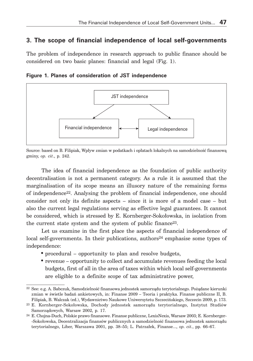# **3. The scope of financial independence of local self-governments**

The problem of independence in research approach to public finance should be considered on two basic planes: financial and legal (Fig. 1).

**Figure 1. Planes of consideration of JST independence**



Source: based on B. Filipiak, Wpływ zmian w podatkach i opłatach lokalnych na samodzielność finansową gminy, *op. cit*., p. 242.

The idea of financial independence as the foundation of public authority decentralisation is not a permanent category. As a rule it is assumed that the marginalisation of its scope means an illusory nature of the remaining forms of independence22. Analysing the problem of financial independence, one should consider not only its definite aspects – since it is more of a model case – but also the current legal regulations serving as effective legal guarantees. It cannot be considered, which is stressed by E. Kornberger-Sokołowska, in isolation from the current state system and the system of public finance23.

Let us examine in the first place the aspects of financial independence of local self-governments. In their publications, authors<sup>24</sup> emphasise some types of independence:

- procedural opportunity to plan and resolve budgets,
- revenue opportunity to collect and accumulate revenues feeding the local budgets, first of all in the area of taxes within which local self-governments are eligible to a definite scope of tax administrative power,

<sup>22</sup> See: e.g. A. Babczuk, Samodzielność finansowa jednostek samorządu terytorialnego. Pożądane kierunki zmian w świetle badań ankietowych, in: Finanse 2009 – Teoria i praktyka. Finanse publiczne II, B. Filipiak, B. Walczak (ed.), Wydawnictwo Naukowe Uniwersytetu Szczecińskiego, Szczecin 2009, p. 173.

<sup>23</sup> E. Kornberger-Sokołowska, Dochody jednostek samorządu terytorialnego, Instytut Studiów Samorządowych, Warsaw 2002, p. 17.

<sup>24</sup> E. Chojna-Duch, Polskie prawo finansowe. Finanse publiczne, LexisNexis, Warsaw 2003; E. Kornberger- -Sokołowska, Decentralizacja finansów publicznych a samodzielność finansowa jednostek samorządu terytorialnego, Liber, Warszawa 2001, pp. 38–55; L. Patrzałek, Finanse..., *op. cit.*, pp. 66–67.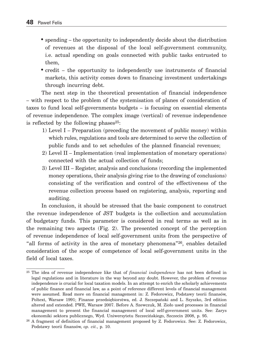- spending the opportunity to independently decide about the distribution of revenues at the disposal of the local self-government community, i.e. actual spending on goals connected with public tasks entrusted to them,
- credit the opportunity to independently use instruments of financial markets, this activity comes down to financing investment undertakings through incurring debt.

The next step in the theoretical presentation of financial independence – with respect to the problem of the systemisation of planes of consideration of taxes to fund local self-governments budgets – is focusing on essential elements of revenue independence. The complex image (vertical) of revenue independence is reflected by the following phases $25$ :

- 1) Level I Preparation (preceding the movement of public money) within which rules, regulations and tools are determined to serve the collection of public funds and to set schedules of the planned financial revenues;
- 2) Level II Implementation (real implementation of monetary operations) connected with the actual collection of funds;
- 3) Level III Register, analysis and conclusions (recording the implemented money operations, their analysis giving rise to the drawing of conclusions) consisting of the verification and control of the effectiveness of the revenue collection process based on registering, analysis, reporting and auditing.

In conclusion, it should be stressed that the basic component to construct the revenue independence of JST budgets is the collection and accumulation of budgetary funds. This parameter is considered in real terms as well as in the remaining two aspects (Fig. 2). The presented concept of the perception of revenue independence of local self-government units from the perspective of "all forms of activity in the area of monetary phenomena"26, enables detailed consideration of the scope of competence of local self-government units in the field of local taxes.

<sup>25</sup> The idea of revenue independence like that of *financial independence* has not been defined in legal regulations and in literature in the way beyond any doubt. However, the problem of revenue independence is crucial for local taxation models. In an attempt to enrich the scholarly achievements of public finance and financial law, as a point of reference different levels of financial management were assumed. Read more on financial management in: Z. Fedorowicz, Podstawy teorii finansów, Poltext, Warsaw 1991; Finanse przedsiębiorstwa, ed. J. Szczepański and L. Szyszko, 3rd edition altered and extended. PWE, Warsaw 2007. Before A. Szewczuk, M. Zioło used processes in financial management to present the financial management of local self-government units. See: Zarys ekonomiki sektora publicznego, Wyd. Uniwersytetu Szczecińskiego, Szczecin 2008, p. 95.

<sup>26</sup> A fragment of definition of financial management proposed by Z. Fedorowicz. See: Z. Fedorowicz, Podstawy teorii finansów, *op. cit.*, p. 10.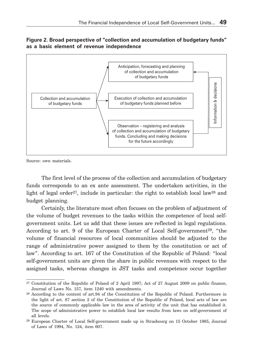#### **Figure 2. Broad perspective of "collection and accumulation of budgetary funds" as a basic element of revenue independence**



Source: own materials.

The first level of the process of the collection and accumulation of budgetary funds corresponds to an ex ante assessment. The undertaken activities, in the light of legal order<sup>27</sup>, include in particular: the right to establish local law<sup>28</sup> and budget planning.

Certainly, the literature most often focuses on the problem of adjustment of the volume of budget revenues to the tasks within the competence of local selfgovernment units. Let us add that these issues are reflected in legal regulations. According to art. 9 of the European Charter of Local Self-government<sup>29</sup>, "the volume of financial resources of local communities should be adjusted to the range of administrative power assigned to them by the constitution or act of law". According to art. 167 of the Constitution of the Republic of Poland: "local self-government units are given the share in public revenues with respect to the assigned tasks, whereas changes in JST tasks and competence occur together

<sup>27</sup> Constitution of the Republic of Poland of 2 April 1997; Act of 27 August 2009 on public finance, Journal of Laws No. 157, item 1240 with amendments.

<sup>28</sup> According to the content of art.94 of the Constitution of the Republic of Poland. Furthermore in the light of art. 87 section 2 of the Constitution of the Republic of Poland, local acts of law are the source of commonly applicable law in the area of activity of the unit that has established it. The scope of administrative power to establish local law results from laws on self-government of all levels.

<sup>29</sup> European Charter of Local Self-government made up in Strasbourg on 15 October 1985, Journal of Laws of 1994, No. 124, item 607.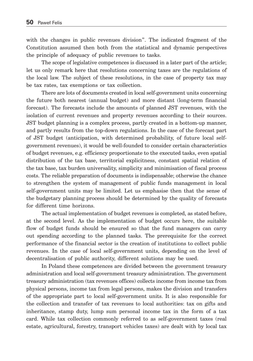with the changes in public revenues division". The indicated fragment of the Constitution assumed then both from the statistical and dynamic perspectives the principle of adequacy of public revenues to tasks.

The scope of legislative competences is discussed in a later part of the article; let us only remark here that resolutions concerning taxes are the regulations of the local law. The subject of these resolutions, in the case of property tax may be tax rates, tax exemptions or tax collection.

There are lots of documents created in local self-government units concerning the future both nearest (annual budget) and more distant (long-term financial forecast). The forecasts include the amounts of planned JST revenues, with the isolation of current revenues and property revenues according to their sources. JST budget planning is a complex process, partly created in a bottom-up manner, and partly results from the top-down regulations. In the case of the forecast part of JST budget (anticipation, with determined probability, of future local selfgovernment revenues), it would be well-founded to consider certain characteristics of budget revenues, e.g. efficiency proportionate to the executed tasks, even spatial distribution of the tax base, territorial explicitness, constant spatial relation of the tax base, tax burden universality, simplicity and minimisation of fiscal process costs. The reliable preparation of documents is indispensable; otherwise the chance to strengthen the system of management of public funds management in local self-government units may be limited. Let us emphasise then that the sense of the budgetary planning process should be determined by the quality of forecasts for different time horizons.

The actual implementation of budget revenues is completed, as stated before, at the second level. As the implementation of budget occurs here, the suitable flow of budget funds should be ensured so that the fund managers can carry out spending according to the planned tasks. The prerequisite for the correct performance of the financial sector is the creation of institutions to collect public revenues. In the case of local self-government units, depending on the level of decentralisation of public authority, different solutions may be used.

In Poland these competences are divided between the government treasury administration and local self-government treasury administration. The government treasury administration (tax revenues offices) collects income from income tax from physical persons, income tax from legal persons, makes the division and transfers of the appropriate part to local self-government units. It is also responsible for the collection and transfer of tax revenues to local authorities: tax on gifts and inheritance, stamp duty, lump sum personal income tax in the form of a tax card. While tax collection commonly referred to as self-government taxes (real estate, agricultural, forestry, transport vehicles taxes) are dealt with by local tax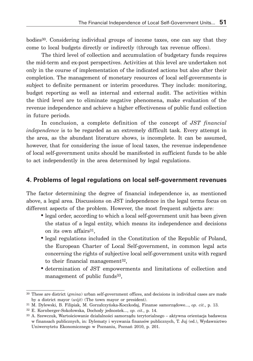bodies30. Considering individual groups of income taxes, one can say that they come to local budgets directly or indirectly (through tax revenue offices).

The third level of collection and accumulation of budgetary funds requires the mid-term and ex-post perspectives. Activities at this level are undertaken not only in the course of implementation of the indicated actions but also after their completion. The management of monetary resources of local self-governments is subject to definite permanent or interim procedures. They include: monitoring, budget reporting as well as internal and external audit. The activities within the third level are to eliminate negative phenomena, make evaluation of the revenue independence and achieve a higher effectiveness of public fund collection in future periods.

In conclusion, a complete definition of the concept of *JST financial independence* is to be regarded as an extremely difficult task. Every attempt in the area, as the abundant literature shows, is incomplete. It can be assumed, however, that for considering the issue of local taxes, the revenue independence of local self-government units should be manifested in sufficient funds to be able to act independently in the area determined by legal regulations.

## **4. Problems of legal regulations on local self-government revenues**

The factor determining the degree of financial independence is, as mentioned above, a legal area. Discussions on JST independence in the legal terms focus on different aspects of the problem. However, the most frequent subjects are:

- legal order, according to which a local self-government unit has been given the status of a legal entity, which means its independence and decisions on its own affairs $31$ ,
- legal regulations included in the Constitution of the Republic of Poland, the European Charter of Local Self-government, in common legal acts concerning the rights of subjective local self-government units with regard to their financial management<sup>32</sup>,
- determination of JST empowerments and limitations of collection and management of public funds<sup>33</sup>,

<sup>30</sup> These are district (*gmina*) urban self-government offices, and decisions in individual cases are made by a district mayor (*wójt*) (The town mayor or president).

<sup>31</sup> M. Dylewski, B. Filipiak, M. Gorzałczyńska-Koczkodaj, Finanse samorządowe..., *op. cit.*, p. 13.

<sup>32</sup> E. Kornberger-Sokołowska, Dochody jednostek..., *op. cit.*, p. 14.

<sup>33</sup> A. Szewczuk, Wartościowanie działalności samorządu terytorialnego – aktywna orientacja badawcza w finansach publicznych, in: Dylematy i wyzwania finansów publicznych, T. Juj (ed.), Wydawnictwo Uniwersytetu Ekonomicznego w Poznaniu, Poznań 2010, p. 201.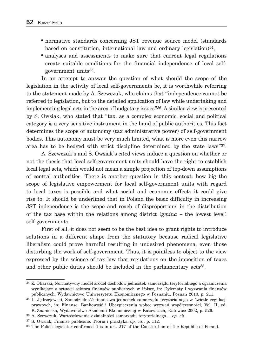- normative standards concerning JST revenue source model (standards based on constitution, international law and ordinary legislation)<sup>34</sup>,
- analyses and assessments to make sure that current legal regulations create suitable conditions for the financial independence of local selfgovernment units35.

In an attempt to answer the question of what should the scope of the legislation in the activity of local self-governments be, it is worthwhile referring to the statement made by A. Szewczuk, who claims that "independence cannot be referred to legislation, but to the detailed application of law while undertaking and implementing legal acts in the area of budgetary issues"36. A similar view is presented by S. Owsiak, who stated that "tax, as a complex economic, social and political category is a very sensitive instrument in the hand of public authorities. This fact determines the scope of autonomy (tax administrative power) of self-government bodies. This autonomy must be very much limited, what is more even this narrow area has to be hedged with strict discipline determined by the state laws"37.

A. Szewczuk's and S. Owsiak's cited views induce a question on whether or not the thesis that local self-government units should have the right to establish local legal acts, which would not mean a simple projection of top-down assumptions of central authorities. There is another question in this context: how big the scope of legislative empowerment for local self-government units with regard to local taxes is possible and what social and economic effects it could give rise to. It should be underlined that in Poland the basic difficulty in increasing JST independence is the scope and reach of disproportions in the distribution of the tax base within the relations among district (*gmina* – the lowest level) self-governments.

First of all, it does not seem to be the best idea to grant rights to introduce solutions in a different shape from the statutory because radical legislative liberalism could prove harmful resulting in undesired phenomena, even those disturbing the work of self-government. Thus, it is pointless to object to the view expressed by the science of tax law that regulations on the imposition of taxes and other public duties should be included in the parliamentary acts<sup>38</sup>.

<sup>34</sup> Z. Ofiarski, Normatywny model źródeł dochodów jednostek samorządu terytorialnego a ograniczenia wynikające z sytuacji sektora finansów publicznych w Polsce, in: Dylematy i wyzwania finansów publicznych, Wydawnictwo Uniwersytetu Ekonomicznego w Poznaniu, Poznań 2010, p. 211.

<sup>35</sup> L. Jędrzejewski, Samodzielność finansowa jednostek samorządu terytorialnego w świetle regulacji prawnych, in: Finanse, Bankowość i Ubezpieczenia wobec wyzwań współczesności, Vol. II, ed. K. Znaniecka, Wydawnictwo Akademii Ekonomicznej w Katowicach, Katowice 2002, p. 526.

<sup>36</sup> A. Szewczuk, Wartościowanie działalności samorządu terytorialnego..., *op. cit*.

<sup>37</sup> S. Owsiak, Finanse publiczne. Teoria i praktyka, *op. cit.*, p. 112.

<sup>38</sup> The Polish legislator confirmed this in art. 217 of the Constitution of the Republic of Poland.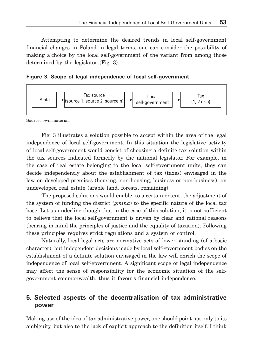Attempting to determine the desired trends in local self-government financial changes in Poland in legal terms, one can consider the possibility of making a choice by the local self-government of the variant from among those determined by the legislator (Fig. 3).

**Figure 3. Scope of legal independence of local self-government**



Source: own material.

Fig. 3 illustrates a solution possible to accept within the area of the legal independence of local self-government. In this situation the legislative activity of local self-government would consist of choosing a definite tax solution within the tax sources indicated formerly by the national legislator. For example, in the case of real estate belonging to the local self-government units, they can decide independently about the establishment of tax (taxes) envisaged in the law on developed premises (housing, non-housing, business or non-business), on undeveloped real estate (arable land, forests, remaining).

The proposed solutions would enable, to a certain extent, the adjustment of the system of funding the district *(gmina*) to the specific nature of the local tax base. Let us underline though that in the case of this solution, it is not sufficient to believe that the local self-government is driven by clear and rational reasons (bearing in mind the principles of justice and the equality of taxation). Following these principles requires strict regulations and a system of control.

Naturally, local legal acts are normative acts of lower standing (of a basic character), but independent decisions made by local self-government bodies on the establishment of a definite solution envisaged in the law will enrich the scope of independence of local self-government. A significant scope of legal independence may affect the sense of responsibility for the economic situation of the selfgovernment commonwealth, thus it favours financial independence.

### **5. Selected aspects of the decentralisation of tax administrative power**

Making use of the idea of tax administrative power, one should point not only to its ambiguity, but also to the lack of explicit approach to the definition itself. I think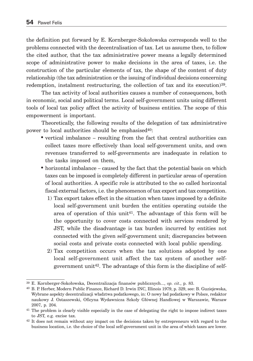the definition put forward by E. Kornberger-Sokołowska corresponds well to the problems connected with the decentralisation of tax. Let us assume then, to follow the cited author, that the tax administrative power means a legally determined scope of administrative power to make decisions in the area of taxes, i.e. the construction of the particular elements of tax, the shape of the content of duty relationship (the tax administration or the issuing of individual decisions concerning redemption, instalment restructuring, the collection of tax and its execution)<sup>39</sup>.

The tax activity of local authorities causes a number of consequences, both in economic, social and political terms. Local self-government units using different tools of local tax policy affect the activity of business entities. The scope of this empowerment is important.

Theoretically, the following results of the delegation of tax administrative power to local authorities should be emphasised  $40$ :

- vertical imbalance resulting from the fact that central authorities can collect taxes more effectively than local self-government units, and own revenues transferred to self-governments are inadequate in relation to the tasks imposed on them,
- horizontal imbalance caused by the fact that the potential basis on which taxes can be imposed is completely different in particular areas of operation of local authorities. A specific role is attributed to the so called horizontal fiscal external factors, i.e. the phenomenon of tax export and tax competition.
	- 1) Tax export takes effect in the situation when taxes imposed by a definite local self-government unit burden the entities operating outside the area of operation of this unit<sup>41</sup>. The advantage of this form will be the opportunity to cover costs connected with services rendered by JST, while the disadvantage is tax burden incurred by entities not connected with the given self-government unit; discrepancies between social costs and private costs connected with local public spending.
	- 2) Tax competition occurs when the tax solutions adopted by one local self-government unit affect the tax system of another selfgovernment unit<sup>42</sup>. The advantage of this form is the discipline of self-

<sup>39</sup> E. Kornberger-Sokołowska, Decentralizacja finansów publicznych..., *op. cit.*, p. 83.

<sup>40</sup> B. P. Herber, Modern Public Finance, Richard D. Irwin INC, Illinois 1979, p. 329, see: B. Guziejewska, Wybrane aspekty decentralizacji władztwa podatkowego, in: O nowy ład podatkowy w Polsce, redaktor naukowy J. Ostaszewski, Oficyna Wydawnicza Szkoły Głównej Handlowej w Warszawie, Warsaw 2007, p. 204.

<sup>&</sup>lt;sup>41</sup> The problem is clearly visible especially in the case of delegating the right to impose indirect taxes to JST, e.g. excise tax.

<sup>&</sup>lt;sup>42</sup> It does not remain without any impact on the decisions taken by entrepreneurs with regard to the business location, i.e. the choice of the local self-government unit in the area of which taxes are lower.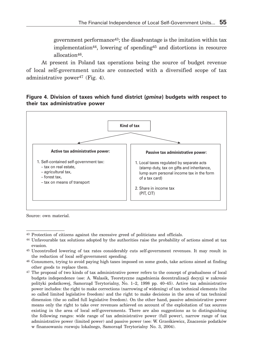government performance<sup>43</sup>; the disadvantage is the imitation within tax implementation44, lowering of spending45 and distortions in resource allocation46.

At present in Poland tax operations being the source of budget revenue of local self-government units are connected with a diversified scope of tax administrative power<sup>47</sup> (Fig. 4).

#### **Figure 4. Division of taxes which fund district (***gmina***) budgets with respect to their tax administrative power**



Source: own material.

<sup>43</sup> Protection of citizens against the excessive greed of politicians and officials.

<sup>44</sup> Unfavourable tax solutions adopted by the authorities raise the probability of actions aimed at tax evasion.

<sup>45</sup> Uncontrolled lowering of tax rates considerably cuts self-government revenues. It may result in the reduction of local self-government spending.

<sup>46</sup> Consumers, trying to avoid paying high taxes imposed on some goods, take actions aimed at finding other goods to replace them.

<sup>&</sup>lt;sup>47</sup> The proposal of two kinds of tax administrative power refers to the concept of gradualness of local budgets independence (sse: A. Walasik, Teoretyczne zagadnienia decentralizacji decyzji w zakresie polityki podatkowej, Samorząd Terytorialny, No. 1–2, 1998 pp. 40–45). Active tax administrative power includes: the right to make corrections (narrowing of widening) of tax technical elements (the so called limited legislative freedom) and the right to make decisions in the area of tax technical dimension (the so called full legislative freedom). On the other hand, passive administrative power means only the right to take over revenues achieved on account of the exploitation of tax sources existing in the area of local self-governments. There are also suggestions as to distinguishing the following ranges: wide range of tax administrative power (full power), narrow range of tax administrative power (limited power) and passive power (see: W. Grześkiewicz, Znaczenie podatków w finansowaniu rozwoju lokalnego, Samorząd Terytorialny No. 3, 2004).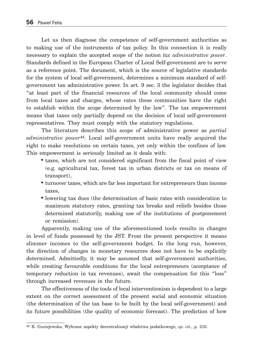Let us then diagnose the competence of self-government authorities as to making use of the instruments of tax policy. In this connection it is really necessary to explain the accepted scope of the notion *tax administrative power*. Standards defined in the European Charter of Local Self-government are to serve as a reference point. The document, which is the source of legislative standards for the system of local self-government, determines a minimum standard of selfgovernment tax administrative power. In art. 9 sec. 3 the legislator decides that "at least part of the financial resources of the local community should come from local taxes and charges, whose rates these communities have the right to establish within the scope determined by the law". The tax empowerment means that taxes only partially depend on the decision of local self-government representatives. They must comply with the statutory regulations.

The literature describes this scope of administrative power as *partial administrative power*48. Local self-government units have really acquired the right to make resolutions on certain taxes, yet only within the confines of law. This empowerment is seriously limited as it deals with:

- taxes, which are not considered significant from the fiscal point of view (e.g. agricultural tax, forest tax in urban districts or tax on means of transport),
- turnover taxes, which are far less important for entrepreneurs than income taxes,
- lowering tax dues (the determination of basic rates with consideration to maximum statutory rates, granting tax breaks and reliefs besides those determined statutorily, making use of the institutions of postponement or remission).

Apparently, making use of the aforementioned tools results in changes in level of funds possessed by the JST. From the present perspective it means slimmer incomes to the self-government budget. In the long run, however, the direction of changes in monetary resources does not have to be explicitly determined. Admittedly, it may be assumed that self-government authorities, while creating favourable conditions for the local entrepreneurs (acceptance of temporary reduction in tax revenues), await the compensation for this "loss" through increased revenues in the future.

The effectiveness of the tools of local interventionism is dependent to a large extent on the correct assessment of the present social and economic situation (the determination of the tax base to be built by the local self-government) and its future possibilities (the quality of economic forecast). The prediction of how

<sup>48</sup> B. Guziejewska, Wybrane aspekty decentralizacji władztwa podatkowego, *op. cit.*, p. 210.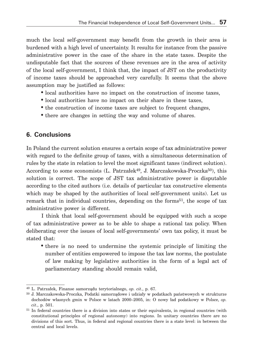much the local self-government may benefit from the growth in their area is burdened with a high level of uncertainty. It results for instance from the passive administrative power in the case of the share in the state taxes. Despite the undisputable fact that the sources of these revenues are in the area of activity of the local self-government, I think that, the impact of JST on the productivity of income taxes should be approached very carefully. It seems that the above assumption may be justified as follows:

- local authorities have no impact on the construction of income taxes,
- local authorities have no impact on their share in these taxes,
- the construction of income taxes are subject to frequent changes,
- there are changes in setting the way and volume of shares.

# **6. Conclusions**

In Poland the current solution ensures a certain scope of tax administrative power with regard to the definite group of taxes, with a simultaneous determination of rules by the state in relation to level the most significant taxes (indirect solution). According to some economists (L. Patrzałek<sup>49</sup>, J. Marczakowska-Proczka<sup>50</sup>), this solution is correct. The scope of JST tax administrative power is disputable according to the cited authors (i.e. details of particular tax constructive elements which may be shaped by the authorities of local self-government units). Let us remark that in individual countries, depending on the forms<sup>51</sup>, the scope of tax administrative power is different.

I think that local self-government should be equipped with such a scope of tax administrative power as to be able to shape a rational tax policy. When deliberating over the issues of local self-governments' own tax policy, it must be stated that:

• there is no need to undermine the systemic principle of limiting the number of entities empowered to impose the tax law norms, the postulate of law making by legislative authorities in the form of a legal act of parliamentary standing should remain valid,

<sup>49</sup> L. Patrzałek, Finanse samorządu terytorialnego, *op. cit.*, p. 67.

<sup>50</sup> J. Marczakowska-Proczka, Podatki samorządowe i udziały w podatkach państwowych w strukturze dochodów własnych gmin w Polsce w latach 2000–2005, in: O nowy ład podatkowy w Polsce, *op. cit.*, p. 501.

<sup>&</sup>lt;sup>51</sup> In federal countries there is a division into states or their equivalents, in regional countries (with constitutional principles of regional autonomy) into regions. In unitary countries there are no divisions of this sort. Thus, in federal and regional countries there is a state level: in between the central and local levels.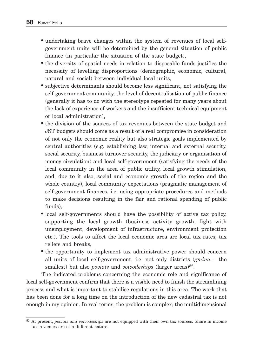- undertaking brave changes within the system of revenues of local selfgovernment units will be determined by the general situation of public finance (in particular the situation of the state budget),
- the diversity of spatial needs in relation to disposable funds justifies the necessity of levelling disproportions (demographic, economic, cultural, natural and social) between individual local units,
- subjective determinants should become less significant, not satisfying the self-government community, the level of decentralisation of public finance (generally it has to do with the stereotype repeated for many years about the lack of experience of workers and the insufficient technical equipment of local administration),
- the division of the sources of tax revenues between the state budget and JST budgets should come as a result of a real compromise in consideration of not only the economic reality but also strategic goals implemented by central authorities (e.g. establishing law, internal and external security, social security, business turnover security, the judiciary or organisation of money circulation) and local self-government (satisfying the needs of the local community in the area of public utility, local growth stimulation, and, due to it also, social and economic growth of the region and the whole country), local community expectations (pragmatic management of self-government finances, i.e. using appropriate procedures and methods to make decisions resulting in the fair and rational spending of public funds),
- local self-governments should have the possibility of active tax policy, supporting the local growth (business activity growth, fight with unemployment, development of infrastructure, environment protection etc.). The tools to affect the local economic area are local tax rates, tax reliefs and breaks,
- the opportunity to implement tax administrative power should concern all units of local self-government, i.e. not only districts (*gmina* – the smallest) but also *poviats* and *voivodeships* (larger areas)<sup>52</sup>.

The indicated problems concerning the economic role and significance of local self-government confirm that there is a visible need to finish the streamlining process and what is important to stabilise regulations in this area. The work that has been done for a long time on the introduction of the new cadastral tax is not enough in my opinion. In real terms, the problem is complex; the multidimensional

<sup>52</sup> At present, *poviats and voivodeships* are not equipped with their own tax sources. Share in income tax revenues are of a different nature.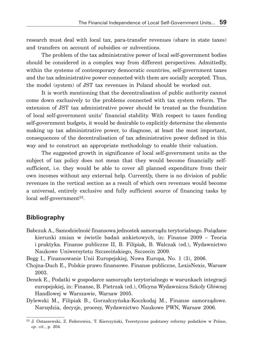research must deal with local tax, para-transfer revenues (share in state taxes) and transfers on account of subsidies or subventions.

The problem of the tax administrative power of local self-government bodies should be considered in a complex way from different perspectives. Admittedly, within the systems of contemporary democratic countries, self-government taxes and the tax administrative power connected with them are socially accepted. Thus, the model (system) of JST tax revenues in Poland should be worked out.

It is worth mentioning that the decentralisation of public authority cannot come down exclusively to the problems connected with tax system reform. The extension of JST tax administrative power should be treated as the foundation of local self-government units' financial stability. With respect to taxes funding self-government budgets, it would be desirable to explicitly determine the elements making up tax administrative power, to diagnose, at least the most important, consequences of the decentralisation of tax administrative power defined in this way and to construct an appropriate methodology to enable their valuation.

The suggested growth in significance of local self-government units as the subject of tax policy does not mean that they would become financially selfsufficient, i.e. they would be able to cover all planned expenditure from their own incomes without any external help. Currently, there is no division of public revenues in the vertical section as a result of which own revenues would become a universal, entirely exclusive and fully sufficient source of financing tasks by local self-government<sup>53</sup>.

#### **Bibliography**

Babczuk A., Samodzielność finansowa jednostek samorządu terytorialnego. Pożądane kierunki zmian w świetle badań ankietowych, in: Finanse 2009 – Teoria i praktyka. Finanse publiczne II, B. Filipiak, B. Walczak (ed.), Wydawnictwo Naukowe Uniwersytetu Szczecińskiego, Szczecin 2009.

Begg I., Finansowanie Unii Europejskiej, Nowa Europa, No. 1 (3), 2006.

Chojna-Duch E., Polskie prawo finansowe. Finanse publiczne, LexisNexis, Warsaw 2003.

- Denek E., Podatki w gospodarce samorządu terytorialnego w warunkach integracji europejskiej, in: Finanse, B. Pietrzak (ed.), Oficyna Wydawnicza Szkoły Głównej Handlowej w Warszawie, Warsaw 2005.
- Dylewski M., Filipiak B., Gorzałczyńska-Koczkodaj M., Finanse samorządowe. Narzędzia, decyzje, procesy, Wydawnictwo Naukowe PWN, Warsaw 2006.

<sup>53</sup> J. Ostaszewski, Z. Fedorowicz, T. Kierczyński, Teoretyczne podstawy reformy podatków w Polsce, *op. cit.*, p. 204.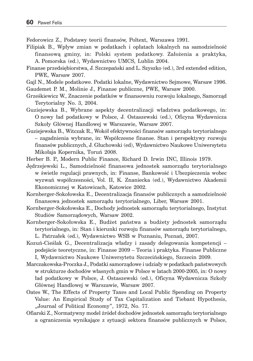Fedorowicz Z., Podstawy teorii finansów, Poltext, Warszawa 1991.

- Filipiak B., Wpływ zmian w podatkach i opłatach lokalnych na samodzielność finansową gminy, in: Polski system podatkowy. Założenia a praktyka, A. Pomorska (ed.), Wydawnictwo UMCS, Lublin 2004.
- Finanse przedsiębiorstwa, J. Szczepański and L. Szyszko (ed.), 3rd extended edition, PWE, Warsaw 2007.
- Gajl N., Modele podatkowe. Podatki lokalne, Wydawnictwo Sejmowe, Warsaw 1996. Gaudemet P. M., Molinie J., Finanse publiczne, PWE, Warsaw 2000.
- Grześkiewicz W., Znaczenie podatków w finansowniu rozwoju lokalnego, Samorząd Terytorialny No. 3, 2004.
- Guziejewska B., Wybrane aspekty decentralizacji władztwa podatkowego, in: O nowy ład podatkowy w Polsce, J. Ostaszewski (ed.), Oficyna Wydawnicza Szkoły Głównej Handlowej w Warszawie, Warsaw 2007.
- Guziejewska B., Witczak R., Wokół efektywności finansów samorządu terytorialnego – zagadnienia wybrane, in: Współczesne finanse. Stan i perspektywy rozwoju finansów publicznych, J. Głuchowski (ed), Wydawnictwo Naukowe Uniwersytetu Mikołaja Kopernika, Toruń 2008.
- Herber B. P., Modern Public Finance, Richard D. Irwin INC, Illinois 1979.
- Jędrzejewski L., Samodzielność finansowa jednostek samorządu terytorialnego w świetle regulacji prawnych, in: Finanse, Bankowość i Ubezpieczenia wobec wyzwań współczesności, Vol. II, K. Znaniecka (ed.), Wydawnictwo Akademii Ekonomicznej w Katowicach, Katowice 2002.
- Kornberger-Sokołowska E., Decentralizacja finansów publicznych a samodzielność finansowa jednostek samorządu terytorialnego, Liber, Warsaw 2001.
- Kornberger-Sokołowska E., Dochody jednostek samorządu terytorialnego, Instytut Studiów Samorządowych, Warsaw 2002.
- Kornberger-Sokołowska E., Budżet państwa a budżety jednostek samorządu terytorialnego, in: Stan i kierunki rozwoju finansów samorządu terytorialnego, L. Patrzałek (ed.), Wydawnictwo WSB w Poznaniu, Poznań, 2007.
- Kozuń-Cieślak G., Decentralizacja władzy i zasady delegowania kompetencji podejście teoretyczne, in: Finanse 2009 – Teoria i praktyka. Finanse Publiczne I, Wydawnictwo Naukowe Uniwersytetu Szczecińskiego, Szczecin 2009.
- Marczakowska-Proczka J., Podatki samorządowe i udziały w podatkach państwowych w strukturze dochodów własnych gmin w Polsce w latach 2000-2005, in: O nowy ład podatkowy w Polsce, J. Ostaszewski (ed.), Oficyna Wydawnicza Szkoły Głównej Handlowej w Warszawie, Warsaw 2007.
- Oates W., The Effects of Property Taxes and Local Public Spending on Property Value: An Empirical Study of Tax Capitalization and Tiebant Hypothesis, "Journal of Political Economy", 1972, No. 77.
- Ofiarski Z., Normatywny model źródeł dochodów jednostek samorządu terytorialnego a ograniczenia wynikające z sytuacji sektora finansów publicznych w Polsce,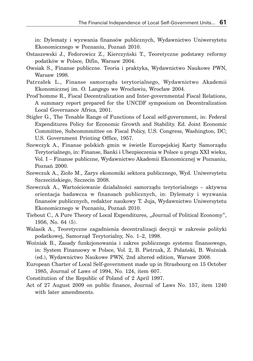in: Dylematy i wyzwania finansów publicznych, Wydawnictwo Uniwersytetu Ekonomicznego w Poznaniu, Poznań 2010.

- Ostaszewski J., Fedorowicz Z., Kierczyński T., Teoretyczne podstawy reformy podatków w Polsce, Difin, Warsaw 2004.
- Owsiak S., Finanse publiczne. Teoria i praktyka, Wydawnictwo Naukowe PWN, Warsaw 1998.
- Patrzałek L., Finanse samorządu terytorialnego, Wydawnictwo Akademii Ekonomicznej im. O. Langego we Wrocławiu, Wrocław 2004.
- Prod'homme R., Fiscal Decentralization and Inter-governmental Fiscal Relations, A summary report prepared for the UNCDF symposium on Decentralization Local Governance Africa, 2001.
- Stigler G., The Tenable Range of Functions of Local self-government, in: Federal Expenditures Policy for Economic Growth and Stability. Ed. Joint Economic Committee, Subcommmittee on Fiscal Policy, U.S. Congress, Washington, DC; U.S. Government Printing Office, 1957.
- Szewczyk A., Finanse polskich gmin w świetle Europejskiej Karty Samorządu Terytorialnego, in: Finanse, Banki i Ubezpieczenia w Polsce u progu XXI wieku, Vol. I – Finanse publiczne, Wydawnictwo Akademii Ekonomicznej w Poznaniu, Poznań 2000.
- Szewczuk A., Zioło M., Zarys ekonomiki sektora publicznego, Wyd. Uniwersytetu Szczecińskiego, Szczecin 2008.
- Szewczuk A., Wartościowanie działalności samorządu terytorialnego aktywna orientacja badawcza w finansach publicznych, in: Dylematy i wyzwania finansów publicznych, redaktor naukowy T. Juja, Wydawnictwo Uniwersytetu Ekonomicznego w Poznaniu, Poznań 2010.
- Tiebout C., A Pure Theory of Local Expenditures, "Journal of Political Economy", 1956, No. 64 (5).
- Walasik A., Teoretyczne zagadnienia decentralizacji decyzji w zakresie polityki podatkowej, Samorząd Terytorialny, No. 1–2, 1998.
- Woźniak B., Zasady funkcjonowania i zakres publicznego systemu finansowego, in: System Finansowy w Polsce, Vol. 2, B. Pietrzak, Z. Polański, B. Woźniak (ed.), Wydawnictwo Naukowe PWN, 2nd altered edition, Warsaw 2008.
- European Charter of Local Self-government made up in Strasbourg on 15 October 1985, Journal of Laws of 1994, No. 124, item 607.
- Constitution of the Republic of Poland of 2 April 1997.
- Act of 27 August 2009 on public finance, Journal of Laws No. 157, item 1240 with later amendments.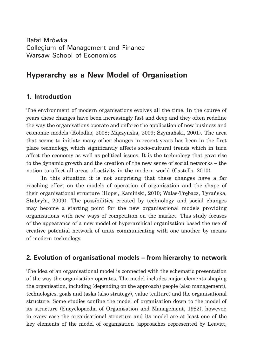Rafał Mrówka Collegium of Management and Finance Warsaw School of Economics

# **Hyperarchy as a New Model of Organisation**

# **1. Introduction**

The environment of modern organisations evolves all the time. In the course of years these changes have been increasingly fast and deep and they often redefine the way the organisations operate and enforce the application of new business and economic models (Kołodko, 2008; Mączyńska, 2009; Szymański, 2001). The area that seems to initiate many other changes in recent years has been in the first place technology, which significantly affects socio-cultural trends which in turn affect the economy as well as political issues. It is the technology that gave rise to the dynamic growth and the creation of the new sense of social networks – the notion to affect all areas of activity in the modern world (Castells, 2010).

In this situation it is not surprising that these changes have a far reaching effect on the models of operation of organisation and the shape of their organisational structure (Hopej, Kamiński, 2010; Walas-Trębacz, Tyrańska, Stabryła, 2009). The possibilities created by technology and social changes may become a starting point for the new organisational models providing organisations with new ways of competition on the market. This study focuses of the appearance of a new model of hyperarchical organisation based the use of creative potential network of units communicating with one another by means of modern technology.

# **2. Evolution of organisational models – from hierarchy to network**

The idea of an organisational model is connected with the schematic presentation of the way the organisation operates. The model includes major elements shaping the organisation, including (depending on the approach) people (also management), technologies, goals and tasks (also strategy), value (culture) and the organisational structure. Some studies confine the model of organisation down to the model of its structure (Encyclopaedia of Organisation and Management, 1982), however, in every case the organisational structure and its model are at least one of the key elements of the model of organisation (approaches represented by Leavitt,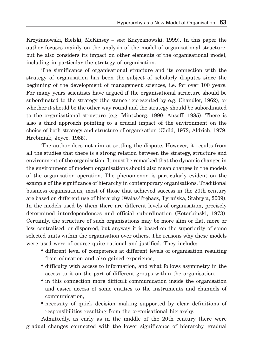Krzyżanowski, Bielski, McKinsey – see: Krzyżanowski, 1999). In this paper the author focuses mainly on the analysis of the model of organisational structure, but he also considers its impact on other elements of the organisational model, including in particular the strategy of organisation.

The significance of organisational structure and its connection with the strategy of organisation has been the subject of scholarly disputes since the beginning of the development of management sciences, i.e. for over 100 years. For many years scientists have argued if the organisational structure should be subordinated to the strategy (the stance represented by e.g. Chandler, 1962), or whether it should be the other way round and the strategy should be subordinated to the organisational structure (e.g. Mintzberg, 1990; Ansoff, 1985). There is also a third approach pointing to a crucial impact of the environment on the choice of both strategy and structure of organisation (Child, 1972; Aldrich, 1979; Hrebiniak, Joyce, 1985).

The author does not aim at settling the dispute. However, it results from all the studies that there is a strong relation between the strategy, structure and environment of the organisation. It must be remarked that the dynamic changes in the environment of modern organisations should also mean changes in the models of the organisation operation. The phenomenon is particularly evident on the example of the significance of hierarchy in contemporary organisations. Traditional business organisations, most of those that achieved success in the 20th century are based on different use of hierarchy (Walas-Trębacz, Tyrańska, Stabryła, 2009). In the models used by them there are different levels of organisation, precisely determined interdependences and official subordination (Kotarbiński, 1973). Certainly, the structure of such organisations may be more slim or flat, more or less centralised, or dispersed, but anyway it is based on the superiority of some selected units within the organisation over others. The reasons why these models were used were of course quite rational and justified. They include:

- different level of competence at different levels of organisation resulting from education and also gained experience,
- difficulty with access to information, and what follows asymmetry in the access to it on the part of different groups within the organisation,
- in this connection more difficult communication inside the organisation and easier access of some entities to the instruments and channels of communication,
- necessity of quick decision making supported by clear definitions of responsibilities resulting from the organisational hierarchy.

Admittedly, as early as in the middle of the 20th century there were gradual changes connected with the lower significance of hierarchy, gradual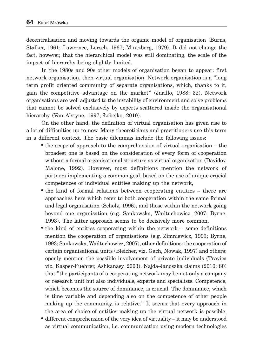decentralisation and moving towards the organic model of organisation (Burns, Stalker, 1961; Lawrence, Lorsch, 1967; Mintzberg, 1979). It did not change the fact, however, that the hierarchical model was still dominating, the scale of the impact of hierarchy being slightly limited.

In the 1980s and 90s other models of organisation began to appear: first network organisation, then virtual organisation. Network organisation is a "long term profit oriented community of separate organisations, which, thanks to it, gain the competitive advantage on the market" (Jarillo, 1988: 32). Network organisations are well adjusted to the instability of environment and solve problems that cannot be solved exclusively by experts scattered inside the organisational hierarchy (Van Alstyne, 1997; Łobejko, 2010).

On the other hand, the definition of virtual organisation has given rise to a lot of difficulties up to now. Many theoreticians and practitioners use this term in a different context. The basic dilemmas include the following issues:

- the scope of approach to the comprehension of virtual organisation the broadest one is based on the consideration of every form of cooperation without a formal organisational structure as virtual organisation (Davidov, Malone, 1992). However, most definitions mention the network of partners implementing a common goal, based on the use of unique crucial competences of individual entities making up the network,
- the kind of formal relations between cooperating entities there are approaches here which refer to both cooperation within the same formal and legal organisation (Scholz, 1996), and those within the network going beyond one organisation (e.g. Sankowska, Wańtuchowicz, 2007; Byrne, 1993). The latter approach seems to be decisively more common,
- the kind of entities cooperating within the network some definitions mention the cooperation of organisations (e.g. Zimniewicz, 1999; Byrne, 1993; Sankowska, Wańtuchowicz, 2007), other definitions: the cooperation of certain organisational units (Bleicher, viz. Gach, Nowak, 1997) and others: openly mention the possible involvement of private individuals (Travica viz. Kasper-Fuehrer, Ashkanasy, 2003). Najda-Janoszka claims (2010: 80) that "the participants of a cooperating network may be not only a company or research unit but also individuals, experts and specialists. Competence, which becomes the source of dominance, is crucial. The dominance, which is time variable and depending also on the competence of other people making up the community, is relative." It seems that every approach in the area of choice of entities making up the virtual network is possible,
- different comprehension of the very idea of virtuality it may be understood as virtual communication, i.e. communication using modern technologies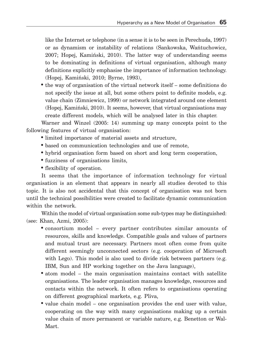like the Internet or telephone (in a sense it is to be seen in Perechuda, 1997) or as dynamism or instability of relations (Sankowska, Wańtuchowicz, 2007; Hopej, Kamiński, 2010). The latter way of understanding seems to be dominating in definitions of virtual organisation, although many definitions explicitly emphasise the importance of information technology. (Hopej, Kamiński, 2010; Byrne, 1993),

• the way of organisation of the virtual network itself – some definitions do not specify the issue at all, but some others point to definite models, e.g. value chain (Zimniewicz, 1999) or network integrated around one element (Hopej, Kamiński, 2010). It seems, however, that virtual organisations may create different models, which will be analysed later in this chapter.

Warner and Winzel (2005: 14) summing up many concepts point to the following features of virtual organisation:

- limited importance of material assets and structure,
- based on communication technologies and use of remote,
- hybrid organisation form based on short and long term cooperation,
- fuzziness of organisations limits,
- flexibility of operation.

It seems that the importance of information technology for virtual organisation is an element that appears in nearly all studies devoted to this topic. It is also not accidental that this concept of organisation was not born until the technical possibilities were created to facilitate dynamic communication within the network.

Within the model of virtual organisation some sub-types may be distinguished: (see: Khan, Azmi, 2005):

- consortium model every partner contributes similar amounts of resources, skills and knowledge. Compatible goals and values of partners and mutual trust are necessary. Partners most often come from quite different seemingly unconnected sectors (e.g. cooperation of Microsoft with Lego). This model is also used to divide risk between partners (e.g. IBM, Sun and HP working together on the Java language),
- atom model the main organisation maintains contact with satellite organisations. The leader organisation manages knowledge, resources and contacts within the network. It often refers to organisations operating on different geographical markets, e.g. Pliva,
- value chain model one organisation provides the end user with value, cooperating on the way with many organisations making up a certain value chain of more permanent or variable nature, e.g. Benetton or Wal-Mart.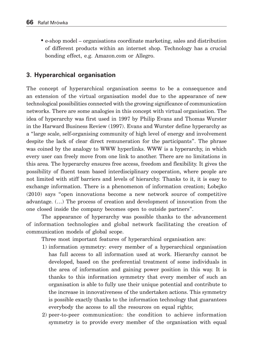• e-shop model – organisations coordinate marketing, sales and distribution of different products within an internet shop. Technology has a crucial bonding effect, e.g. Amazon.com or Allegro.

# **3. Hyperarchical organisation**

The concept of hyperarchical organisation seems to be a consequence and an extension of the virtual organisation model due to the appearance of new technological possibilities connected with the growing significance of communication networks. There are some analogies in this concept with virtual organisation. The idea of hyperarchy was first used in 1997 by Philip Evans and Thomas Wurster in the Harward Business Review (1997). Evans and Wurster define hyperarchy as a "large scale, self-organising community of high level of energy and involvement despite the lack of clear direct remuneration for the participants". The phrase was coined by the analogy to WWW hyperlinks. WWW is a hyperarchy, in which every user can freely move from one link to another. There are no limitations in this area. The hyperarchy ensures free access, freedom and flexibility. It gives the possibility of fluent team based interdisciplinary cooperation, where people are not limited with stiff barriers and levels of hierarchy. Thanks to it, it is easy to exchange information. There is a phenomenon of information creation; Łobejko (2010) says "open innovations become a new network source of competitive advantage. (…) The process of creation and development of innovation from the one closed inside the company becomes open to outside partners".

The appearance of hyperarchy was possible thanks to the advancement of information technologies and global network facilitating the creation of communication models of global scope.

Three most important features of hyperarchical organisation are:

- 1) information symmetry: every member of a hyperarchical organisation has full access to all information used at work. Hierarchy cannot be developed, based on the preferential treatment of some individuals in the area of information and gaining power position in this way. It is thanks to this information symmetry that every member of such an organisation is able to fully use their unique potential and contribute to the increase in innovativeness of the undertaken actions. This symmetry is possible exactly thanks to the information technology that guarantees everybody the access to all the resources on equal rights;
- 2) peer-to-peer communication: the condition to achieve information symmetry is to provide every member of the organisation with equal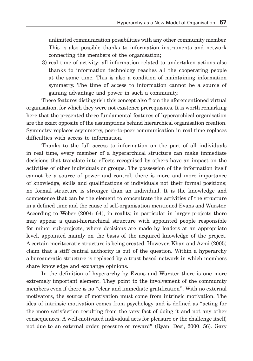unlimited communication possibilities with any other community member. This is also possible thanks to information instruments and network connecting the members of the organisation;

 3) real time of activity: all information related to undertaken actions also thanks to information technology reaches all the cooperating people at the same time. This is also a condition of maintaining information symmetry. The time of access to information cannot be a source of gaining advantage and power in such a community.

These features distinguish this concept also from the aforementioned virtual organisation, for which they were not existence prerequisites. It is worth remarking here that the presented three fundamental features of hyperarchical organisation are the exact opposite of the assumptions behind hierarchical organisation creation. Symmetry replaces asymmetry, peer-to-peer communication in real time replaces difficulties with access to information.

Thanks to the full access to information on the part of all individuals in real time, every member of a hyperarchical structure can make immediate decisions that translate into effects recognised by others have an impact on the activities of other individuals or groups. The possession of the information itself cannot be a source of power and control, there is more and more importance of knowledge, skills and qualifications of individuals not their formal positions; no formal structure is stronger than an individual. It is the knowledge and competence that can be the element to concentrate the activities of the structure in a defined time and the cause of self-organisation mentioned Evans and Wurster. According to Weber (2004: 64), in reality, in particular in larger projects there may appear a quasi-hierarchical structure with appointed people responsible for minor sub-projects, where decisions are made by leaders at an appropriate level, appointed mainly on the basis of the acquired knowledge of the project. A certain meritocratic structure is being created. However, Khan and Azmi (2005) claim that a stiff central authority is out of the question. Within a hyperarchy a bureaucratic structure is replaced by a trust based network in which members share knowledge and exchange opinions.

In the definition of hyperarchy by Evans and Wurster there is one more extremely important element. They point to the involvement of the community members even if there is no "clear and immediate gratification". With no external motivators, the source of motivation must come from intrinsic motivation. The idea of intrinsic motivation comes from psychology and is defined as "acting for the mere satisfaction resulting from the very fact of doing it and not any other consequences. A well-motivated individual acts for pleasure or the challenge itself, not due to an external order, pressure or reward" (Ryan, Deci, 2000: 56). Gary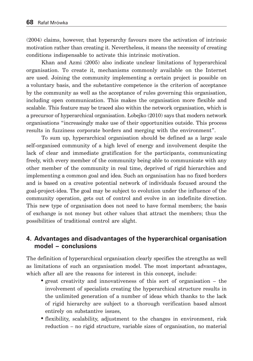(2004) claims, however, that hyperarchy favours more the activation of intrinsic motivation rather than creating it. Nevertheless, it means the necessity of creating conditions indispensable to activate this intrinsic motivation.

Khan and Azmi (2005) also indicate unclear limitations of hyperarchical organisation. To create it, mechanisms commonly available on the Internet are used. Joining the community implementing a certain project is possible on a voluntary basis, and the substantive competence is the criterion of acceptance by the community as well as the acceptance of rules governing this organisation, including open communication. This makes the organisation more flexible and scalable. This feature may be traced also within the network organisation, which is a precursor of hyperarchical organisation. Łobejko (2010) says that modern network organisations "increasingly make use of their opportunities outside. This process results in fuzziness corporate borders and merging with the environment".

To sum up, hyperarchical organisation should be defined as a large scale self-organised community of a high level of energy and involvement despite the lack of clear and immediate gratification for the participants, communicating freely, with every member of the community being able to communicate with any other member of the community in real time, deprived of rigid hierarchies and implementing a common goal and idea. Such an organisation has no fixed borders and is based on a creative potential network of individuals focused around the goal-project-idea. The goal may be subject to evolution under the influence of the community operation, gets out of control and evolve in an indefinite direction. This new type of organisation does not need to have formal members; the basis of exchange is not money but other values that attract the members; thus the possibilities of traditional control are slight.

## **4. Advantages and disadvantages of the hyperarchical organisation model – conclusions**

The definition of hyperarchical organisation clearly specifies the strengths as well as limitations of such an organisation model. The most important advantages, which after all are the reasons for interest in this concept, include:

- great creativity and innovativeness of this sort of organisation the involvement of specialists creating the hyperarchical structure results in the unlimited generation of a number of ideas which thanks to the lack of rigid hierarchy are subject to a thorough verification based almost entirely on substantive issues,
- flexibility, scalability, adjustment to the changes in environment, risk reduction – no rigid structure, variable sizes of organisation, no material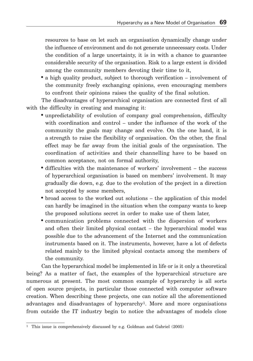resources to base on let such an organisation dynamically change under the influence of environment and do not generate unnecessary costs. Under the condition of a large uncertainty, it is in with a chance to guarantee considerable security of the organisation. Risk to a large extent is divided among the community members devoting their time to it,

• a high quality product, subject to thorough verification – involvement of the community freely exchanging opinions, even encouraging members to confront their opinions raises the quality of the final solution.

The disadvantages of hyperarchical organisation are connected first of all with the difficulty in creating and managing it:

- unpredictability of evolution of company goal comprehension, difficulty with coordination and control – under the influence of the work of the community the goals may change and evolve. On the one hand, it is a strength to raise the flexibility of organisation. On the other, the final effect may be far away from the initial goals of the organisation. The coordination of activities and their channelling have to be based on common acceptance, not on formal authority,
- difficulties with the maintenance of workers' involvement the success of hyperarchical organisation is based on members' involvement. It may gradually die down, e.g. due to the evolution of the project in a direction not accepted by some members,
- broad access to the worked out solutions the application of this model can hardly be imagined in the situation when the company wants to keep the proposed solutions secret in order to make use of them later,
- communication problems connected with the dispersion of workers and often their limited physical contact – the hyperarchical model was possible due to the advancement of the Internet and the communication instruments based on it. The instruments, however, have a lot of defects related mainly to the limited physical contacts among the members of the community.

Can the hyperarchical model be implemented in life or is it only a theoretical being? As a matter of fact, the examples of the hyperarchical structure are numerous at present. The most common example of hyperarchy is all sorts of open source projects, in particular those connected with computer software creation. When describing these projects, one can notice all the aforementioned advantages and disadvantages of hyperarchy1. More and more organisations from outside the IT industry begin to notice the advantages of models close

<sup>1</sup> This issue is comprehensively discussed by e.g. Goldman and Gabriel (2005)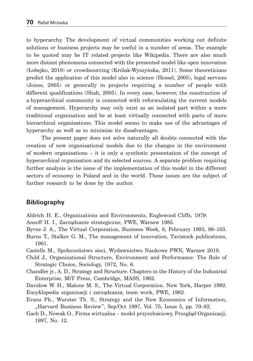to hyperarchy. The development of virtual communities working out definite solutions or business projects may be useful in a number of areas. The example to be quoted may be IT related projects like Wikipedia. There are also much more distant phenomena connected with the presented model like open innovation (Łobejko, 2010) or crowdsourcing (Królak-Wyszyńska, 2011). Some theoreticians predict the application of this model also in science (Hessel, 2005), legal services (Jones, 2005) or generally in projects requiring a number of people with different qualifications (Shah, 2005). In every case, however, the construction of a hyperarchical community is connected with reformulating the current models of management. Hyperarchy may only exist as an isolated part within a more traditional organisation and be at least virtually connected with parts of more hierarchical organisations. This model seems to make use of the advantages of hyperarchy as well as to minimise its disadvantages.

The present paper does not solve naturally all doubts connected with the creation of new organisational models due to the changes in the environment of modern organisations – it is only a synthetic presentation of the concept of hyperarchical organisation and its selected sources. A separate problem requiring further analysis is the issue of the implementation of this model in the different sectors of economy in Poland and in the world. These issues are the subject of further research to be done by the author.

## **Bibliography**

Aldrich H. E., Organizations and Environments, Englewood Cliffs, 1979.

- Ansoff H. I., Zarządzanie strategiczne, PWE, Warsaw 1985.
- Byrne J. A., The Virtual Corporation, Business Week, 8, February 1993, 98–103. Burns T., Stalker G. M., The management of innovation, Tavistock publications, 1961.

Castells M., Społeczeństwo sieci, Wydawnictwo Naukowe PWN, Warsaw 2010.

- Child J., Organizational Structure, Environment and Performance: The Role of Strategic Choice, Sociology, 1972, No. 6.
- Chandler jr., A. D., Strategy and Structure. Chapters in the History of the Industrial Enterprise, MiT Press, Cambridge, MASS, 1962.

Davidow W. H., Malone M. S., The Virtual Corporation. New York, Harper 1992. Encyklopedia organizacji i zarządzania, team work, PWE, 1982.

- Evans Ph., Wurster Th. S., Strategy and the New Economics of Information, "Harvard Business Review", Sep/Oct 1997, Vol. 75, Issue 5, pp. 70–82.
- Gach D., Nowak O., Firma wirtualna model przyszłościowy, Przegląd Organizacji, 1997, No. 12.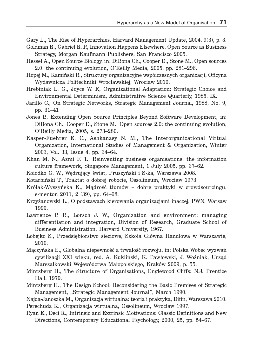Gary L., The Rise of Hyperarchies. Harvard Management Update, 2004, 9(3), p. 3.

- Goldman R., Gabriel R. P., Innovation Happens Elsewhere. Open Source as Business Strategy, Morgan Kaufmann Publishers, San Francisco 2005.
- Hessel A., Open Source Biology, in: DiBona Ch., Cooper D., Stone M., Open sources 2.0: the continuing evolution, O'Reilly Media, 2005, pp. 281–296.
- Hopej M., Kamiński R., Struktury organizacyjne współczesnych organizacji, Oficyna Wydawnicza Politechniki Wrocławskiej, Wrocław 2010.
- Hrebiniak L. G., Joyce W. F., Organizational Adaptation: Strategic Choice and Environmental Determinism, Administrative Science Quarterly, 1985. IX.
- Jarillo C., On Strategic Networks, Strategic Management Journal, 1988, No. 9, pp. 31–41
- Jones P., Extending Open Source Principles Beyond Software Development, in: DiBona Ch., Cooper D., Stone M., Open sources 2.0: the continuing evolution, O'Reilly Media, 2005, s. 273–280.
- Kasper-Fuehrer E. C., Ashkanasy N. M., The Interorganizational Virtual Organization, International Studies of Management & Organization, Winter 2003, Vol. 33, Issue 4, pp. 34–64.
- Khan M. N., Azmi F. T., Reinventing business organisations: the information culture framework, Singapore Management, 1 July 2005, pp. 37–62.
- Kołodko G. W., Wędrujący świat, Pruszyński i S-ka, Warszawa 2008.
- Kotarbiński T., Traktat o dobrej robocie, Ossolineum, Wrocław 1973.
- Królak-Wyszyńska K., Mądrość tłumów dobre praktyki w crowdsourcingu, e-mentor, 2011, 2 (39), pp. 64–68.
- Krzyżanowski L., O podstawach kierowania organizacjami inaczej, PWN, Warsaw 1999.
- Lawrence P. R., Lorsch J. W., Organization and environment: managing differentiation and integration, Division of Research, Graduate School of Business Administration, Harvard University, 1967.
- Łobejko S., Przedsiębiorstwo sieciowe, Szkoła Główna Handlowa w Warszawie, 2010.
- Mączyńska E., Globalna niepewność a trwałość rozwoju, in: Polska Wobec wyzwań cywilizacji XXI wieku, red. A. Kukliński, K. Pawłowski, J. Woźniak, Urząd Marszałkowski Województwa Małopolskiego, Kraków 2009, p. 55.
- Mintzberg H., The Structure of Organisations, Englewood Cliffs: N.J. Prentice Hall, 1979.
- Mintzberg H., The Design School: Reconsidering the Basic Premises of Strategic Management, "Strategic Management Journal", March 1990.
- Najda-Janoszka M., Organizacja wirtualna: teoria i praktyka, Difin, Warszawa 2010. Perechuda K., Organizacja wirtualna, Ossolineum, Wrocław 1997.
- Ryan E., Deci R., Intrinsic and Extrinsic Motivations: Classic Definitions and New Directions, Contemporary Educational Psychology, 2000, 25, pp. 54–67.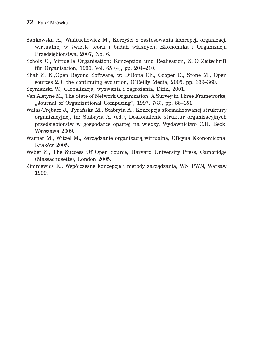- Sankowska A., Wańtuchowicz M., Korzyści z zastosowania koncepcji organizacji wirtualnej w świetle teorii i badań własnych, Ekonomika i Organizacja Przedsiębiorstwa, 2007, No. 6.
- Scholz C., Virtuelle Organisation: Konzeption und Realisation, ZFO Zeitschrift für Organisation, 1996, Vol. 65 (4), pp. 204–210.
- Shah S. K.,Open Beyond Software, w: DiBona Ch., Cooper D., Stone M., Open sources 2.0: the continuing evolution, O'Reilly Media, 2005, pp. 339–360.

Szymański W., Globalizacja, wyzwania i zagrożenia, Difin, 2001.

- Van Alstyne M., The State of Network Organization: A Survey in Three Frameworks, "Journal of Organizational Computing", 1997, 7(3), pp. 88-151.
- Walas-Trębacz J., Tyrańska M., Stabryła A., Koncepcja sformalizowanej struktury organizacyjnej, in: Stabryła A. (ed.), Doskonalenie struktur organizacyjnych przedsiębiorstw w gospodarce opartej na wiedzy, Wydawnictwo C.H. Beck, Warszawa 2009.
- Warner M., Witzel M., Zarządzanie organizacją wirtualną, Oficyna Ekonomiczna, Kraków 2005.
- Weber S., The Success Of Open Source, Harvard University Press, Cambridge (Massachusetts), London 2005.
- Zimniewicz K., Współczesne koncepcje i metody zarządzania, WN PWN, Warsaw 1999.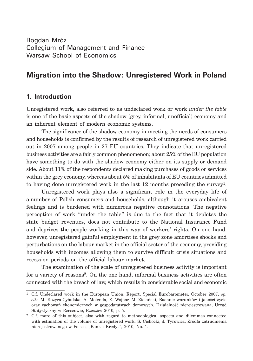Bogdan Mróz Collegium of Management and Finance Warsaw School of Economics

# **Migration into the Shadow: Unregistered Work in Poland**

# **1. Introduction**

Unregistered work, also referred to as undeclared work or work *under the table* is one of the basic aspects of the shadow (grey, informal, unofficial) economy and an inherent element of modern economic systems.

The significance of the shadow economy in meeting the needs of consumers and households is confirmed by the results of research of unregistered work carried out in 2007 among people in 27 EU countries. They indicate that unregistered business activities are a fairly common phenomenon; about 25% of the EU population have something to do with the shadow economy either on its supply or demand side. About 11% of the respondents declared making purchases of goods or services within the grey economy, whereas about 5% of inhabitants of EU countries admitted to having done unregistered work in the last  $12$  months preceding the survey<sup>1</sup>.

Unregistered work plays also a significant role in the everyday life of a number of Polish consumers and households, although it arouses ambivalent feelings and is burdened with numerous negative connotations. The negative perception of work "under the table" is due to the fact that it depletes the state budget revenues, does not contribute to the National Insurance Fund and deprives the people working in this way of workers' rights. On one hand, however, unregistered gainful employment in the grey zone amortises shocks and perturbations on the labour market in the official sector of the economy, providing households with incomes allowing them to survive difficult crisis situations and recession periods on the official labour market.

The examination of the scale of unregistered business activity is important for a variety of reasons2. On the one hand, informal business activities are often connected with the breach of law, which results in considerable social and economic

<sup>1</sup> C.f. Undeclared work in the European Union. Report, Special Eurobarometer, October 2007, *op. cit.*: M. Kozyra-Cybulska, A. Molenda, E. Wojnar, M. Zielański, Badanie warunków i jakości życia oraz zachowań ekonomicznych w gospodarstwach domowych. Działalność nierejestrowana, Urząd Statystyczny w Rzeszowie, Rzeszów 2010, p. 5.

<sup>2</sup> C.f. more of this subject, also with regard to methodological aspects and dilemmas connected with estimation of the volume of unregistered work: S. Cichocki, J. Tyrowicz, Źródła zatrudnienia nierejestrowanego w Polsce, "Bank i Kredyt", 2010, No. 1.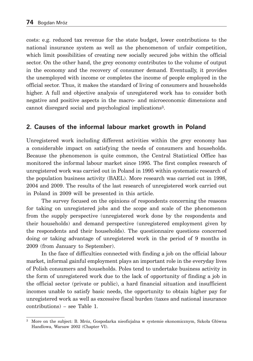costs: e.g. reduced tax revenue for the state budget, lower contributions to the national insurance system as well as the phenomenon of unfair competition, which limit possibilities of creating new socially secured jobs within the official sector. On the other hand, the grey economy contributes to the volume of output in the economy and the recovery of consumer demand. Eventually, it provides the unemployed with income or completes the income of people employed in the official sector. Thus, it makes the standard of living of consumers and households higher. A full and objective analysis of unregistered work has to consider both negative and positive aspects in the macro- and microeconomic dimensions and cannot disregard social and psychological implications3.

## **2. Causes of the informal labour market growth in Poland**

Unregistered work including different activities within the grey economy has a considerable impact on satisfying the needs of consumers and households. Because the phenomenon is quite common, the Central Statistical Office has monitored the informal labour market since 1995. The first complex research of unregistered work was carried out in Poland in 1995 within systematic research of the population business activity (BAEL). More research was carried out in 1998, 2004 and 2009. The results of the last research of unregistered work carried out in Poland in 2009 will be presented in this article.

The survey focused on the opinions of respondents concerning the reasons for taking on unregistered jobs and the scope and scale of the phenomenon from the supply perspective (unregistered work done by the respondents and their households) and demand perspective (unregistered employment given by the respondents and their households). The questionnaire questions concerned doing or taking advantage of unregistered work in the period of 9 months in 2009 (from January to September).

In the face of difficulties connected with finding a job on the official labour market, informal gainful employment plays an important role in the everyday lives of Polish consumers and households. Poles tend to undertake business activity in the form of unregistered work due to the lack of opportunity of finding a job in the official sector (private or public), a hard financial situation and insufficient incomes unable to satisfy basic needs, the opportunity to obtain higher pay for unregistered work as well as excessive fiscal burden (taxes and national insurance contributions) – see Table 1.

<sup>3</sup> More on the subject: B. Mróz, Gospodarka nieoficjalna w systemie ekonomicznym, Szkoła Główna Handlowa, Warsaw 2002 (Chapter VI).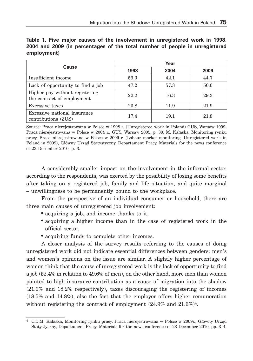|                                                              | Year |      |      |  |  |
|--------------------------------------------------------------|------|------|------|--|--|
| Cause                                                        | 1998 | 2004 | 2009 |  |  |
| Insufficient income                                          | 59.0 | 42.1 | 44.7 |  |  |
| Lack of opportunity to find a job                            | 47.2 | 57.3 | 50.0 |  |  |
| Higher pay without registering<br>the contract of employment | 22.2 | 16.3 | 29.3 |  |  |
| Excessive taxes                                              | 23.8 | 11.9 | 21.9 |  |  |
| Excessive national insurance<br>contributions (ZUS)          | 17.4 | 19.1 | 21.8 |  |  |

**Table 1. Five major causes of the involvement in unregistered work in 1998, 2004 and 2009 (in percentages of the total number of people in unregistered employment)**

Source: Praca nierejestrowana w Polsce w 1998 r. (Unregistered work in Poland) GUS, Warsaw 1999; Praca nierejestrowana w Polsce w 2004 r., GUS, Warsaw 2005, p. 30; M. Kałaska, Monitoring rynku pracy. Praca nierejestrowana w Polsce w 2009 r. (Labour market monitoring. Unregistered work in Poland in 2009), Główny Urząd Statystyczny, Departament Pracy. Materials for the news conference of 23 December 2010, p. 3.

A considerably smaller impact on the involvement in the informal sector, according to the respondents, was exerted by the possibility of losing some benefits after taking on a registered job, family and life situation, and quite marginal – unwillingness to be permanently bound to the workplace.

From the perspective of an individual consumer or household, there are three main causes of unregistered job involvement:

- acquiring a job, and income thanks to it,
- acquiring a higher income than in the case of registered work in the official sector,
- acquiring funds to complete other incomes.

A closer analysis of the survey results referring to the causes of doing unregistered work did not indicate essential differences between genders: men's and women's opinions on the issue are similar. A slightly higher percentage of women think that the cause of unregistered work is the lack of opportunity to find a job (52.4% in relation to 49.6% of men), on the other hand, more men than women pointed to high insurance contribution as a cause of migration into the shadow (21.9% and 18.2% respectively), taxes discouraging the registering of incomes (18.5% and 14.8%), also the fact that the employer offers higher remuneration without registering the contract of employment  $(24.9\% \text{ and } 21.6\%)$ <sup>4</sup>.

<sup>4</sup> C.f. M. Kałaska, Monitoring rynku pracy. Praca nierejestrowana w Polsce w 2009r., Główny Urząd Statystyczny, Departament Pracy. Materials for the news conference of 23 December 2010, pp. 3–4.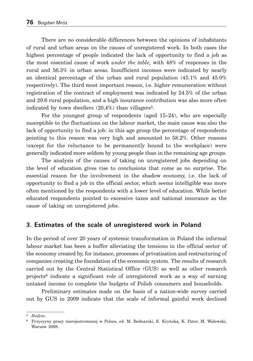There are no considerable differences between the opinions of inhabitants of rural and urban areas on the causes of unregistered work. In both cases the highest percentage of people indicated the lack of opportunity to find a job as the most essential cause of work *under the table*, with 48% of responses in the rural and 56.3% in urban areas. Insufficient incomes were indicated by nearly an identical percentage of the urban and rural population (45.1% and 45.0% respectively). The third most important reason, i.e. higher remuneration without registration of the contract of employment was indicated by 24.5% of the urban and 20.6 rural population, and a high insurance contribution was also more often indicated by town dwellers  $(20,4\%)$  than villagers<sup>5</sup>.

For the youngest group of respondents (aged 15–24), who are especially susceptible to the fluctuations on the labour market, the main cause was also the lack of opportunity to find a job: in this age group the percentage of respondents pointing to this reason was very high and amounted to 58.2%. Other reasons (except for the reluctance to be permanently bound to the workplace) were generally indicated more seldom by young people than in the remaining age groups.

The analysis of the causes of taking on unregistered jobs depending on the level of education gives rise to conclusions that come as no surprise. The essential reason for the involvement in the shadow economy, i.e. the lack of opportunity to find a job in the official sector, which seems intelligible was more often mentioned by the respondents with a lower level of education. While better educated respondents pointed to excessive taxes and national insurance as the cause of taking on unregistered jobs.

### **3. Estimates of the scale of unregistered work in Poland**

In the period of over 20 years of systemic transformation in Poland the informal labour market has been a buffer alleviating the tensions in the official sector of the economy created by, for instance, processes of privatisation and restructuring of companies creating the foundation of the economic system. The results of research carried out by the Central Statistical Office (GUS) as well as other research projects6 indicate a significant role of unregistered work as a way of earning untaxed income to complete the budgets of Polish consumers and households.

Preliminary estimates made on the basis of a nation-wide survey carried out by GUS in 2009 indicate that the scale of informal gainful work declined

<sup>5</sup> *Ibidem*.

<sup>6</sup> Przyczyny pracy nierejestrowanej w Polsce, ed. M. Bednarski, E. Kryńska, K. Pater, M. Walewski, Warsaw 2008.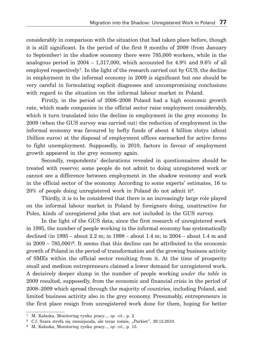considerably in comparison with the situation that had taken place before, though it is still significant. In the period of the first 9 months of 2009 (from January to September) in the shadow economy there were 785,000 workers, while in the analogous period in  $2004 - 1,317,000$ , which accounted for 4.9% and 9.6% of all employed respectively7. In the light of the research carried out by GUS, the decline in employment in the informal economy in 2009 is significant but one should be very careful in formulating explicit diagnoses and uncompromising conclusions with regard to the situation on the informal labour market in Poland.

Firstly, in the period of 2006–2008 Poland had a high economic growth rate, which made companies in the official sector raise employment considerably, which it turn translated into the decline in employment in the grey economy. In 2009 (when the GUS survey was carried out) the reduction of employment in the informal economy was favoured by hefty funds of about 4 billion zlotys (about 1billion euros) at the disposal of employment offices earmarked for active forms to fight unemployment. Supposedly, in 2010, factors in favour of employment growth appeared in the grey economy again.

Secondly, respondents' declarations revealed in questionnaires should be treated with reserve; some people do not admit to doing unregistered work or cannot see a difference between employment in the shadow economy and work in the official sector of the economy. According to some experts' estimates, 16 to  $20\%$  of people doing unregistered work in Poland do not admit it<sup>8</sup>.

Thirdly, it is to be considered that there is an increasingly large role played on the informal labour market in Poland by foreigners doing, unattractive for Poles, kinds of unregistered jobs that are not included in the GUS survey.

In the light of the GUS data, since the first research of unregistered work in 1995, the number of people working in the informal economy has systematically declined (in 1995 – about 2.2 m; in 1998 – about 1.4 m; in 2004 – about 1.4 m and in 2009 – 785,000)9. It seems that this decline can be attributed to the economic growth of Poland in the period of transformation and the growing business activity of SMEs within the official sector resulting from it. At the time of prosperity small and medium entrepreneurs claimed a lower demand for unregistered work. A decisively deeper slump in the number of people working *under the table* in 2009 resulted, supposedly, from the economic and financial crisis in the period of 2008–2009 which spread through the majority of countries, including Poland, and limited business activity also in the grey economy. Presumably, entrepreneurs in the first place resign from unregistered work done for them, hoping for better

<sup>7</sup> M. Kałaska, Monitoring rynku pracy..., *op. cit.*, p. 2.

<sup>8</sup> C.f. Szara strefa się zmniejszała, ale teraz rośnie, "Parkiet", 29.12.2010.

<sup>9</sup> M. Kałaska, Monitoring rynku pracy..., *op. cit.*, p. 15.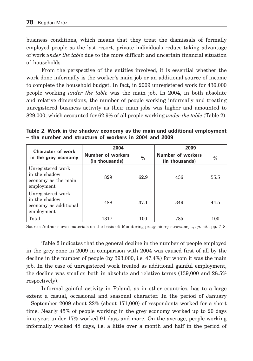business conditions, which means that they treat the dismissals of formally employed people as the last resort, private individuals reduce taking advantage of work *under the table* due to the more difficult and uncertain financial situation of households.

From the perspective of the entities involved, it is essential whether the work done informally is the worker's main job or an additional source of income to complete the household budget. In fact, in 2009 unregistered work for 436,000 people working *under the table* was the main job. In 2004, in both absolute and relative dimensions, the number of people working informally and treating unregistered business activity as their main jobs was higher and amounted to 829,000, which accounted for 62.9% of all people working *under the table* (Table 2).

**Table 2. Work in the shadow economy as the main and additional employment – the number and structure of workers in 2004 and 2009**

| Character of work                                                         | 2004                                |               | 2009                                |      |  |
|---------------------------------------------------------------------------|-------------------------------------|---------------|-------------------------------------|------|--|
| in the grey economy                                                       | Number of workers<br>(in thousands) | $\frac{0}{0}$ | Number of workers<br>(in thousands) | $\%$ |  |
| Unregistered work<br>in the shadow<br>economy as the main<br>employment   | 829                                 | 62.9          | 436                                 | 55.5 |  |
| Unregistered work<br>in the shadow<br>economy as additional<br>employment | 488                                 | 37.1          | 349                                 | 44.5 |  |
| Total                                                                     | 1317                                | 100           | 785                                 | 100  |  |

Source: Author's own materials on the basis of: Monitoring pracy nierejestrowanej..., *op. cit.*, pp. 7–8.

Table 2 indicates that the general decline in the number of people employed in the grey zone in 2009 in comparison with 2004 was caused first of all by the decline in the number of people (by 393,000, i.e. 47.4%) for whom it was the main job. In the case of unregistered work treated as additional gainful employment, the decline was smaller, both in absolute and relative terms (139,000 and 28.5% respectively).

Informal gainful activity in Poland, as in other countries, has to a large extent a casual, occasional and seasonal character. In the period of January – September 2009 about 22% (about 171,000) of respondents worked for a short time. Nearly 45% of people working in the grey economy worked up to 20 days in a year, under 17% worked 91 days and more. On the average, people working informally worked 48 days, i.e. a little over a month and half in the period of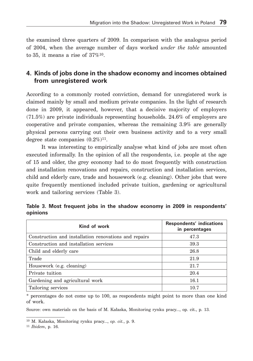the examined three quarters of 2009. In comparison with the analogous period of 2004, when the average number of days worked *under the table* amounted to 35, it means a rise of 37%10.

# **4. Kinds of jobs done in the shadow economy and incomes obtained from unregistered work**

According to a commonly rooted conviction, demand for unregistered work is claimed mainly by small and medium private companies. In the light of research done in 2009, it appeared, however, that a decisive majority of employers (71.5%) are private individuals representing households. 24.6% of employers are cooperative and private companies, whereas the remaining 3.9% are generally physical persons carrying out their own business activity and to a very small degree state companies  $(0.2\%)^{11}$ .

It was interesting to empirically analyse what kind of jobs are most often executed informally. In the opinion of all the respondents, i.e. people at the age of 15 and older, the grey economy had to do most frequently with construction and installation renovations and repairs, construction and installation services, child and elderly care, trade and housework (e.g. cleaning). Other jobs that were quite frequently mentioned included private tuition, gardening or agricultural work and tailoring services (Table 3).

| Kind of work                                          | Respondents' indications<br>in percentages |
|-------------------------------------------------------|--------------------------------------------|
| Construction and installation renovations and repairs | 47.3                                       |
| Construction and installation services                | 39.3                                       |
| Child and elderly care                                | 26.8                                       |
| Trade                                                 | 21.9                                       |
| Housework (e.g. cleaning)                             | 21.7                                       |
| Private tuition                                       | 20.4                                       |
| Gardening and agricultural work                       | 16.1                                       |
| Tailoring services                                    | 10.7                                       |

**Table 3. Most frequent jobs in the shadow economy in 2009 in respondents' opinions**

\* percentages do not come up to 100, as respondents might point to more than one kind of work.

Source: own materials on the basis of M. Kałaska, Monitoring rynku pracy..., op. cit., p. 13.

<sup>10</sup> M. Kałaska, Monitoring rynku pracy..., *op. cit.*, p. 9.

<sup>11</sup> *Ibidem*, p. 16.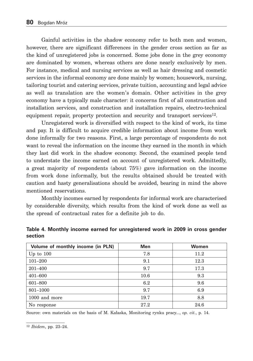Gainful activities in the shadow economy refer to both men and women, however, there are significant differences in the gender cross section as far as the kind of unregistered jobs is concerned. Some jobs done in the grey economy are dominated by women, whereas others are done nearly exclusively by men. For instance, medical and nursing services as well as hair dressing and cosmetic services in the informal economy are done mainly by women; housework, nursing, tailoring tourist and catering services, private tuition, accounting and legal advice as well as translation are the women's domain. Other activities in the grey economy have a typically male character: it concerns first of all construction and installation services, and construction and installation repairs, electro-technical equipment repair, property protection and security and transport services<sup>12</sup>.

Unregistered work is diversified with respect to the kind of work, its time and pay. It is difficult to acquire credible information about income from work done informally for two reasons. First, a large percentage of respondents do not want to reveal the information on the income they earned in the month in which they last did work in the shadow economy. Second, the examined people tend to understate the income earned on account of unregistered work. Admittedly, a great majority of respondents (about 75%) gave information on the income from work done informally, but the results obtained should be treated with caution and hasty generalisations should be avoided, bearing in mind the above mentioned reservations.

Monthly incomes earned by respondents for informal work are characterised by considerable diversity, which results from the kind of work done as well as the spread of contractual rates for a definite job to do.

| Volume of monthly income (in PLN) | <b>Men</b> | Women |
|-----------------------------------|------------|-------|
| Up to $100$                       | 7.8        | 11.2  |
| $101 - 200$                       | 9.1        | 12.3  |
| $201 - 400$                       | 9.7        | 17.3  |
| 401-600                           | 10.6       | 9.3   |
| 601-800                           | 6.2        | 9.6   |
| 801-1000                          | 9.7        | 6.9   |
| 1000 and more                     | 19.7       | 8.8   |
| No response                       | 27.2       | 24.6  |

**Table 4. Monthly income earned for unregistered work in 2009 in cross gender section**

Source: own materials on the basis of M. Kałaska, Monitoring rynku pracy..., *op. cit.*, p. 14.

<sup>12</sup> *Ibidem*, pp. 23–24.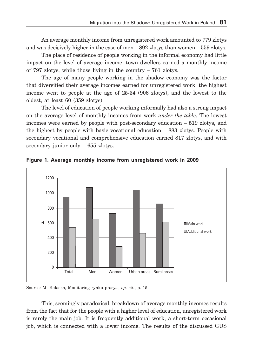An average monthly income from unregistered work amounted to 779 zlotys and was decisively higher in the case of men  $-892$  zlotys than women  $-559$  zlotys.

The place of residence of people working in the informal economy had little impact on the level of average income: town dwellers earned a monthly income of 797 zlotys, while those living in the country – 761 zlotys.

The age of many people working in the shadow economy was the factor that diversified their average incomes earned for unregistered work: the highest income went to people at the age of 25-34 (906 zlotys), and the lowest to the oldest, at least 60 (359 zlotys).

The level of education of people working informally had also a strong impact on the average level of monthly incomes from work *under the table*. The lowest incomes were earned by people with post-secondary education – 519 zlotys, and the highest by people with basic vocational education – 883 zlotys. People with secondary vocational and comprehensive education earned 817 zlotys, and with secondary junior only – 655 zlotys.



**Figure 1. Average monthly income from unregistered work in 2009**

Source: M. Kałaska, Monitoring rynku pracy..., *op. cit.*, p. 15.

This, seemingly paradoxical, breakdown of average monthly incomes results from the fact that for the people with a higher level of education, unregistered work is rarely the main job. It is frequently additional work, a short-term occasional job, which is connected with a lower income. The results of the discussed GUS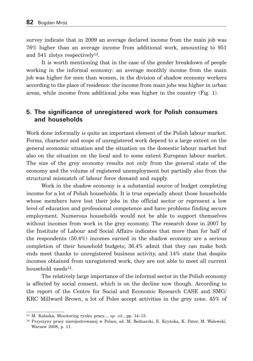survey indicate that in 2009 an average declared income from the main job was 76% higher than an average income from additional work, amounting to 951 and 541 zlotys respectively13.

It is worth mentioning that in the case of the gender breakdown of people working in the informal economy: an average monthly income from the main job was higher for men than women, in the division of shadow economy workers according to the place of residence: the income from main jobs was higher in urban areas, while income from additional jobs was higher in the country (Fig. 1).

### **5. The significance of unregistered work for Polish consumers and households**

Work done informally is quite an important element of the Polish labour market. Forms, character and scope of unregistered work depend to a large extent on the general economic situation and the situation on the domestic labour market but also on the situation on the local and to some extent European labour market. The size of the grey economy results not only from the general state of the economy and the volume of registered unemployment but partially also from the structural mismatch of labour force demand and supply.

Work in the shadow economy is a substantial source of budget completing income for a lot of Polish households. It is true especially about those households whose members have lost their jobs in the official sector or represent a low level of education and professional competence and have problems finding secure employment. Numerous households would not be able to support themselves without incomes from work in the grey economy. The research done in 2007 by the Institute of Labour and Social Affairs indicates that more than for half of the respondents (50.4%) incomes earned in the shadow economy are a serious completion of their household budgets; 36.4% admit that they can make both ends meet thanks to unregistered business activity, and 14% state that despite incomes obtained from unregistered work, they are not able to meet all current household needs14.

The relatively large importance of the informal sector in the Polish economy is affected by social consent, which is on the decline now though. According to the report of the Centre for Social and Economic Research CASE and SMG/ KRC Millward Brown, a lot of Poles accept activities in the grey zone. 45% of

<sup>13</sup> M. Kałaska, Monitoring rynku pracy..., *op. cit.*, pp. 14–15.

<sup>14</sup> Przyczyny pracy nierejestrowanej w Polsce, ed. M. Bednarski, E. Kryńska, K. Pater, M. Walewski, Warsaw 2008, p. 11.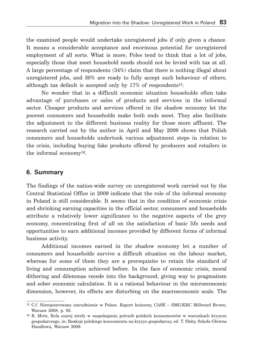the examined people would undertake unregistered jobs if only given a chance. It means a considerable acceptance and enormous potential for unregistered employment of all sorts. What is more, Poles tend to think that a lot of jobs, especially those that meet household needs should not be levied with tax at all. A large percentage of respondents (34%) claim that there is nothing illegal about unregistered jobs, and 30% are ready to fully accept such behaviour of others, although tax default is accepted only by  $17\%$  of respondents<sup>15</sup>.

No wonder that in a difficult economic situation households often take advantage of purchases or sales of products and services in the informal sector. Cheaper products and services offered in the shadow economy let the poorest consumers and households make both ends meet. They also facilitate the adjustment to the different business reality for those more affluent. The research carried out by the author in April and May 2009 shows that Polish consumers and households undertook various adjustment steps in relation to the crisis, including buying fake products offered by producers and retailers in the informal economy16.

### **6. Summary**

The findings of the nation-wide survey on unregistered work carried out by the Central Statistical Office in 2009 indicate that the role of the informal economy in Poland is still considerable. It seems that in the condition of economic crisis and shrinking earning capacities in the official sector, consumers and households attribute a relatively lower significance to the negative aspects of the grey economy, concentrating first of all on the satisfaction of basic life needs and opportunities to earn additional incomes provided by different forms of informal business activity.

Additional incomes earned in the shadow economy let a number of consumers and households survive a difficult situation on the labour market, whereas for some of them they are a prerequisite to retain the standard of living and consumption achieved before. In the face of economic crisis, moral dithering and dilemmas recede into the background, giving way to pragmatism and sober economic calculation. It is a rational behaviour in the microeconomic dimension, however, its effects are disturbing on the macroeconomic scale. The

<sup>15</sup> C.f. Nierejestrowane zatrudnienie w Polsce. Raport końcowy, CASE – SMG/KRC Millward Brown, Warsaw 2008, p. 95.

<sup>16</sup> B. Mróz, Rola szarej strefy w zaspokajaniu potrzeb polskich konsumentów w warunkach kryzysu gospodarczego, in: Reakcje polskiego konsumenta na kryzys gospodarczy, ed. T. Słaby, Szkoła Główna Handlowa, Warsaw 2009.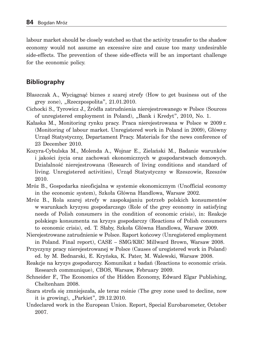labour market should be closely watched so that the activity transfer to the shadow economy would not assume an excessive size and cause too many undesirable side-effects. The prevention of these side-effects will be an important challenge for the economic policy.

## **Bibliography**

- Błaszczak A., Wyciągnąć biznes z szarej strefy (How to get business out of the grey zone),  $R$ zeczpospolita",  $21.01.2010$ .
- Cichocki S., Tyrowicz J., Źródła zatrudnienia nierejestrowanego w Polsce (Sources of unregistered employment in Poland), "Bank i Kredyt", 2010, No. 1.
- Kałaska M., Monitoring rynku pracy. Praca nierejestrowana w Polsce w 2009 r. (Monitoring of labour market. Unregistered work in Poland in 2009), Główny Urząd Statystyczny, Departament Pracy. Materials for the news conference of 23 December 2010.
- Kozyra-Cybulska M., Molenda A., Wojnar E., Zielański M., Badanie warunków i jakości życia oraz zachowań ekonomicznych w gospodarstwach domowych. Działalność nierejestrowana (Research of living conditions and standard of living. Unregistered activities), Urząd Statystyczny w Rzeszowie, Rzeszów 2010.
- Mróz B., Gospodarka nieoficjalna w systemie ekonomicznym (Unofficial economy in the economic system), Szkoła Główna Handlowa, Warsaw 2002.
- Mróz B., Rola szarej strefy w zaspokajaniu potrzeb polskich konsumentów w warunkach kryzysu gospodarczego (Role of the grey economy in satisfying needs of Polish consumers in the condition of economic crisis), in: Reakcje polskiego konsumenta na kryzys gospodarczy (Reactions of Polish consumers to economic crisis), ed. T. Słaby, Szkoła Główna Handlowa, Warsaw 2009.
- Nierejestrowane zatrudnienie w Polsce. Raport końcowy (Unregistered employment in Poland. Final report), CASE – SMG/KRC Millward Brown, Warsaw 2008.
- Przyczyny pracy nierejestrowanej w Polsce (Causes of uregistered work in Poland) ed. by M. Bednarski, E. Kryńska, K. Pater, M. Walewski, Warsaw 2008.
- Reakcje na kryzys gospodarczy. Komunikat z badań (Reactions to economic crisis. Research communique), CBOS, Warsaw, February 2009.
- Schneider F., The Economics of the Hidden Economy, Edward Elgar Publishing, Cheltenham 2008.
- Szara strefa się zmniejszała, ale teraz rośnie (The grey zone used to decline, now it is growing),  $n$ Parkiet",  $29.12.2010$ .
- Undeclared work in the European Union. Report, Special Eurobarometer, October 2007.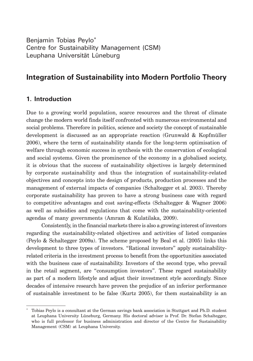Benjamin Tobias Peylo\* Centre for Sustainability Management (CSM) Leuphana Universität Lüneburg

# **Integration of Sustainability into Modern Portfolio Theory**

## **1. Introduction**

Due to a growing world population, scarce resources and the threat of climate change the modern world finds itself confronted with numerous environmental and social problems. Therefore in politics, science and society the concept of sustainable development is discussed as an appropriate reaction (Grunwald & Kopfmüller 2006), where the term of sustainability stands for the long-term optimisation of welfare through economic success in synthesis with the conservation of ecological and social systems. Given the prominence of the economy in a globalised society, it is obvious that the success of sustainability objectives is largely determined by corporate sustainability and thus the integration of sustainability-related objectives and concepts into the design of products, production processes and the management of external impacts of companies (Schaltegger et al. 2003). Thereby corporate sustainability has proven to have a strong business case with regard to competitive advantages and cost saving-effects (Schaltegger & Wagner 2006) as well as subsidies and regulations that come with the sustainability-oriented agendas of many governments (Amram & Kulatilaka, 2009).

Consistently, in the financial markets there is also a growing interest of investors regarding the sustainability-related objectives and activities of listed companies (Peylo & Schaltegger 2009a). The scheme proposed by Beal et al. (2005) links this development to three types of investors. "Rational investors" apply sustainabilityrelated criteria in the investment process to benefit from the opportunities associated with the business case of sustainability. Investors of the second type, who prevail in the retail segment, are "consumption investors". These regard sustainability as part of a modern lifestyle and adjust their investment style accordingly. Since decades of intensive research have proven the prejudice of an inferior performance of sustainable investment to be false (Kurtz 2005), for them sustainability is an

<sup>\*</sup> Tobias Peylo is a consultant at the German savings bank association in Stuttgart and Ph.D. student at Leuphana University Lüneburg, Germany. His doctoral adviser is Prof. Dr. Stefan Schaltegger, who is full professor for business administration and director of the Centre for Sustainability Management (CSM) at Leuphana University.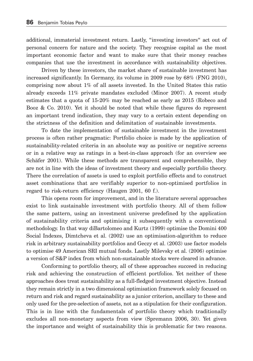additional, immaterial investment return. Lastly, "investing investors" act out of personal concern for nature and the society. They recognise capital as the most important economic factor and want to make sure that their money reaches companies that use the investment in accordance with sustainability objectives.

Driven by these investors, the market share of sustainable investment has increased significantly. In Germany, its volume in 2009 rose by 68% (FNG 2010), comprising now about 1% of all assets invested. In the United States this ratio already exceeds 11% private mandates excluded (Minor 2007). A recent study estimates that a quota of 15-20% may be reached as early as 2015 (Robeco and Booz & Co. 2010). Yet it should be noted that while these figures do represent an important trend indication, they may vary to a certain extent depending on the strictness of the definition and delimitation of sustainable investments.

To date the implementation of sustainable investment in the investment process is often rather pragmatic: Portfolio choice is made by the application of sustainability-related criteria in an absolute way as positive or negative screens or in a relative way as ratings in a best-in-class approach (for an overview see Schäfer 2001). While these methods are transparent and comprehensible, they are not in line with the ideas of investment theory and especially portfolio theory. There the correlation of assets is used to exploit portfolio effects and to construct asset combinations that are verifiably superior to non-optimised portfolios in regard to risk-return efficiency (Haugen 2001, 60 f.).

This opens room for improvement, and in the literature several approaches exist to link sustainable investment with portfolio theory. All of them follow the same pattern, using an investment universe predefined by the application of sustainability criteria and optimising it subsequently with a conventional methodology. In that way diBartolomeo and Kurtz (1999) optimise the Domini 400 Social Indexes, Dimtcheva et al. (2002) use an optimisation-algorithm to reduce risk in arbitrary sustainability portfolios and Geczy et al. (2003) use factor models to optimise 49 American SRI mutual fonds. Lastly Milevsky et al. (2006) optimise a version of S&P index from which non-sustainable stocks were cleared in advance.

Conforming to portfolio theory, all of these approaches succeed in reducing risk and achieving the construction of efficient portfolios. Yet neither of these approaches does treat sustainability as a full-fledged investment objective. Instead they remain strictly in a two dimensional optimisation framework solely focused on return and risk and regard sustainability as a junior criterion, ancillary to these and only used for the pre-selection of assets, not as a stipulation for their configuration. This is in line with the fundamentals of portfolio theory which traditionally excludes all non-monetary aspects from view (Spremann 2006, 30). Yet given the importance and weight of sustainability this is problematic for two reasons.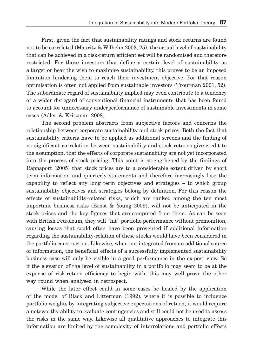First, given the fact that sustainability ratings and stock returns are found not to be correlated (Mauritz & Wilhelm 2003, 25), the actual level of sustainability that can be achieved in a risk-return efficient set will be randomised and therefore restricted. For those investors that define a certain level of sustainability as a target or bear the wish to maximise sustainability, this proves to be an imposed limitation hindering them to reach their investment objective. For that reason optimisation is often not applied from sustainable investors (Troutman 2001, 52). The subordinate regard of sustainability implied may even contribute to a tendency of a wider disregard of conventional financial instruments that has been found to account for unnecessary underperformance of sustainable investments in some cases (Adler & Kritzman 2008).

The second problem abstracts from subjective factors and concerns the relationship between corporate sustainability and stock prices. Both the fact that sustainability criteria have to be applied as additional screens and the finding of no significant correlation between sustainability and stock returns give credit to the assumption, that the effects of corporate sustainability are not yet incorporated into the process of stock pricing. This point is strengthened by the findings of Rappaport (2005) that stock prices are to a considerable extent driven by short term information and quarterly statements and therefore increasingly lose the capability to reflect any long term objectives and strategies – to which group sustainability objectives and strategies belong by definition. For this reason the effects of sustainability-related risks, which are ranked among the ten most important business risks (Ernst & Young 2009), will not be anticipated in the stock prices and the key figures that are computed from them. As can be seen with British Petroleum, they will "hit" portfolio performance without premonition, causing losses that could often have been prevented if additional information regarding the sustainability-relation of these stocks would have been considered in the portfolio construction. Likewise, when not integrated from an additional source of information, the beneficial effects of a successfully implemented sustainability business case will only be visible in a good performance in the ex-post view. So if the elevation of the level of sustainability in a portfolio may seem to be at the expense of risk-return efficiency to begin with, this may well prove the other way round when analysed in retrospect.

While the later effect could in some cases be healed by the application of the model of Black and Litterman (1992), where it is possible to influence portfolio weights by integrating subjective expectations of return, it would require a noteworthy ability to evaluate contingencies and still could not be used to assess the risks in the same way. Likewise all qualitative approaches to integrate this information are limited by the complexity of interrelations and portfolio effects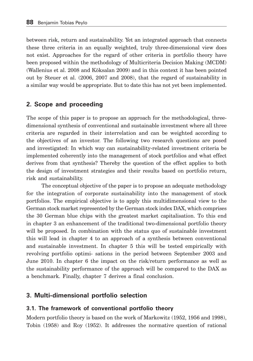between risk, return and sustainability. Yet an integrated approach that connects these three criteria in an equally weighted, truly three-dimensional view does not exist. Approaches for the regard of other criteria in portfolio theory have been proposed within the methodology of Multicriteria Decision Making (MCDM) (Wallenius et al. 2008 and Köksalan 2009) and in this context it has been pointed out by Steuer et al. (2006, 2007 and 2008), that the regard of sustainability in a similar way would be appropriate. But to date this has not yet been implemented.

### **2. Scope and proceeding**

The scope of this paper is to propose an approach for the methodological, threedimensional synthesis of conventional and sustainable investment where all three criteria are regarded in their interrelation and can be weighted according to the objectives of an investor. The following two research questions are posed and investigated: In which way can sustainability-related investment criteria be implemented coherently into the management of stock portfolios and what effect derives from that synthesis? Thereby the question of the effect applies to both the design of investment strategies and their results based on portfolio return, risk and sustainability.

The conceptual objective of the paper is to propose an adequate methodology for the integration of corporate sustainability into the management of stock portfolios. The empirical objective is to apply this multidimensional view to the German stock market represented by the German stock index DAX, which comprises the 30 German blue chips with the greatest market capitalisation. To this end in chapter 3 an enhancement of the traditional two-dimensional portfolio theory will be proposed. In combination with the status quo of sustainable investment this will lead in chapter 4 to an approach of a synthesis between conventional and sustainable investment. In chapter 5 this will be tested empirically with revolving portfolio optimi- sations in the period between September 2003 and June 2010. In chapter 6 the impact on the risk/return performance as well as the sustainability performance of the approach will be compared to the DAX as a benchmark. Finally, chapter 7 derives a final conclusion.

### **3. Multi-dimensional portfolio selection**

#### **3.1. The framework of conventional portfolio theory**

Modern portfolio theory is based on the work of Markowitz (1952, 1956 and 1998), Tobin (1958) and Roy (1952). It addresses the normative question of rational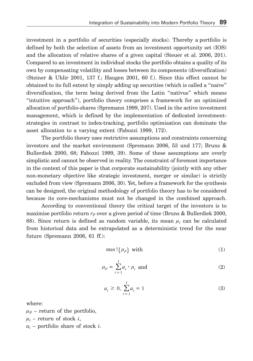investment in a portfolio of securities (especially stocks). Thereby a portfolio is defined by both the selection of assets from an investment opportunity set (IOS) and the allocation of relative shares of a given capital (Steuer et al. 2006, 201). Compared to an investment in individual stocks the portfolio obtains a quality of its own by compensating volatility and losses between its components (diversification) (Steiner & Uhlir 2001, 137 f.; Haugen 2001, 60 f.). Since this effect cannot be obtained to its full extent by simply adding up securities (which is called a "naive" diversification, the term being derived from the Latin "nativus" which means "intuitive approach"), portfolio theory comprises a framework for an optimized allocation of portfolio-shares (Spremann 1999, 207). Used in the active investment management, which is defined by the implementation of dedicated investmentstrategies in contrast to index-tracking, portfolio optimisation can dominate the asset allocation to a varying extent (Fabozzi 1999, 172).

The portfolio theory uses restrictive assumptions and constraints concerning investors and the market environment (Spremann 2006, 53 und 177; Bruns & Bullerdiek 2000, 68; Fabozzi 1999, 39). Some of these assumptions are overly simplistic and cannot be observed in reality. The constraint of foremost importance in the context of this paper is that corporate sustainability (jointly with any other non-monetary objective like strategic investment, merger or similar) is strictly excluded from view (Spremann 2006, 30). Yet, before a framework for the synthesis can be designed, the original methodology of portfolio theory has to be considered because its core-mechanisms must not be changed in the combined approach.

According to conventional theory the critical target of the investors is to maximise portfolio return  $r_p$  over a given period of time (Bruns & Bullerdiek 2000, 68). Since return is defined as random variable, its mean  $\mu_i$  can be calculated from historical data and be extrapolated as a deterministic trend for the near future (Spremann 2006, 61 ff.):

$$
\max \left\{ \mu_P \right\} \text{ with } \tag{1}
$$

$$
\mu_P = \sum_{i=1}^I a_i \cdot \mu_i \text{ and } \tag{2}
$$

$$
a_i \ge 0, \sum_{i=1}^{I} a_i = 1
$$
 (3)

where:

 $\mu_P$  – return of the portfolio,  $\mu_i$  – return of stock *i*,

*ai* – portfolio share of stock *i*.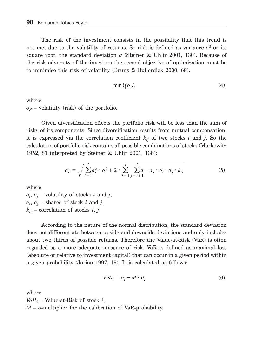The risk of the investment consists in the possibility that this trend is not met due to the volatility of returns. So risk is defined as variance  $\sigma^2$  or its square root, the standard deviation  $\sigma$  (Steiner & Uhlir 2001, 130). Because of the risk adversity of the investors the second objective of optimization must be to minimise this risk of volatility (Bruns & Bullerdiek 2000, 68):

$$
\min \left\{ \sigma_p \right\} \tag{4}
$$

where:

 $\sigma_p$  – volatility (risk) of the portfolio.

Given diversification effects the portfolio risk will be less than the sum of risks of its components. Since diversification results from mutual compensation, it is expressed via the correlation coefficient *kij* of two stocks *i* and *j*. So the calculation of portfolio risk contains all possible combinations of stocks (Markowitz 1952, 81 interpreted by Steiner & Uhlir 2001, 138):

$$
\sigma_p = \sqrt{\sum_{i=1}^l a_i^2 \cdot \sigma_i^2 + 2 \cdot \sum_{i=1}^l \sum_{j=i+1}^J a_i \cdot a_j \cdot \sigma_i \cdot \sigma_j \cdot k_{ij}} \tag{5}
$$

where:

 $\sigma_i$ ,  $\sigma_j$  – volatility of stocks *i* and *j*,  $a_i$ ,  $a_j$  – shares of stock *i* and *j*, *kij* – correlation of stocks *i*, *j*.

According to the nature of the normal distribution, the standard deviation does not differentiate between upside and downside deviations and only includes about two thirds of possible returns. Therefore the Value-at-Risk (VaR) is often regarded as a more adequate measure of risk. VaR is defined as maximal loss (absolute or relative to investment capital) that can occur in a given period within a given probability (Jorion 1997, 19). It is calculated as follows:

$$
VaR_i = \mu_i - M \cdot \sigma_i \tag{6}
$$

where:

*VaRi* – Value-at-Risk of stock *i*,  $M$  –  $\sigma$ -multiplier for the calibration of VaR-probability.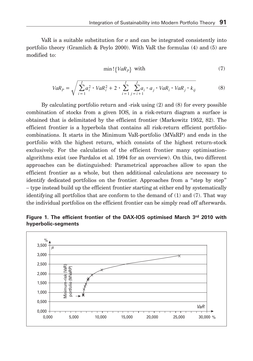VaR is a suitable substitution for  $\sigma$  and can be integrated consistently into portfolio theory (Gramlich & Peylo 2000). With VaR the formulas (4) and (5) are modified to:

$$
\min \left\{ VaR_p \right\} \text{ with } \tag{7}
$$

$$
VaR_{P} = \sqrt{\sum_{i=1}^{I} a_{i}^{2} \cdot VaR_{i}^{2} + 2 \cdot \sum_{i=1}^{I} \sum_{j=i+1}^{J} a_{i} \cdot a_{j} \cdot VaR_{i} \cdot VaR_{j} \cdot k_{ij}}
$$
(8)

By calculating portfolio return and -risk using (2) and (8) for every possible combination of stocks from a given IOS, in a risk-return diagram a surface is obtained that is delimitated by the efficient frontier (Markowitz 1952, 82). The efficient frontier is a hyperbola that contains all risk-return efficient portfoliocombinations. It starts in the Minimum VaR-portfolio (MVaRP) and ends in the portfolio with the highest return, which consists of the highest return-stock exclusively. For the calculation of the efficient frontier many optimisationalgorithms exist (see Pardalos et al. 1994 for an overview). On this, two different approaches can be distinguished: Parametrical approaches allow to span the efficient frontier as a whole, but then additional calculations are necessary to identify dedicated portfolios on the frontier. Approaches from a "step by step" – type instead build up the efficient frontier starting at either end by systematically identifying all portfolios that are conform to the demand of (1) and (7). That way the individual portfolios on the efficient frontier can be simply read off afterwards.

**Figure 1. The efficient frontier of the DAX-IOS optimised March 3rd 2010 with hyperbolic-segments**

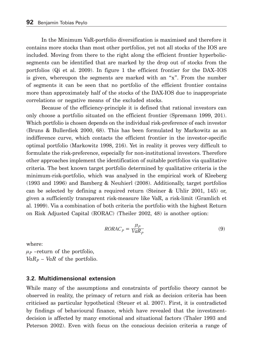In the Minimum VaR-portfolio diversification is maximised and therefore it contains more stocks than most other portfolios, yet not all stocks of the IOS are included. Moving from there to the right along the efficient frontier hyperbolicsegments can be identified that are marked by the drop out of stocks from the portfolios (Qi et al. 2009). In figure 1 the efficient frontier for the DAX–IOS is given, whereupon the segments are marked with an "x". From the number of segments it can be seen that no portfolio of the efficient frontier contains more than approximately half of the stocks of the DAX-IOS due to inappropriate correlations or negative means of the excluded stocks.

Because of the efficiency-principle it is defined that rational investors can only choose a portfolio situated on the efficient frontier (Spremann 1999, 201). Which portfolio is chosen depends on the individual risk-preference of each investor (Bruns & Bullerdiek 2000, 68). This has been formulated by Markowitz as an indifference curve, which contacts the efficient frontier in the investor-specific optimal portfolio (Markowitz 1998, 216). Yet in reality it proves very difficult to formulate the risk-preference, especially for non-institutional investors. Therefore other approaches implement the identification of suitable portfolios via qualitative criteria. The best known target portfolio determined by qualitative criteria is the minimum-risk-portfolio, which was analysed in the empirical work of Kleeberg (1993 and 1996) and Bamberg & Neuhierl (2008). Additionally, target portfolios can be selected by defining a required return (Steiner & Uhlir 2001, 145) or, given a sufficiently transparent risk-measure like VaR, a risk-limit (Gramlich et al. 1999). Via a combination of both criteria the portfolio with the highest Return on Risk Adjusted Capital (RORAC) (Theiler 2002, 48) is another option:

$$
RORAC_p = \frac{\mu_p}{VaR_p} \tag{9}
$$

where:  $\mu_P$  –return of the portfolio,  $VaR<sub>P</sub> - VaR$  of the portfolio.

#### **3.2. Multidimensional extension**

While many of the assumptions and constraints of portfolio theory cannot be observed in reality, the primacy of return and risk as decision criteria has been criticised as particular hypothetical (Steuer et al. 2007). First, it is contradicted by findings of behavioural finance, which have revealed that the investmentdecision is affected by many emotional and situational factors (Thaler 1993 and Peterson 2002). Even with focus on the conscious decision criteria a range of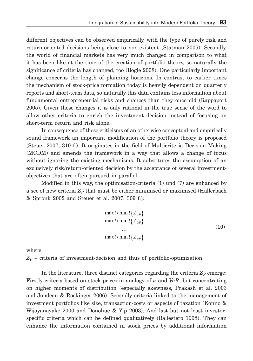different objectives can be observed empirically, with the type of purely risk and return-oriented decisions being close to non-existent (Statman 2005). Secondly, the world of financial markets has very much changed in comparison to what it has been like at the time of the creation of portfolio theory, so naturally the significance of criteria has changed, too (Bogle 2008). One particularly important change concerns the length of planning horizons. In contrast to earlier times the mechanism of stock-price formation today is heavily dependent on quarterly reports and short-term data, so naturally this data contains less information about fundamental entrepreneurial risks and chances than they once did (Rappaport 2005). Given these changes it is only rational in the true sense of the word to allow other criteria to enrich the investment decision instead of focusing on short-term return and risk alone.

In consequence of these criticisms of an otherwise conceptual and empirically sound framework an important modification of the portfolio theory is proposed (Steuer 2007, 310 f.). It originates in the field of Multicriteria Decision Making (MCDM) and amends the framework in a way that allows a change of focus without ignoring the existing mechanisms. It substitutes the assumption of an exclusively risk/return-oriented decision by the acceptance of several investmentobjectives that are often pursued in parallel.

Modified in this way, the optimisation-criteria (1) und (7) are enhanced by a set of new criteria  $Z_p$  that must be either minimised or maximised (Hallerbach & Spronk 2002 and Steuer et al. 2007, 309 f.):

$$
\max !/ \min !\{Z_{1P}\}\nmax !/ \min !\{Z_{2P}\}\n... \nmax !/ \min !\{Z_{nP}\}\n(10)
$$

where:

 $Z_p$  – criteria of investment-decision and thus of portfolio-optimization.

In the literature, three distinct categories regarding the criteria  $Z_p$  emerge: Firstly criteria based on stock prices in analogy of  $\mu$  and *VaR*, but concentrating on higher moments of distribution (especially skewness, Prakash et al. 2003 and Jondeau & Rockinger 2006). Secondly criteria linked to the management of investment portfolios like size, transaction-costs or aspects of taxation (Konno & Wijayanayake 2000 and Donohue & Yip 2003). And last but not least investorspecific criteria which can be defined qualitatively (Ballestero 1998). They can enhance the information contained in stock prices by additional information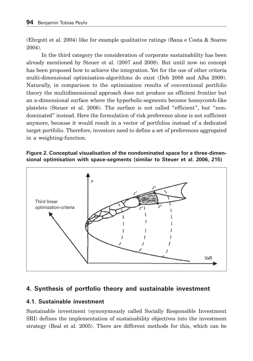(Ehrgott et al. 2004) like for example qualitative ratings (Bana e Costa & Soares 2004).

In the third category the consideration of corporate sustainability has been already mentioned by Steuer et al. (2007 and 2008). But until now no concept has been proposed how to achieve the integration. Yet for the use of other criteria multi-dimensional optimisation-algorithms do exist (Deb 2008 and Alba 2009). Naturally, in comparison to the optimisation results of conventional portfolio theory the multidimensional approach does not produce an efficient frontier but an n-dimensional surface where the hyperbolic-segments become honeycomb-like platelets (Steuer et al. 2006). The surface is not called "efficient", but "nondominated" instead. Here the formulation of risk preference alone is not sufficient anymore, because it would result in a vector of portfolios instead of a dedicated target portfolio. Therefore, investors need to define a set of preferences aggregated in a weighting-function.





# **4. Synthesis of portfolio theory and sustainable investment**

# **4.1. Sustainable investment**

Sustainable investment (synonymously called Socially Responsible Investment SRI) defines the implementation of sustainability objectives into the investment strategy (Beal et al. 2005). There are different methods for this, which can be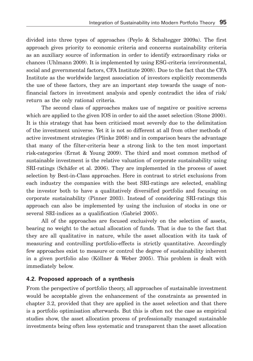divided into three types of approaches (Peylo & Schaltegger 2009a). The first approach gives priority to economic criteria and concerns sustainability criteria as an auxiliary source of information in order to identify extraordinary risks or chances (Uhlmann 2009). It is implemented by using ESG-criteria (environmental, social and govern mental factors, CFA Institute 2008). Due to the fact that the CFA Institute as the worldwide largest association of investors explicitly recommends the use of these factors, they are an important step towards the usage of nonfinancial factors in investment analysis and openly contradict the idea of risk/ return as the only rational criteria.

The second class of approaches makes use of negative or positive screens which are applied to the given IOS in order to aid the asset selection (Stone 2000). It is this strategy that has been criticised most severely due to the delimitation of the investment universe. Yet it is not so different at all from other methods of active investment strategies (Plinke 2008) and in comparison bears the advantage that many of the filter-criteria bear a strong link to the ten most important risk-categories (Ernst & Young 2009). The third and most common method of sustainable investment is the relative valuation of corporate sustainability using SRI-ratings (Schäfer et al. 2006). They are implemented in the process of asset selection by Best-in-Class approaches. Here in contrast to strict exclusions from each industry the companies with the best SRI-ratings are selected, enabling the investor both to have a qualitatively diversified portfolio and focusing on corporate sustainability (Pinner 2003). Instead of considering SRI-ratings this approach can also be implemented by using the inclusion of stocks in one or several SRI-indices as a qualification (Gabriel 2005).

All of the approaches are focused exclusively on the selection of assets, bearing no weight to the actual allocation of funds. That is due to the fact that they are all qualitative in nature, while the asset allocation with its task of measuring and controlling portfolio-effects is strictly quantitative. Accordingly few approaches exist to measure or control the degree of sustainability inherent in a given portfolio also (Köllner & Weber 2005). This problem is dealt with immediately below.

# **4.2. Proposed approach of a synthesis**

From the perspective of portfolio theory, all approaches of sustainable investment would be acceptable given the enhancement of the constraints as presented in chapter 3.2, provided that they are applied in the asset selection and that there is a portfolio optimisation afterwards. But this is often not the case as empirical studies show, the asset allocation process of professionally managed sustainable investments being often less systematic and transparent than the asset allocation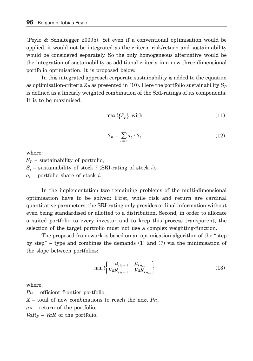(Peylo & Schaltegger 2009b). Yet even if a conventional optimisation would be applied, it would not be integrated as the criteria risk/return and sustain-ability would be considered separately. So the only homogeneous alternative would be the integration of sustainability as additional criteria in a new three-dimensional portfolio optimisation. It is proposed below.

In this integrated approach corporate sustainability is added to the equation as optimisation-criteria  $Z_p$  as presented in (10). Here the portfolio sustainability  $S_p$ is defined as a linearly weighted combination of the SRI-ratings of its components. It is to be maximised:

$$
\max \left\{ S_p \right\} \text{ with } \tag{11}
$$

$$
S_P = \sum_{i=1}^{I} a_i \cdot S_i \tag{12}
$$

where:

 $S_p$  – sustainability of portfolio, *Si* – sustainability of stock *i* (SRI-rating of stock *i*), *ai* – portfolio share of stock *i*.

In the implementation two remaining problems of the multi-dimensional optimisation have to be solved: First, while risk and return are cardinal quantitative parameters, the SRI-rating only provides ordinal information without even being standardised or allotted to a distribution. Second, in order to allocate a suited portfolio to every investor and to keep this process transparent, the selection of the target portfolio must not use a complex weighting-function.

The proposed framework is based on an optimisation algorithm of the "step by step" – type and combines the demands (1) and (7) via the minimisation of the slope between portfolios:

$$
\min \left\{ \frac{\mu_{Pn-1} - \mu_{Pn,x}}{VaR_{Pn-1} - VaR_{Pn,x}} \right\} \tag{13}
$$

where:

*Pn* – efficient frontier portfolio, *X* – total of new combinations to reach the next *Pn*,  $\mu_p$  – return of the portfolio,  $VaR_P - VaR$  of the portfolio.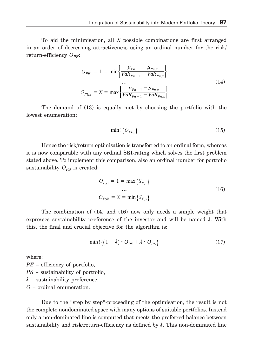To aid the minimisation, all *X* possible combinations are first arranged in an order of decreasing attractiveness using an ordinal number for the risk/ return-efficiency  $O_{PE}$ :

$$
O_{PE1} = 1 = \min \left\{ \frac{\mu_{Pn-1} - \mu_{Pn,x}}{VaR_{Pn-1} - VaR_{Pn,x}} \right\}
$$
  
...  

$$
O_{PEX} = X = \max \left\{ \frac{\mu_{Pn-1} - \mu_{Pn,x}}{VaR_{Pn-1} - VaR_{Pn,x}} \right\}
$$
(14)

The demand of (13) is equally met by choosing the portfolio with the lowest enumeration:

$$
\min \left\{ O_{PEx} \right\} \tag{15}
$$

Hence the risk/return optimisation is transferred to an ordinal form, whereas it is now comparable with any ordinal SRI-rating which solves the first problem stated above. To implement this comparison, also an ordinal number for portfolio sustainability  $O_{PS}$  is created:

$$
O_{PS1} = 1 = \max\{S_{P,x}\}
$$
  
...  

$$
O_{PSX} = X = \min\{S_{P,x}\}
$$
 (16)

The combination of (14) and (16) now only needs a simple weight that expresses sustainability preference of the investor and will be named  $\lambda$ . With this, the final and crucial objective for the algorithm is:

$$
\min \left\{ \left( 1 - \lambda \right) \cdot O_{PE} + \lambda \cdot O_{PN} \right\} \tag{17}
$$

where:

*PE* – efficiency of portfolio, *PS* – sustainability of portfolio,  $\lambda$  – sustainability preference, *O* – ordinal enumeration.

Due to the "step by step"-proceeding of the optimisation, the result is not the complete nondominated space with many options of suitable portfolios. Instead only a non-dominated line is computed that meets the preferred balance between sustainability and risk/return-efficiency as defined by  $\lambda$ . This non-dominated line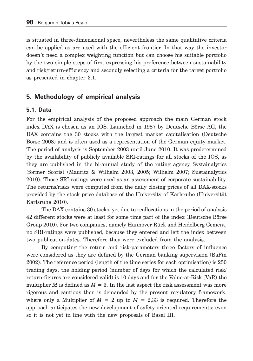is situated in three-dimensional space, nevertheless the same qualitative criteria can be applied as are used with the efficient frontier. In that way the investor doesn't need a complex weighting function but can choose his suitable portfolio by the two simple steps of first expressing his preference between sustainability and risk/return-efficiency and secondly selecting a criteria for the target portfolio as presented in chapter 3.1.

### **5. Methodology of empirical analysis**

#### **5.1. Data**

For the empirical analysis of the proposed approach the main German stock index DAX is chosen as an IOS. Launched in 1987 by Deutsche Börse AG, the DAX contains the 30 stocks with the largest market capitalisation (Deutsche Börse 2008) and is often used as a representation of the German equity market. The period of analysis is September 2003 until June 2010. It was predetermined by the availability of publicly available SRI-ratings for all stocks of the IOS, as they are published in the bi-annual study of the rating agency Systainalytics (former Scoris) (Mauritz & Wilhelm 2003, 2005; Wilhelm 2007; Sustainalytics 2010). Those SRI-ratings were used as an assessment of corporate sustainability. The returns/risks were computed from the daily closing prices of all DAX-stocks provided by the stock price database of the University of Karlsruhe (Universität Karlsruhe 2010).

The DAX contains 30 stocks, yet due to reallocations in the period of analysis 42 different stocks were at least for some time part of the index (Deutsche Börse Group 2010). For two companies, namely Hannover Rück and Heidelberg Cement, no SRI-ratings were published, because they entered and left the index between two publication-dates. Therefore they were excluded from the analysis.

By computing the return and risk-parameters three factors of influence were considered as they are defined by the German banking supervision (BaFin 2002): The reference period (length of the time series for each optimisation) is 250 trading days, the holding period (number of days for which the calculated risk/ return-figures are considered valid) is 10 days and for the Value-at-Risk (VaR) the multiplier *M* is defined as  $M = 3$ . In the last aspect the risk assessment was more rigorous and cautious then is demanded by the present regulatory framework, where only a Multiplier of  $M = 2$  up to  $M = 2,33$  is required. Therefore the approach anticipates the new development of safety oriented requirements; even so it is not yet in line with the new proposals of Basel III.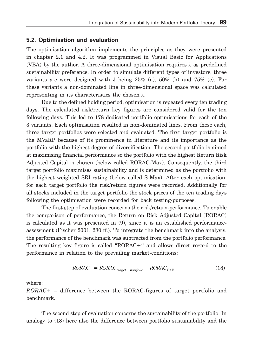#### **5.2. Optimisation and evaluation**

The optimisation algorithm implements the principles as they were presented in chapter 2.1 and 4.2. It was programmed in Visual Basic for Applications (VBA) by the author. A three-dimensional optimisation requires  $\lambda$  as predefined sustainability preference. In order to simulate different types of investors, three variants a-c were designed with  $\lambda$  being 25% (a), 50% (b) and 75% (c). For these variants a non-dominated line in three-dimensional space was calculated representing in its characteristics the chosen  $\lambda$ .

Due to the defined holding period, optimisation is repeated every ten trading days. The calculated risk/return key figures are considered valid for the ten following days. This led to 178 dedicated portfolio optimisations for each of the 3 variants. Each optimisation resulted in non-dominated lines. From these each, three target portfolios were selected and evaluated. The first target portfolio is the MVaRP because of its prominence in literature and its importance as the portfolio with the highest degree of diversification. The second portfolio is aimed at maximising financial performance so the portfolio with the highest Return Risk Adjusted Capital is chosen (below called RORAC-Max). Consequently, the third target portfolio maximises sustainability and is determined as the portfolio with the highest weighted SRI-rating (below called S-Max). After each optimisation, for each target portfolio the risk/return figures were recorded. Additionally for all stocks included in the target portfolio the stock prices of the ten trading days following the optimisation were recorded for back testing-purposes.

The first step of evaluation concerns the risk/return-performance. To enable the comparison of performance, the Return on Risk Adjusted Capital (RORAC) is calculated as it was presented in (9), since it is an established performanceassessment (Fischer 2001, 280 ff.). To integrate the benchmark into the analysis, the performance of the benchmark was subtracted from the portfolio performance. The resulting key figure is called "RORAC+" and allows direct regard to the performance in relation to the prevailing market-conditions:

$$
RORAC + = RORAC_{target - portfolio} - RORAC_{DAX}
$$
 (18)

where:

*RORAC*+ – difference between the RORAC-figures of target portfolio and benchmark.

The second step of evaluation concerns the sustainability of the portfolio. In analogy to (18) here also the difference between portfolio sustainability and the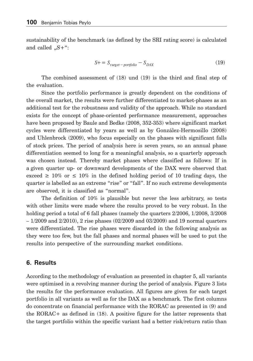sustainability of the benchmark (as defined by the SRI rating score) is calculated and called  $.S +$ ":

$$
S+ = S_{target-portbolo} - S_{DAX}
$$
 (19)

The combined assessment of (18) und (19) is the third and final step of the evaluation.

Since the portfolio performance is greatly dependent on the conditions of the overall market, the results were further differentiated to market-phases as an additional test for the robustness and validity of the approach. While no standard exists for the concept of phase-oriented performance measurement, approaches have been proposed by Baule and Bedke (2008, 352-353) where significant market cycles were differentiated by years as well as by González-Hermosillo (2008) and Uhlenbrock (2009), who focus especially on the phases with significant falls of stock prices. The period of analysis here is seven years, so an annual phase differentiation seemed to long for a meaningful analysis, so a quarterly approach was chosen instead. Thereby market phases where classified as follows: If in a given quarter up- or downward developments of the DAX were observed that exceed  $\geq 10\%$  or  $\leq 10\%$  in the defined holding period of 10 trading days, the quarter is labelled as an extreme "rise" or "fall". If no such extreme developments are observed, it is classified as "normal".

The definition of 10% is plausible but never the less arbitrary, so tests with other limits were made where the results proved to be very robust. In the holding period a total of 6 fall phases (namely the quarters 2/2006, 1/2008, 3/2008  $-1/2009$  and  $2/2010$ , 2 rise phases  $(02/2009)$  and  $(03/2009)$  and 19 normal quarters were differentiated. The rise phases were discarded in the following analysis as they were too few, but the fall phases and normal phases will be used to put the results into perspective of the surrounding market conditions.

# **6. Results**

According to the methodology of evaluation as presented in chapter 5, all variants were optimised in a revolving manner during the period of analysis. Figure 3 lists the results for the performance evaluation. All figures are given for each target portfolio in all variants as well as for the DAX as a benchmark. The first columns do concentrate on financial performance with the RORAC as presented in (9) and the RORAC+ as defined in (18). A positive figure for the latter represents that the target portfolio within the specific variant had a better risk/return ratio than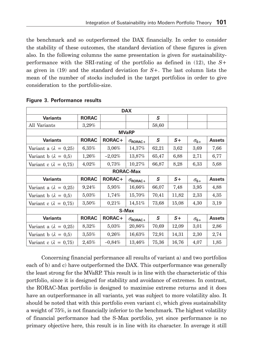the benchmark and so outperformed the DAX financially. In order to consider the stability of these outcomes, the standard deviation of these figures is given also. In the following columns the same presentation is given for sustainabilityperformance with the SRI-rating of the portfolio as defined in (12), the *S*+ as given in (19) and the standard deviation for *S*+. The last column lists the mean of the number of stocks included in the target portfolios in order to give consideration to the portfolio-size.

| <b>DAX</b>                     |              |           |                          |       |       |               |               |  |  |
|--------------------------------|--------------|-----------|--------------------------|-------|-------|---------------|---------------|--|--|
| <b>Variants</b>                | <b>RORAC</b> |           |                          | S     |       |               |               |  |  |
| All Variants                   | 3,29%        |           |                          | 58,60 |       |               |               |  |  |
|                                | <b>MVaRP</b> |           |                          |       |       |               |               |  |  |
| <b>Variants</b>                | <b>RORAC</b> | RORAC+    | $\sigma_{\text{RORAC}+}$ | S     | $S+$  | $\sigma_{s+}$ | <b>Assets</b> |  |  |
| Variant a $(\lambda = 0.25)$   | $6,35\%$     | 3,06%     | 14,37%                   | 62,21 | 3,62  | 3,69          | 7,66          |  |  |
| Variant b $(\lambda = 0.5)$    | $1,26\%$     | $-2,02\%$ | 13,87%                   | 65,47 | 6,88  | 2,71          | 6,77          |  |  |
| Variant c ( $\lambda = 0.75$ ) | 4,02%        | 0.73%     | 10,27%                   | 66,87 | 8,28  | 6,33          | 5,68          |  |  |
|                                |              |           | <b>RORAC-Max</b>         |       |       |               |               |  |  |
| <b>Variants</b>                | <b>RORAC</b> | RORAC+    | $\sigma_{\text{RORAC}+}$ | S     | $S+$  | $\sigma_{s+}$ | <b>Assets</b> |  |  |
| Variant a $(\lambda = 0.25)$   | 9,24%        | $5,95\%$  | 16,66%                   | 66,07 | 7,48  | 3,95          | 4,88          |  |  |
| Variant b $(\lambda = 0.5)$    | $5,03\%$     | 1,74%     | 15,70%                   | 70,41 | 11,82 | 2,33          | 4,35          |  |  |
| Variant c ( $\lambda = 0.75$ ) | 3,50%        | 0,21%     | 14,51%                   | 73,68 | 15,08 | 4,30          | 3,19          |  |  |
| S-Max                          |              |           |                          |       |       |               |               |  |  |
| <b>Variants</b>                | <b>RORAC</b> | RORAC+    | $\sigma_{\text{RORAC}+}$ | S     | $S+$  | $\sigma_{S+}$ | <b>Assets</b> |  |  |
| Variant a $(\lambda = 0.25)$   | $8,32\%$     | $5.03\%$  | 20,86%                   | 70,69 | 12,09 | 3,01          | 2,86          |  |  |
| Variant b ( $\lambda = 0.5$ )  | $3,55\%$     | $0,26\%$  | 16,63%                   | 72,91 | 14,31 | 2,30          | 2,74          |  |  |
| Variant c ( $\lambda = 0.75$ ) | 2,45%        | $-0.84\%$ | 13,46%                   | 75,36 | 16,76 | 4,07          | 1,85          |  |  |

### **Figure 3. Performance results**

Concerning financial performance all results of variant a) and two portfolios each of b) and c) have outperformed the DAX. This outperformance was generally the least strong for the MVaRP. This result is in line with the characteristic of this portfolio, since it is designed for stability and avoidance of extremes. In contrast, the RORAC-Max portfolio is designed to maximise extreme returns and it does have an outperformance in all variants, yet was subject to more volatility also. It should be noted that with this portfolio even variant c), which gives sustainability a weight of 75%, is not financially inferior to the benchmark. The highest volatility of financial performance had the S-Max portfolio, yet since performance is no primary objective here, this result is in line with its character. In average it still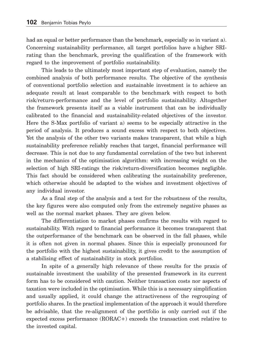had an equal or better performance than the benchmark, especially so in variant a). Concerning sustainability performance, all target portfolios have a higher SRIrating than the benchmark, proving the qualification of the framework with regard to the improvement of portfolio sustainability.

This leads to the ultimately most important step of evaluation, namely the combined analysis of both performance results. The objective of the synthesis of conventional portfolio selection and sustainable investment is to achieve an adequate result at least comparable to the benchmark with respect to both risk/return-performance and the level of portfolio sustain ability. Altogether the framework presents itself as a viable instrument that can be individually calibrated to the financial and sustainability-related objectives of the investor. Here the S-Max portfolio of variant a) seems to be especially attractive in the period of analysis. It produces a sound excess with respect to both objectives. Yet the analysis of the other two variants makes transparent, that while a high sustainability preference reliably reaches that target, financial performance will decrease. This is not due to any fundamental correlation of the two but inherent in the mechanics of the optimisation algorithm: with increasing weight on the selection of high SRI-ratings the risk/return-diversification becomes negligible. This fact should be considered when calibrating the sustainability preference, which otherwise should be adapted to the wishes and investment objectives of any individual investor.

As a final step of the analysis and a test for the robustness of the results, the key figures were also computed only from the extremely negative phases as well as the normal market phases. They are given below.

The differentiation to market phases confirms the results with regard to sustainability. With regard to financial performance it becomes transparent that the outperformance of the benchmark can be observed in the fall phases, while it is often not given in normal phases. Since this is especially pronounced for the portfolio with the highest sustainability, it gives credit to the assumption of a stabilising effect of sustainability in stock portfolios.

In spite of a generally high relevance of these results for the praxis of sustainable investment the usability of the presented framework in its current form has to be considered with caution. Neither transaction costs nor aspects of taxation were included in the optimisation. While this is a necessary simplification and usually applied, it could change the attractiveness of the regrouping of portfolio shares. In the practical implementation of the approach it would therefore be advisable, that the re-alignment of the portfolio is only carried out if the expected excess performance (RORAC+) exceeds the transaction cost relative to the invested capital.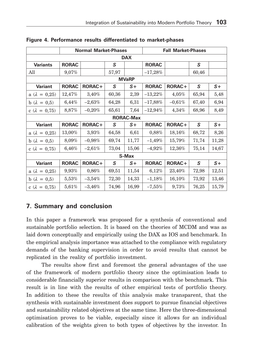|                         | <b>Normal Market-Phases</b> |           |       |                  | <b>Fall Market-Phases</b> |          |       |       |
|-------------------------|-----------------------------|-----------|-------|------------------|---------------------------|----------|-------|-------|
| <b>DAX</b>              |                             |           |       |                  |                           |          |       |       |
| <b>Variants</b>         | <b>RORAC</b>                |           | S     |                  | <b>RORAC</b>              |          | S     |       |
| All                     | 9,07%                       |           | 57,97 |                  | $-17,28%$                 |          | 60,46 |       |
|                         |                             |           |       | <b>MVaRP</b>     |                           |          |       |       |
| <b>Variant</b>          | <b>RORAC</b>                | RORAC+    | S     | $S+$             | <b>RORAC</b>              | RORAC+   | S     | $S+$  |
| a ( $\lambda = 0.25$ )  | 12,47%                      | $3,40\%$  | 60,36 | 2,39             | $-13,22%$                 | 4,05%    | 65,94 | 5,48  |
| $b(\lambda)$<br>$= 0.5$ | $6,44\%$                    | $-2,63\%$ | 64,28 | 6,31             | $-17,88%$                 | $-0,61%$ | 67,40 | 6,94  |
| c ( $\lambda = 0.75$ )  | 8,87%                       | $-0,20%$  | 65,61 | 7,64             | $-12,94%$                 | 4,34%    | 68,96 | 8,49  |
|                         |                             |           |       | <b>RORAC-Max</b> |                           |          |       |       |
| <b>Variant</b>          | <b>RORAC</b>                | RORAC+    | S     | $S+$             | <b>RORAC</b>              | RORAC+   | S     | $S+$  |
| a ( $\lambda = 0.25$ )  | 13,00%                      | 3,93%     | 64,58 | 6,61             | 0,88%                     | 18,16%   | 68,72 | 8,26  |
| $b(\lambda = 0.5)$      | 8,09%                       | $-0.98%$  | 69,74 | 11,77            | $-1,49\%$                 | 15,79%   | 71,74 | 11,28 |
| c ( $\lambda = 0.75$ )  | 6,46%                       | $-2,61\%$ | 73,04 | 15,06            | $-4,92\%$                 | 12,36%   | 75,14 | 14,67 |
| S-Max                   |                             |           |       |                  |                           |          |       |       |
| <b>Variant</b>          | <b>RORAC</b>                | RORAC+    | S     | $S+$             | <b>RORAC</b>              | RORAC+   | S     | $S+$  |
| a ( $\lambda = 0.25$ )  | 9,93%                       | 0,86%     | 69,51 | 11,54            | $6,12\%$                  | 23,40%   | 72,98 | 12,51 |
| b ( $\lambda = 0.5$ )   | $5,53\%$                    | $-3,54\%$ | 72,30 | 14,33            | $-1,18\%$                 | 16,10%   | 73,92 | 13,46 |
| c ( $\lambda = 0.75$ )  | 5,61%                       | $-3,46\%$ | 74,96 | 16,99            | $-7,55\%$                 | 9,73%    | 76,25 | 15,79 |

**Figure 4. Performance results differentiated to market-phases**

# **7. Summary and conclusion**

In this paper a framework was proposed for a synthesis of conventional and sustainable portfolio selection. It is based on the theories of MCDM and was as laid down conceptually and empirically using the DAX as IOS and benchmark. In the empirical analysis importance was attached to the compliance with regulatory demands of the banking supervision in order to avoid results that cannot be replicated in the reality of portfolio investment.

The results show first and foremost the general advantages of the use of the framework of modern portfolio theory since the optimisation leads to considerable financially superior results in comparison with the benchmark. This result is in line with the results of other empirical tests of portfolio theory. In addition to these the results of this analysis make transparent, that the synthesis with sustainable investment does support to pursue financial objectives and sustainability related objectives at the same time. Here the three-dimensional optimisation proves to be viable, especially since it allows for an individual calibration of the weights given to both types of objectives by the investor. In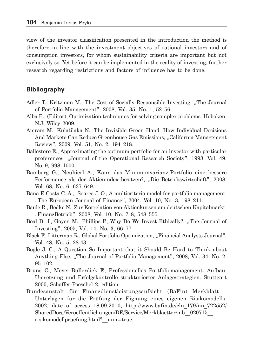view of the investor classification presented in the introduction the method is therefore in line with the investment objectives of rational investors and of consumption investors, for whom sustainability criteria are important but not exclusively so. Yet before it can be implemented in the reality of investing, further research regarding restrictions and factors of influence has to be done.

## **Bibliography**

- Adler T., Kritzman M., The Cost of Socially Responsible Investing, "The Journal of Portfolio Management", 2008, Vol. 35, No. 1, 52–56.
- Alba E., (Editor), Optimization techniques for solving complex problems. Hoboken, N.J: Wiley 2009.
- Amram M., Kulatilaka N., The Invisible Green Hand. How Individual Decisions And Markets Can Reduce Greenhouse Gas Emissions, "California Management Review", 2009, Vol. 51, No. 2, 194–218.
- Ballestero E., Approximating the optimum portfolio for an investor with particular preferences, "Journal of the Operational Research Society", 1998, Vol. 49, No. 9, 998–1000.
- Bamberg G., Neuhierl A., Kann das Minimumvarianz-Portfolio eine bessere Performance als der Aktienindex besitzen?, "Die Betriebswirtschaft", 2008, Vol. 68, No. 6, 637–649.
- Bana E Costa C. A., Soares J. O., A multicriteria model for portfolio management, "The European Journal of Finance", 2004, Vol. 10, No. 3, 198–211.
- Baule R., Bedke N., Zur Korrelation von Aktienkursen am deutschen Kapitalmarkt, "FinanzBetrieb", 2008, Vol. 10, No. 7-8, 548-555.
- Beal D. J., Goyen M., Phillips P., Why Do We Invest Ethically?, "The Journal of Investing", 2005, Vol. 14, No. 3, 66–77.
- Black F., Litterman R., Global Portfolio Optimization, "Financial Analysts Journal", Vol. 48, No. 5, 28-43.
- Bogle J. C., A Question So Important that it Should Be Hard to Think about Anything Else, "The Journal of Portfolio Management", 2008, Vol. 34, No. 2, 95–102.
- Bruns C., Meyer-Bullerdiek F., Professionelles Portfoliomanagement. Aufbau, Umsetzung und Erfolgskontrolle strukturierter Anlagestrategien. Stuttgart 2000, Schaffer-Poeschel 2. edition.
- Bundesanstalt für Finanzdienstleistungsaufsicht (BaFin) Merkblatt Unterlagen für die Prüfung der Eignung eines eigenen Risikomodells, 2002, date of access 18.09.2010, http://www.bafin.de/cln\_179/nn\_722552/ SharedDocs/Veroeffentlichungen/DE/Service/Merkblaetter/mb\_\_020715\_\_ risikomodellpruefung.html?\_\_nnn=true.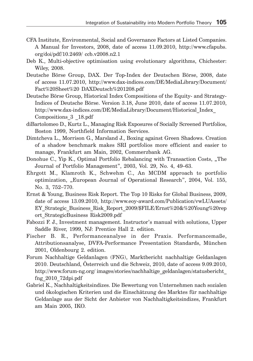- CFA Institute, Environmental, Social and Governance Factors at Listed Companies. A Manual for Investors, 2008, date of access 11.09.2010, http://www.cfapubs. org/doi/pdf/10.2469/ ccb.v2008.n2.1
- Deb K., Multi-objective optimisation using evolutionary algorithms, Chichester: Wiley, 2008.
- Deutsche Börse Group, DAX. Der Top-Index der Deutschen Börse, 2008, date of access 11.07.2010, http://www.dax-indices.com/DE/MediaLibrary/Document/ Fact%20Sheet%20 DAXDeutsch%201208.pdf
- Deutsche Börse Group, Historical Index Compositions of the Equity- and Strategy-Indices of Deutsche Börse. Version 3.18, June 2010, date of access 11.07.2010, http://www.dax-indices.com/DE/MediaLibrary/Document/Historical\_Index\_ Compositions\_3 \_18.pdf
- diBartolomeo D., Kurtz L., Managing Risk Exposures of Socially Screened Portfolios, Boston 1999, Northfield Information Services.
- Dimtcheva L., Morrison G., Marsland J., Boxing against Green Shadows. Creation of a shadow benchmark makes SRI portfolios more efficient and easier to manage, Frankfurt am Main, 2002, Commerzbank AG.
- Donohue C., Yip K., Optimal Portfolio Rebalancing with Transaction Costs, "The Journal of Portfolio Management", 2003, Vol. 29, No. 4, 49–63.
- Ehrgott M., Klamroth K., Schwehm C., An MCDM approach to portfolio optimization, "European Journal of Operational Research", 2004, Vol. 155, No. 3, 752–770.
- Ernst & Young, Business Risk Report. The Top 10 Risks for Global Business, 2009, date of access 13.09.2010, http://www.eoy-award.com/Publication/vwLUAssets/ EY\_Strategic\_Business\_Risk\_Report\_2009/\$FILE/Ernst%20&%20Young%20rep ort\_StrategicBusiness Risk2009.pdf
- Fabozzi F. J., Investment management. Instructor's manual with solutions, Upper Saddle River, 1999, NJ: Prentice Hall 2. edition.
- Fischer B. R., Performanceanalyse in der Praxis. Performancemaße, Attributionsanalyse, DVFA-Performance Presentation Standards, München 2001, Oldenbourg 2. edition.
- Forum Nachhaltige Geldanlagen (FNG), Marktbericht nachhaltige Geldanlagen 2010. Deutschland, Österreich und die Schweiz, 2010, date of access 9.09.2010, http://www.forum-ng.org/ images/stories/nachhaltige\_geldanlagen/statusbericht\_ fng\_2010\_72dpi.pdf
- Gabriel K., Nachhaltigkeitsindizes. Die Bewertung von Unternehmen nach sozialen und ökologischen Kriterien und die Einschätzung des Marktes für nachhaltige Geldanlage aus der Sicht der Anbieter von Nachhaltigkeitsindizes, Frankfurt am Main 2005, IKO.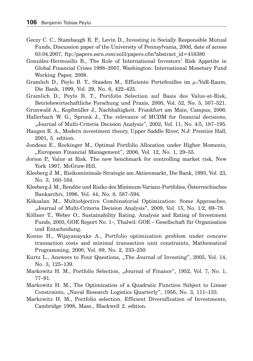- Geczy C. C., Stambaugh R. F., Levin D., Investing in Socially Responsible Mutual Funds, Discussion paper of the University of Pennsylvania, 200d, date of access 03.04.2007, ftp://papers.ssrn.com/sol3/papers.cfm?abstract\_id=416380
- González-Hermosillo B., The Role of International Investors' Risk Appetite in Global Financial Crises 1998–2007, Washington: International Monetary Fund Working Paper, 2008.
- Gramlich D., Peylo B. T., Staaden M., Effiziente Portefeuilles im  $\mu$ -/VaR-Raum, Die Bank, 1999, Vol. 29, No. 6, 422–425.
- Gramlich D., Peylo B. T., Portfolio Selection auf Basis des Value-at-Risk, Betriebswirtschaftliche Forschung und Praxis, 2000, Vol. 52, No. 5, 507–521.
- Grunwald A., Kopfmüller J., Nachhaltigkeit. Frankfurt am Main, Campus, 2006.
- Hallerbach W. G., Spronk J., The relevance of MCDM for financial decisions, "Journal of Multi-Criteria Decision Analysis", 2002, Vol. 11, No. 4/5, 187–195.
- Haugen R. A., Modern investment theory, Upper Saddle River, N.J: Prentice Hall, 2001, 5. edition.
- Jondeau E., Rockinger M., Optimal Portfolio Allocation under Higher Moments, "European Financial Management", 2006, Vol. 12, No. 1, 29–55.
- Jorion P., Value at Risk. The new benchmark for controlling market risk, New York 1997, McGraw-Hill.
- Kleeberg J. M., Risikominimale Strategie am Aktienmarkt, Die Bank, 1993, Vol. 23, No. 3, 160–164.
- Kleeberg J. M., Rendite und Risiko des Minimum-Varianz-Portfolios, Österreichisches Bankarchiv, 1996, Vol. 44, No. 8, 587–594.
- Köksalan M., Multiobjective Combinatorial Optimization: Some Approaches, "Journal of Multi-Criteria Decision Analysis", 2009, Vol. 15, No. 1/2, 69–78.
- Köllner T., Weber O., Sustainability Rating. Analysis and Rating of Investment Funds, 2005, GOE Report No. 1–, Thalwil: GOE – Gesellschaft für Organisation und Entscheidung.
- Konno H., Wijayanayake A., Portfolio optimization problem under concave transaction costs and minimal transaction unit constraints, Mathematical Programming, 2000, Vol. 89, No. 2, 233–250.
- Kurtz L., Answers to Four Questions, "The Journal of Investing", 2005, Vol. 14, No. 3, 125–139.
- Markowitz H. M., Portfolio Selection, "Journal of Finance", 1952, Vol. 7, No. 1, 77–91.
- Markowitz H. M., The Optimization of a Quadratic Function Subject to Linear Constraints, "Naval Research Logistics Quarterly", 1956, No. 3, 111–133.
- Markowitz H. M., Portfolio selection. Efficient Diversification of Investments, Cambridge 1998, Mass., Blackwell 2. edition.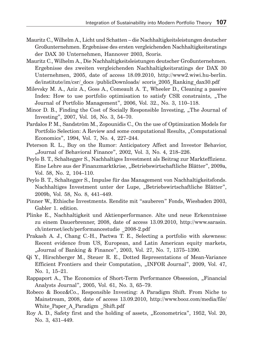- Mauritz C., Wilhelm A., Licht und Schatten die Nachhaltigkeitsleistungen deutscher Großunternehmen. Ergebnisse des ersten vergleichenden Nachhaltigkeitsratings der DAX 30 Unternehmen, Hannover 2003, Scoris.
- Mauritz C., Wilhelm A., Die Nachhaltigkeitsleistungen deutscher Großunternehmen. Ergebnisse des zweiten vergleichenden Nachhaltigkeitsratings der DAX 30 Unternehmen, 2005, date of access 18.09.2010, http://www2.wiwi.hu-berlin. de/institute/im/csr/\_docs /publicDownloads/ scoris\_2005\_Ranking\_dax30.pdf
- Milevsky M. A., Aziz A., Goss A., Comeault A. T., Wheeler D., Cleaning a passive Index: How to use portfolio optimisation to satisfy CSR constraints, "The Journal of Portfolio Management", 2006, Vol. 32., No. 3, 110–118.
- Minor D. B., Finding the Cost of Socially Responsible Investing, "The Journal of Investing", 2007, Vol. 16, No. 3, 54–70.
- Pardalos P. M., Sandström M., Zopounidis C., On the use of Optimization Models for Portfolio Selection: A Review and some computational Results, "Computational Economics", 1994, Vol. 7, No. 4, 227–244.
- Peterson R. L., Buy on the Rumor: Anticipatory Affect and Investor Behavior, "Journal of Behavioral Finance", 2002, Vol. 3, No. 4, 218-226.
- Peylo B. T., Schaltegger S., Nachhaltiges Investment als Beitrag zur Markteffizienz. Eine Lehre aus der Finanzmarktkrise, "Betriebswirtschaftliche Blätter", 2009a, Vol. 58, No. 2, 104–110.
- Peylo B. T., Schaltegger S., Impulse für das Management von Nachhaltigkeitsfonds. Nachhaltiges Investment unter der Lupe, "Betriebswirtschaftliche Blätter", 2009b, Vol. 58, No. 8, 441–449.
- Pinner W., Ethische Investments. Rendite mit "sauberen" Fonds, Wiesbaden 2003, Gabler 1. edition.
- Plinke E., Nachhaltigkeit und Aktienperformance. Alte und neue Erkenntnisse zu einem Dauerbrenner, 2008, date of access 13.09.2010, http://www.sarasin. ch/internet/iech/performancestudie \_2008-2.pdf
- Prakash A. J., Chang C.-H., Pactwa T. E., Selecting a portfolio with skewness: Recent evidence from US, European, and Latin American equity markets, "Journal of Banking & Finance", 2003, Vol. 27, No. 7, 1375–1390.
- Qi Y., Hirschberger M., Steuer R. E., Dotted Representations of Mean-Variance Efficient Frontiers and their Computation, "INFOR Journal", 2009, Vol. 47, No. 1, 15–21.
- Rappaport A., The Economics of Short-Term Performance Obsession, "Financial Analysts Journal", 2005, Vol. 61, No. 3, 65–79.
- Robeco & Booz&Co., Responsible Investing: A Paradigm Shift. From Niche to Mainstream, 2008, date of access 13.09.2010, http://www.booz.com/media/file/ White Paper A Paradigm Shift.pdf
- Roy A. D., Safety first and the holding of assets, "Econometrica", 1952, Vol. 20, No. 3, 431–449.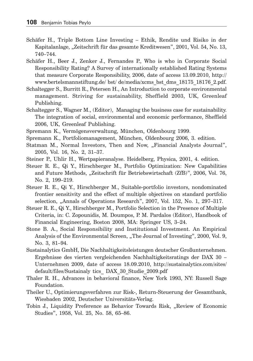- Schäfer H., Triple Bottom Line Investing Ethik, Rendite und Risiko in der Kapitalanlage, "Zeitschrift für das gesamte Kreditwesen", 2001, Vol. 54, No. 13, 740–744.
- Schäfer H., Beer J., Zenker J., Fernandes P., Who is who in Corporate Social Responsibility Rating? A Survey of internationally established Rating Systems that measure Corporate Responsibility, 2006, date of access 13.09.2010, http:// www.bertelsmannstiftung.de/ bst/ de/media/xcms\_bst\_dms\_18175\_18176\_2.pdf.
- Schaltegger S., Burritt R., Petersen H., An Introduction to corporate environmental management. Striving for sustainability, Sheffield 2003, UK, Greenleaf Publishing.
- Schaltegger S., Wagner M., (Editor), Managing the business case for sustainability. The integration of social, environmental and economic performance, Sheffield 2006, UK, Greenleaf Publishing.
- Spremann K., Vermögensverwaltung, München, Oldenbourg 1999.
- Spremann K., Portfoliomanagement, München, Oldenbourg 2006, 3. edition.
- Statman M., Normal Investors, Then and Now, "Financial Analysts Journal", 2005, Vol. 16, No. 2, 31–37.
- Steiner P., Uhlir H., Wertpapieranalyse. Heidelberg, Physica, 2001, 4. edition.
- Steuer R. E., Qi Y., Hirschberger M., Portfolio Optimization: New Capabilities and Future Methods, "Zeitschrift für Betriebswirtschaft (ZfB)", 2006, Vol. 76, No. 2, 199–219.
- Steuer R. E., Qi Y., Hirschberger M., Suitable-portfolio investors, nondominated frontier sensitivity and the effect of multiple objectives on standard portfolio selection, "Annals of Operations Research", 2007, Vol. 152, No. 1, 297-317.
- Steuer R. E., Qi Y., Hirschberger M., Portfolio Selection in the Presence of Multiple Criteria, in: C. Zopounidis, M. Doumpos, P. M. Pardalos (Editor), Handbook of Financial Engineering, Boston 2008, MA: Springer US, 3–24.
- Stone B. A., Social Responsibility and Institutional Investment. An Empirical Analysis of the Environmental Screen, "The Journal of Investing", 2000, Vol. 9, No. 3, 81–94.
- Sustainalytics GmbH, Die Nachhaltigkeitsleistungen deutscher Großunternehmen. Ergebnisse des vierten vergleichenden Nachhaltigkeitsratings der DAX 30 – Unternehmen 2009, date of access 18.09.2010, http://sustainalytics.com/sites/ default/files/Sustainaly tics\_ DAX\_30\_Studie\_2009.pdf
- Thaler R. H., Advances in behavioral finance, New York 1993, NY: Russell Sage Foundation.
- Theiler U., Optimierungsverfahren zur Risk-, Return-Steuerung der Gesamtbank, Wiesbaden 2002, Deutscher Universitäts-Verlag.
- Tobin J., Liquidity Preference as Behavior Towards Risk, "Review of Economic Studies", 1958, Vol. 25, No. 58, 65–86.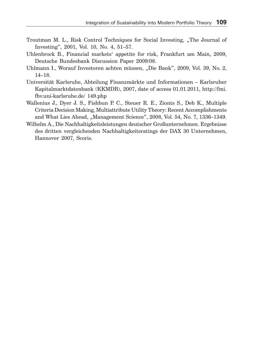- Troutman M. L., Risk Control Techniques for Social Investing, "The Journal of Investing", 2001, Vol. 10, No. 4, 51–57.
- Uhlenbrock B., Financial markets' appetite for risk, Frankfurt am Main, 2009, Deutsche Bundesbank Discussion Paper 2009/08.
- Uhlmann I., Worauf Investoren achten müssen, "Die Bank", 2009, Vol. 39, No. 2, 14–18.
- Universität Karlsruhe, Abteilung Finanzmärkte und Informationen Karlsruher Kapitalmarktdatenbank (KKMDB), 2007, date of access 01.01.2011, http://fmi. fbv.uni-karlsruhe.de/ 149.php
- Wallenius J., Dyer J. S., Fishbun P. C., Steuer R. E., Zionts S., Deb K., Multiple Criteria Decision Making, Multiattribute Utility Theory: Recent Accomplishments and What Lies Ahead, "Management Science", 2008, Vol. 54, No. 7, 1336–1349.
- Wilhelm A., Die Nachhaltigkeitsleistungen deutscher Großunternehmen. Ergebnisse des dritten vergleichenden Nachhaltigkeitsratings der DAX 30 Unternehmen, Hannover 2007, Scoris.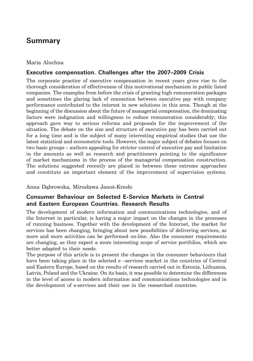# **Summary**

#### Maria Aluchna

#### **Executive compensation. Challenges after the 2007–2009 Crisis**

The corporate practice of executive compensation in recent years gives rise to the thorough consideration of effectiveness of this motivational mechanism in public listed companies. The examples from before the crisis of granting high remuneration packages and sometimes the glaring lack of connection between executive pay with company performance contributed to the interest in new solutions in this area. Though at the beginning of the discussion about the future of managerial compensation, the dominating factors were indignation and willingness to reduce remuneration considerably; this approach gave way to serious reforms and proposals for the improvement of the situation. The debate on the size and structure of executive pay has been carried out for a long time and is the subject of many interesting empirical studies that use the latest statistical and econometric tools. However, the major subject of debates focuses on two basic groups – authors appealing for stricter control of executive pay and limitation in the amounts as well as research and practitioners pointing to the significance of market mechanisms in the process of the managerial compensation construction. The solutions suggested recently are placed in between these extreme approaches and constitute an important element of the improvement of supervision systems.

Anna Dąbrowska, Mirosława Janoś-Kresło

## **Consumer Behaviour on Selected E-Service Markets in Central and Eastern European Countries. Research Results**

The development of modern information and communications technologies, and of the Internet in particular, is having a major impact on the changes in the processes of running business. Together with the development of the Internet, the market for services has been changing, bringing about new possibilities of delivering services, as more and more activities can be performed on-line. Also the consumer requirements are changing, as they expect a more interesting scope of service portfolios, which are better adapted to their needs.

The purpose of this article is to present the changes in the consumer behaviours that have been taking place in the selected e –services market in the countries of Central and Eastern Europe, based on the results of research carried out in Estonia, Lithuania, Latvia, Poland and the Ukraine. On its basis, it was possible to determine the differences in the level of access to modern information and communications technologies and in the development of e-services and their use in the researched countries.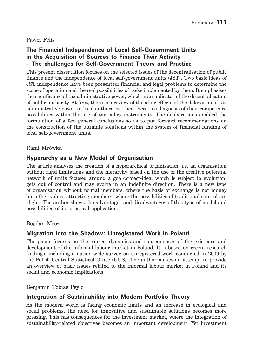#### Paweł Felis

## **The Financial Independence of Local Self-Government Units in the Acquisition of Sources to Finance Their Activity – The challenges for Self-Government Theory and Practice**

This present dissertation focuses on the selected issues of the decentralisation of public finance and the independence of local self-government units (JST). Two basic ideas of JST independence have been presented: financial and legal problems to determine the scope of operation and the real possibilities of tasks implemented by them. It emphasises the significance of tax administrative power, which is an indicator of the decentralisation of public authority. At first, there is a review of the after-effects of the delegation of tax administrative power to local authorities, then there is a diagnosis of their competence possibilities within the use of tax policy instruments. The deliberations enabled the formulation of a few general conclusions so as to put forward recommendations on the construction of the ultimate solutions within the system of financial funding of local self-government units.

#### Rafał Mrówka

### **Hyperarchy as a New Model of Organisation**

The article analyses the creation of a hyperarchical organisation, i.e. an organisation without rigid limitations and the hierarchy based on the use of the creative potential network of units focused around a goal-project-idea, which is subject to evolution, gets out of control and may evolve in an indefinite direction. There is a new type of organisation without formal members, where the basis of exchange is not money but other values attracting members, where the possibilities of traditional control are slight. The author shows the advantages and disadvantages of this type of model and possibilities of its practical application.

#### Bogdan Mróz

#### **Migration into the Shadow: Unregistered Work in Poland**

The paper focuses on the causes, dynamics and consequences of the existence and development of the informal labour market in Poland. It is based on recent research findings, including a nation-wide survey on unregistered work conducted in 2009 by the Polish Central Statistical Office (GUS). The author makes an attempt to provide an overview of basic issues related to the informal labour market in Poland and its social and economic implications.

Benjamin Tobias Peylo

### **Integration of Sustainability into Modern Portfolio Theory**

As the modern world is facing economic limits and an increase in ecological and social problems, the need for innovative and sustainable solutions becomes more pressing. This has consequences for the investment market, where the integration of sustainability-related objectives becomes an important development. Yet investment